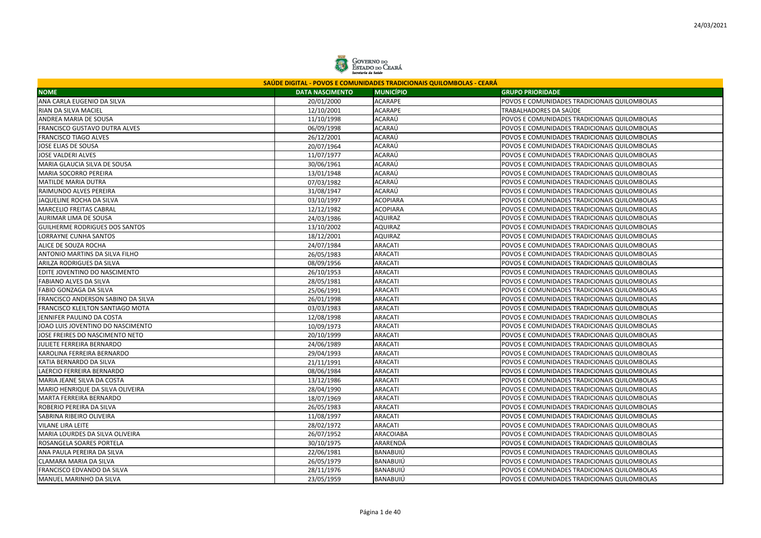

| SAÚDE DIGITAL - POVOS E COMUNIDADES TRADICIONAIS QUILOMBOLAS - CEARÁ |                        |                  |                                              |  |
|----------------------------------------------------------------------|------------------------|------------------|----------------------------------------------|--|
| <b>NOME</b>                                                          | <b>DATA NASCIMENTO</b> | <b>MUNICÍPIO</b> | <b>GRUPO PRIORIDADE</b>                      |  |
| ANA CARLA EUGENIO DA SILVA                                           | 20/01/2000             | <b>ACARAPE</b>   | POVOS E COMUNIDADES TRADICIONAIS QUILOMBOLAS |  |
| RIAN DA SILVA MACIEL                                                 | 12/10/2001             | <b>ACARAPE</b>   | TRABALHADORES DA SAÚDE                       |  |
| ANDREA MARIA DE SOUSA                                                | 11/10/1998             | ACARAÚ           | POVOS E COMUNIDADES TRADICIONAIS QUILOMBOLAS |  |
| FRANCISCO GUSTAVO DUTRA ALVES                                        | 06/09/1998             | ACARAÚ           | POVOS E COMUNIDADES TRADICIONAIS QUILOMBOLAS |  |
| <b>FRANCISCO TIAGO ALVES</b>                                         | 26/12/2001             | ACARAÚ           | POVOS E COMUNIDADES TRADICIONAIS QUILOMBOLAS |  |
| JOSE ELIAS DE SOUSA                                                  | 20/07/1964             | ACARAÚ           | POVOS E COMUNIDADES TRADICIONAIS QUILOMBOLAS |  |
| <b>JOSE VALDERI ALVES</b>                                            | 11/07/1977             | ACARAÚ           | POVOS E COMUNIDADES TRADICIONAIS QUILOMBOLAS |  |
| MARIA GLAUCIA SILVA DE SOUSA                                         | 30/06/1961             | ACARAÚ           | POVOS E COMUNIDADES TRADICIONAIS QUILOMBOLAS |  |
| MARIA SOCORRO PEREIRA                                                | 13/01/1948             | ACARAÚ           | POVOS E COMUNIDADES TRADICIONAIS QUILOMBOLAS |  |
| <b>MATILDE MARIA DUTRA</b>                                           | 07/03/1982             | ACARAÚ           | POVOS E COMUNIDADES TRADICIONAIS QUILOMBOLAS |  |
| RAIMUNDO ALVES PEREIRA                                               | 31/08/1947             | ACARAÚ           | POVOS E COMUNIDADES TRADICIONAIS QUILOMBOLAS |  |
| JAQUELINE ROCHA DA SILVA                                             | 03/10/1997             | <b>ACOPIARA</b>  | POVOS E COMUNIDADES TRADICIONAIS QUILOMBOLAS |  |
| <b>MARCELIO FREITAS CABRAL</b>                                       | 12/12/1982             | <b>ACOPIARA</b>  | POVOS E COMUNIDADES TRADICIONAIS QUILOMBOLAS |  |
| AURIMAR LIMA DE SOUSA                                                | 24/03/1986             | AQUIRAZ          | POVOS E COMUNIDADES TRADICIONAIS QUILOMBOLAS |  |
| <b>GUILHERME RODRIGUES DOS SANTOS</b>                                | 13/10/2002             | <b>AQUIRAZ</b>   | POVOS E COMUNIDADES TRADICIONAIS QUILOMBOLAS |  |
| <b>LORRAYNE CUNHA SANTOS</b>                                         | 18/12/2001             | AQUIRAZ          | POVOS E COMUNIDADES TRADICIONAIS QUILOMBOLAS |  |
| ALICE DE SOUZA ROCHA                                                 | 24/07/1984             | ARACATI          | POVOS E COMUNIDADES TRADICIONAIS QUILOMBOLAS |  |
| ANTONIO MARTINS DA SILVA FILHO                                       | 26/05/1983             | <b>ARACATI</b>   | POVOS E COMUNIDADES TRADICIONAIS QUILOMBOLAS |  |
| <b>ARILZA RODRIGUES DA SILVA</b>                                     | 08/09/1956             | ARACATI          | POVOS E COMUNIDADES TRADICIONAIS QUILOMBOLAS |  |
| EDITE JOVENTINO DO NASCIMENTO                                        | 26/10/1953             | ARACATI          | POVOS E COMUNIDADES TRADICIONAIS QUILOMBOLAS |  |
| FABIANO ALVES DA SILVA                                               | 28/05/1981             | <b>ARACATI</b>   | POVOS E COMUNIDADES TRADICIONAIS QUILOMBOLAS |  |
| FABIO GONZAGA DA SILVA                                               | 25/06/1991             | <b>ARACATI</b>   | POVOS E COMUNIDADES TRADICIONAIS QUILOMBOLAS |  |
| FRANCISCO ANDERSON SABINO DA SILVA                                   | 26/01/1998             | <b>ARACATI</b>   | POVOS E COMUNIDADES TRADICIONAIS QUILOMBOLAS |  |
| <b>FRANCISCO KLEILTON SANTIAGO MOTA</b>                              | 03/03/1983             | <b>ARACATI</b>   | POVOS E COMUNIDADES TRADICIONAIS QUILOMBOLAS |  |
| JENNIFER PAULINO DA COSTA                                            | 12/08/1998             | <b>ARACATI</b>   | POVOS E COMUNIDADES TRADICIONAIS QUILOMBOLAS |  |
| JOAO LUIS JOVENTINO DO NASCIMENTO                                    | 10/09/1973             | <b>ARACATI</b>   | POVOS E COMUNIDADES TRADICIONAIS QUILOMBOLAS |  |
| JOSE FREIRES DO NASCIMENTO NETO                                      | 20/10/1999             | <b>ARACATI</b>   | POVOS E COMUNIDADES TRADICIONAIS QUILOMBOLAS |  |
| JULIETE FERREIRA BERNARDO                                            | 24/06/1989             | <b>ARACATI</b>   | POVOS E COMUNIDADES TRADICIONAIS QUILOMBOLAS |  |
| KAROLINA FERREIRA BERNARDO                                           | 29/04/1993             | <b>ARACATI</b>   | POVOS E COMUNIDADES TRADICIONAIS QUILOMBOLAS |  |
| KATIA BERNARDO DA SILVA                                              | 21/11/1991             | <b>ARACATI</b>   | POVOS E COMUNIDADES TRADICIONAIS QUILOMBOLAS |  |
| LAERCIO FERREIRA BERNARDO                                            | 08/06/1984             | <b>ARACATI</b>   | POVOS E COMUNIDADES TRADICIONAIS QUILOMBOLAS |  |
| MARIA JEANE SILVA DA COSTA                                           | 13/12/1986             | ARACATI          | POVOS E COMUNIDADES TRADICIONAIS QUILOMBOLAS |  |
| MARIO HENRIQUE DA SILVA OLIVEIRA                                     | 28/04/1990             | ARACATI          | POVOS E COMUNIDADES TRADICIONAIS QUILOMBOLAS |  |
| MARTA FERREIRA BERNARDO                                              | 18/07/1969             | ARACATI          | POVOS E COMUNIDADES TRADICIONAIS QUILOMBOLAS |  |
| ROBERIO PEREIRA DA SILVA                                             | 26/05/1983             | <b>ARACATI</b>   | POVOS E COMUNIDADES TRADICIONAIS QUILOMBOLAS |  |
| SABRINA RIBEIRO OLIVEIRA                                             | 11/08/1997             | <b>ARACATI</b>   | POVOS E COMUNIDADES TRADICIONAIS QUILOMBOLAS |  |
| <b>VILANE LIRA LEITE</b>                                             | 28/02/1972             | ARACATI          | POVOS E COMUNIDADES TRADICIONAIS QUILOMBOLAS |  |
| MARIA LOURDES DA SILVA OLIVEIRA                                      | 26/07/1952             | ARACOIABA        | POVOS E COMUNIDADES TRADICIONAIS QUILOMBOLAS |  |
| ROSANGELA SOARES PORTELA                                             | 30/10/1975             | ARARENDÁ         | POVOS E COMUNIDADES TRADICIONAIS QUILOMBOLAS |  |
| ANA PAULA PEREIRA DA SILVA                                           | 22/06/1981             | BANABUIÚ         | POVOS E COMUNIDADES TRADICIONAIS QUILOMBOLAS |  |
| CLAMARA MARIA DA SILVA                                               | 26/05/1979             | BANABUIÚ         | POVOS E COMUNIDADES TRADICIONAIS QUILOMBOLAS |  |
| FRANCISCO EDVANDO DA SILVA                                           | 28/11/1976             | <b>BANABUIÚ</b>  | POVOS E COMUNIDADES TRADICIONAIS QUILOMBOLAS |  |
| MANUEL MARINHO DA SILVA                                              | 23/05/1959             | <b>BANABUIÚ</b>  | POVOS E COMUNIDADES TRADICIONAIS QUILOMBOLAS |  |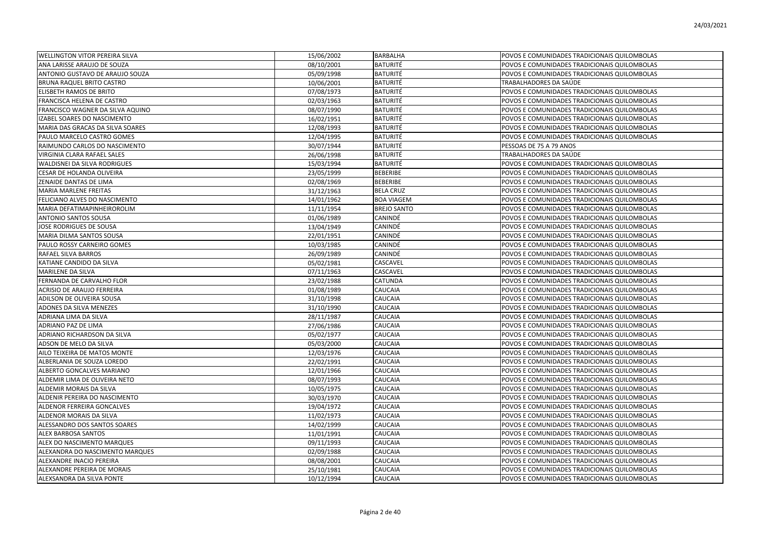| <b>WELLINGTON VITOR PEREIRA SILVA</b> | 15/06/2002 | <b>BARBALHA</b>    | POVOS E COMUNIDADES TRADICIONAIS QUILOMBOLAS |
|---------------------------------------|------------|--------------------|----------------------------------------------|
| ANA LARISSE ARAUJO DE SOUZA           | 08/10/2001 | <b>BATURITÉ</b>    | POVOS E COMUNIDADES TRADICIONAIS QUILOMBOLAS |
| ANTONIO GUSTAVO DE ARAUJO SOUZA       | 05/09/1998 | <b>BATURITÉ</b>    | POVOS E COMUNIDADES TRADICIONAIS QUILOMBOLAS |
| BRUNA RAQUEL BRITO CASTRO             | 10/06/2001 | <b>BATURITÉ</b>    | TRABALHADORES DA SAÚDE                       |
| ELISBETH RAMOS DE BRITO               | 07/08/1973 | <b>BATURITÉ</b>    | POVOS E COMUNIDADES TRADICIONAIS QUILOMBOLAS |
| FRANCISCA HELENA DE CASTRO            | 02/03/1963 | <b>BATURITÉ</b>    | POVOS E COMUNIDADES TRADICIONAIS QUILOMBOLAS |
| FRANCISCO WAGNER DA SILVA AQUINO      | 08/07/1990 | <b>BATURITÉ</b>    | POVOS E COMUNIDADES TRADICIONAIS QUILOMBOLAS |
| IZABEL SOARES DO NASCIMENTO           | 16/02/1951 | <b>BATURITÉ</b>    | POVOS E COMUNIDADES TRADICIONAIS QUILOMBOLAS |
| MARIA DAS GRACAS DA SILVA SOARES      | 12/08/1993 | <b>BATURITÉ</b>    | POVOS E COMUNIDADES TRADICIONAIS QUILOMBOLAS |
| PAULO MARCELO CASTRO GOMES            | 12/04/1995 | <b>BATURITÉ</b>    | POVOS E COMUNIDADES TRADICIONAIS QUILOMBOLAS |
| RAIMUNDO CARLOS DO NASCIMENTO         | 30/07/1944 | <b>BATURITÉ</b>    | PESSOAS DE 75 A 79 ANOS                      |
| VIRGINIA CLARA RAFAEL SALES           | 26/06/1998 | <b>BATURITÉ</b>    | TRABALHADORES DA SAÚDE                       |
| WALDISNEI DA SILVA RODRIGUES          | 15/03/1994 | <b>BATURITÉ</b>    | POVOS E COMUNIDADES TRADICIONAIS QUILOMBOLAS |
| CESAR DE HOLANDA OLIVEIRA             | 23/05/1999 | <b>BEBERIBE</b>    | POVOS E COMUNIDADES TRADICIONAIS QUILOMBOLAS |
| ZENAIDE DANTAS DE LIMA                | 02/08/1969 | <b>BEBERIBE</b>    | POVOS E COMUNIDADES TRADICIONAIS QUILOMBOLAS |
| <b>MARIA MARLENE FREITAS</b>          | 31/12/1963 | <b>BELA CRUZ</b>   | POVOS E COMUNIDADES TRADICIONAIS QUILOMBOLAS |
| FELICIANO ALVES DO NASCIMENTO         | 14/01/1962 | <b>BOA VIAGEM</b>  | POVOS E COMUNIDADES TRADICIONAIS QUILOMBOLAS |
| MARIA DEFATIMAPINHEIROROLIM           | 11/11/1954 | <b>BREJO SANTO</b> | POVOS E COMUNIDADES TRADICIONAIS QUILOMBOLAS |
| ANTONIO SANTOS SOUSA                  | 01/06/1989 | CANINDÉ            | POVOS E COMUNIDADES TRADICIONAIS QUILOMBOLAS |
| JOSE RODRIGUES DE SOUSA               | 13/04/1949 | CANINDÉ            | POVOS E COMUNIDADES TRADICIONAIS QUILOMBOLAS |
| MARIA DILMA SANTOS SOUSA              | 22/01/1951 | CANINDÉ            | POVOS E COMUNIDADES TRADICIONAIS QUILOMBOLAS |
| PAULO ROSSY CARNEIRO GOMES            | 10/03/1985 | CANINDÉ            | POVOS E COMUNIDADES TRADICIONAIS QUILOMBOLAS |
| RAFAEL SILVA BARROS                   | 26/09/1989 | CANINDÉ            | POVOS E COMUNIDADES TRADICIONAIS QUILOMBOLAS |
| KATIANE CANDIDO DA SILVA              | 05/02/1981 | CASCAVEL           | POVOS E COMUNIDADES TRADICIONAIS QUILOMBOLAS |
| MARILENE DA SILVA                     | 07/11/1963 | CASCAVEL           | POVOS E COMUNIDADES TRADICIONAIS QUILOMBOLAS |
| FERNANDA DE CARVALHO FLOR             | 23/02/1988 | CATUNDA            | POVOS E COMUNIDADES TRADICIONAIS QUILOMBOLAS |
| <b>ACRISIO DE ARAUJO FERREIRA</b>     | 01/08/1989 | CAUCAIA            | POVOS E COMUNIDADES TRADICIONAIS QUILOMBOLAS |
| ADILSON DE OLIVEIRA SOUSA             | 31/10/1998 | CAUCAIA            | POVOS E COMUNIDADES TRADICIONAIS QUILOMBOLAS |
| ADONES DA SILVA MENEZES               | 31/10/1990 | CAUCAIA            | POVOS E COMUNIDADES TRADICIONAIS QUILOMBOLAS |
| ADRIANA LIMA DA SILVA                 | 28/11/1987 | CAUCAIA            | POVOS E COMUNIDADES TRADICIONAIS QUILOMBOLAS |
| ADRIANO PAZ DE LIMA                   | 27/06/1986 | CAUCAIA            | POVOS E COMUNIDADES TRADICIONAIS QUILOMBOLAS |
| ADRIANO RICHARDSON DA SILVA           | 05/02/1977 | CAUCAIA            | POVOS E COMUNIDADES TRADICIONAIS QUILOMBOLAS |
| ADSON DE MELO DA SILVA                | 05/03/2000 | CAUCAIA            | POVOS E COMUNIDADES TRADICIONAIS QUILOMBOLAS |
| AILO TEIXEIRA DE MATOS MONTE          | 12/03/1976 | <b>CAUCAIA</b>     | POVOS E COMUNIDADES TRADICIONAIS QUILOMBOLAS |
| ALBERLANIA DE SOUZA LOREDO            | 22/02/1991 | CAUCAIA            | POVOS E COMUNIDADES TRADICIONAIS QUILOMBOLAS |
| ALBERTO GONCALVES MARIANO             | 12/01/1966 | CAUCAIA            | POVOS E COMUNIDADES TRADICIONAIS QUILOMBOLAS |
| ALDEMIR LIMA DE OLIVEIRA NETO         | 08/07/1993 | CAUCAIA            | POVOS E COMUNIDADES TRADICIONAIS QUILOMBOLAS |
| ALDEMIR MORAIS DA SILVA               | 10/05/1975 | CAUCAIA            | POVOS E COMUNIDADES TRADICIONAIS QUILOMBOLAS |
| ALDENIR PEREIRA DO NASCIMENTO         | 30/03/1970 | CAUCAIA            | POVOS E COMUNIDADES TRADICIONAIS QUILOMBOLAS |
| ALDENOR FERREIRA GONCALVES            | 19/04/1972 | CAUCAIA            | POVOS E COMUNIDADES TRADICIONAIS QUILOMBOLAS |
| ALDENOR MORAIS DA SILVA               | 11/02/1973 | CAUCAIA            | POVOS E COMUNIDADES TRADICIONAIS QUILOMBOLAS |
| ALESSANDRO DOS SANTOS SOARES          | 14/02/1999 | CAUCAIA            | POVOS E COMUNIDADES TRADICIONAIS QUILOMBOLAS |
| <b>ALEX BARBOSA SANTOS</b>            | 11/01/1991 | CAUCAIA            | POVOS E COMUNIDADES TRADICIONAIS QUILOMBOLAS |
| ALEX DO NASCIMENTO MARQUES            | 09/11/1993 | <b>CAUCAIA</b>     | POVOS E COMUNIDADES TRADICIONAIS QUILOMBOLAS |
| ALEXANDRA DO NASCIMENTO MARQUES       | 02/09/1988 | CAUCAIA            | POVOS E COMUNIDADES TRADICIONAIS QUILOMBOLAS |
| ALEXANDRE INACIO PEREIRA              | 08/08/2001 | CAUCAIA            | POVOS E COMUNIDADES TRADICIONAIS QUILOMBOLAS |
| ALEXANDRE PEREIRA DE MORAIS           | 25/10/1981 | CAUCAIA            | POVOS E COMUNIDADES TRADICIONAIS QUILOMBOLAS |
| ALEXSANDRA DA SILVA PONTE             | 10/12/1994 | <b>CAUCAIA</b>     | POVOS E COMUNIDADES TRADICIONAIS QUILOMBOLAS |
|                                       |            |                    |                                              |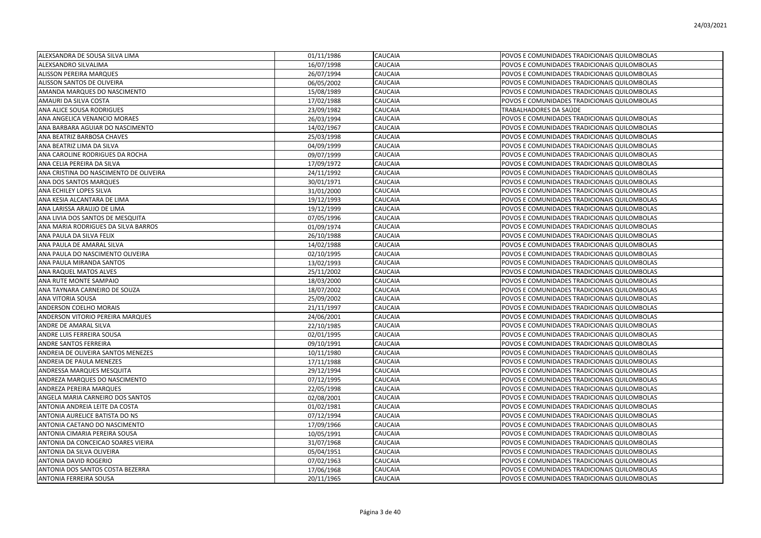| ALEXSANDRA DE SOUSA SILVA LIMA         | 01/11/1986 | CAUCAIA | POVOS E COMUNIDADES TRADICIONAIS QUILOMBOLAS |
|----------------------------------------|------------|---------|----------------------------------------------|
| ALEXSANDRO SILVALIMA                   | 16/07/1998 | CAUCAIA | POVOS E COMUNIDADES TRADICIONAIS QUILOMBOLAS |
| <b>ALISSON PEREIRA MARQUES</b>         | 26/07/1994 | CAUCAIA | POVOS E COMUNIDADES TRADICIONAIS QUILOMBOLAS |
| ALISSON SANTOS DE OLIVEIRA             | 06/05/2002 | CAUCAIA | POVOS E COMUNIDADES TRADICIONAIS QUILOMBOLAS |
| AMANDA MARQUES DO NASCIMENTO           | 15/08/1989 | CAUCAIA | POVOS E COMUNIDADES TRADICIONAIS QUILOMBOLAS |
| AMAURI DA SILVA COSTA                  | 17/02/1988 | CAUCAIA | POVOS E COMUNIDADES TRADICIONAIS QUILOMBOLAS |
| ANA ALICE SOUSA RODRIGUES              | 23/09/1982 | CAUCAIA | TRABALHADORES DA SAÚDE                       |
| ANA ANGELICA VENANCIO MORAES           | 26/03/1994 | CAUCAIA | POVOS E COMUNIDADES TRADICIONAIS QUILOMBOLAS |
| ANA BARBARA AGUIAR DO NASCIMENTO       | 14/02/1967 | CAUCAIA | POVOS E COMUNIDADES TRADICIONAIS QUILOMBOLAS |
| ANA BEATRIZ BARBOSA CHAVES             | 25/03/1998 | CAUCAIA | POVOS E COMUNIDADES TRADICIONAIS QUILOMBOLAS |
| ANA BEATRIZ LIMA DA SILVA              | 04/09/1999 | CAUCAIA | POVOS E COMUNIDADES TRADICIONAIS QUILOMBOLAS |
| ANA CAROLINE RODRIGUES DA ROCHA        | 09/07/1999 | CAUCAIA | POVOS E COMUNIDADES TRADICIONAIS QUILOMBOLAS |
| ANA CELIA PEREIRA DA SILVA             | 17/09/1972 | CAUCAIA | POVOS E COMUNIDADES TRADICIONAIS QUILOMBOLAS |
| ANA CRISTINA DO NASCIMENTO DE OLIVEIRA | 24/11/1992 | CAUCAIA | POVOS E COMUNIDADES TRADICIONAIS QUILOMBOLAS |
| ANA DOS SANTOS MARQUES                 | 30/01/1971 | CAUCAIA | POVOS E COMUNIDADES TRADICIONAIS QUILOMBOLAS |
| ANA ECHILEY LOPES SILVA                | 31/01/2000 | CAUCAIA | POVOS E COMUNIDADES TRADICIONAIS QUILOMBOLAS |
| ANA KESIA ALCANTARA DE LIMA            | 19/12/1993 | CAUCAIA | POVOS E COMUNIDADES TRADICIONAIS QUILOMBOLAS |
| ANA LARISSA ARAUJO DE LIMA             | 19/12/1999 | CAUCAIA | POVOS E COMUNIDADES TRADICIONAIS QUILOMBOLAS |
| ANA LIVIA DOS SANTOS DE MESQUITA       | 07/05/1996 | CAUCAIA | POVOS E COMUNIDADES TRADICIONAIS QUILOMBOLAS |
| ANA MARIA RODRIGUES DA SILVA BARROS    | 01/09/1974 | CAUCAIA | POVOS E COMUNIDADES TRADICIONAIS QUILOMBOLAS |
| ANA PAULA DA SILVA FELIX               | 26/10/1988 | CAUCAIA | POVOS E COMUNIDADES TRADICIONAIS QUILOMBOLAS |
| ANA PAULA DE AMARAL SILVA              | 14/02/1988 | CAUCAIA | POVOS E COMUNIDADES TRADICIONAIS QUILOMBOLAS |
| ANA PAULA DO NASCIMENTO OLIVEIRA       | 02/10/1995 | CAUCAIA | POVOS E COMUNIDADES TRADICIONAIS QUILOMBOLAS |
| ANA PAULA MIRANDA SANTOS               | 13/02/1993 | CAUCAIA | POVOS E COMUNIDADES TRADICIONAIS QUILOMBOLAS |
| ANA RAQUEL MATOS ALVES                 | 25/11/2002 | CAUCAIA | POVOS E COMUNIDADES TRADICIONAIS QUILOMBOLAS |
| ANA RUTE MONTE SAMPAIO                 | 18/03/2000 | CAUCAIA | POVOS E COMUNIDADES TRADICIONAIS QUILOMBOLAS |
| ANA TAYNARA CARNEIRO DE SOUZA          | 18/07/2002 | CAUCAIA | POVOS E COMUNIDADES TRADICIONAIS QUILOMBOLAS |
| ANA VITORIA SOUSA                      | 25/09/2002 | CAUCAIA | POVOS E COMUNIDADES TRADICIONAIS QUILOMBOLAS |
| ANDERSON COELHO MORAIS                 | 21/11/1997 | CAUCAIA | POVOS E COMUNIDADES TRADICIONAIS QUILOMBOLAS |
| ANDERSON VITORIO PEREIRA MARQUES       | 24/06/2001 | CAUCAIA | POVOS E COMUNIDADES TRADICIONAIS QUILOMBOLAS |
| ANDRE DE AMARAL SILVA                  | 22/10/1985 | CAUCAIA | POVOS E COMUNIDADES TRADICIONAIS QUILOMBOLAS |
| ANDRE LUIS FERREIRA SOUSA              | 02/01/1995 | CAUCAIA | POVOS E COMUNIDADES TRADICIONAIS QUILOMBOLAS |
| ANDRE SANTOS FERREIRA                  | 09/10/1991 | CAUCAIA | POVOS E COMUNIDADES TRADICIONAIS QUILOMBOLAS |
| ANDREIA DE OLIVEIRA SANTOS MENEZES     | 10/11/1980 | CAUCAIA | POVOS E COMUNIDADES TRADICIONAIS QUILOMBOLAS |
| ANDREIA DE PAULA MENEZES               | 17/11/1988 | CAUCAIA | POVOS E COMUNIDADES TRADICIONAIS QUILOMBOLAS |
| ANDRESSA MARQUES MESQUITA              | 29/12/1994 | CAUCAIA | POVOS E COMUNIDADES TRADICIONAIS QUILOMBOLAS |
| ANDREZA MARQUES DO NASCIMENTO          | 07/12/1995 | CAUCAIA | POVOS E COMUNIDADES TRADICIONAIS QUILOMBOLAS |
| ANDREZA PEREIRA MARQUES                | 22/05/1998 | CAUCAIA | POVOS E COMUNIDADES TRADICIONAIS QUILOMBOLAS |
| ANGELA MARIA CARNEIRO DOS SANTOS       | 02/08/2001 | CAUCAIA | POVOS E COMUNIDADES TRADICIONAIS QUILOMBOLAS |
| ANTONIA ANDREIA LEITE DA COSTA         | 01/02/1981 | CAUCAIA | POVOS E COMUNIDADES TRADICIONAIS QUILOMBOLAS |
| ANTONIA AURELICE BATISTA DO NS         | 07/12/1994 | CAUCAIA | POVOS E COMUNIDADES TRADICIONAIS QUILOMBOLAS |
| ANTONIA CAETANO DO NASCIMENTO          | 17/09/1966 | CAUCAIA | POVOS E COMUNIDADES TRADICIONAIS QUILOMBOLAS |
| ANTONIA CIMARIA PEREIRA SOUSA          | 10/05/1991 | CAUCAIA | POVOS E COMUNIDADES TRADICIONAIS QUILOMBOLAS |
| ANTONIA DA CONCEICAO SOARES VIEIRA     | 31/07/1968 | CAUCAIA | POVOS E COMUNIDADES TRADICIONAIS QUILOMBOLAS |
| ANTONIA DA SILVA OLIVEIRA              | 05/04/1951 | CAUCAIA | POVOS E COMUNIDADES TRADICIONAIS QUILOMBOLAS |
| ANTONIA DAVID ROGERIO                  | 07/02/1963 | CAUCAIA | POVOS E COMUNIDADES TRADICIONAIS QUILOMBOLAS |
| ANTONIA DOS SANTOS COSTA BEZERRA       | 17/06/1968 | CAUCAIA | POVOS E COMUNIDADES TRADICIONAIS QUILOMBOLAS |
| <b>ANTONIA FERREIRA SOUSA</b>          | 20/11/1965 | CAUCAIA | POVOS E COMUNIDADES TRADICIONAIS QUILOMBOLAS |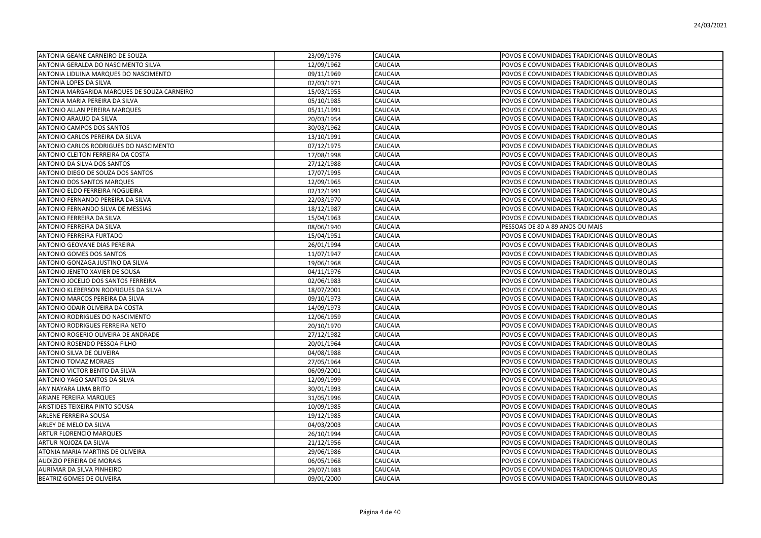| ANTONIA GEANE CARNEIRO DE SOUZA             | 23/09/1976 | CAUCAIA | POVOS E COMUNIDADES TRADICIONAIS QUILOMBOLAS |
|---------------------------------------------|------------|---------|----------------------------------------------|
| ANTONIA GERALDA DO NASCIMENTO SILVA         | 12/09/1962 | CAUCAIA | POVOS E COMUNIDADES TRADICIONAIS QUILOMBOLAS |
| ANTONIA LIDUINA MARQUES DO NASCIMENTO       | 09/11/1969 | CAUCAIA | POVOS E COMUNIDADES TRADICIONAIS QUILOMBOLAS |
| ANTONIA LOPES DA SILVA                      | 02/03/1971 | CAUCAIA | POVOS E COMUNIDADES TRADICIONAIS QUILOMBOLAS |
| ANTONIA MARGARIDA MARQUES DE SOUZA CARNEIRO | 15/03/1955 | CAUCAIA | POVOS E COMUNIDADES TRADICIONAIS QUILOMBOLAS |
| ANTONIA MARIA PEREIRA DA SILVA              | 05/10/1985 | CAUCAIA | POVOS E COMUNIDADES TRADICIONAIS QUILOMBOLAS |
| ANTONIO ALLAN PEREIRA MARQUES               | 05/11/1991 | CAUCAIA | POVOS E COMUNIDADES TRADICIONAIS QUILOMBOLAS |
| ANTONIO ARAUJO DA SILVA                     | 20/03/1954 | CAUCAIA | POVOS E COMUNIDADES TRADICIONAIS QUILOMBOLAS |
| ANTONIO CAMPOS DOS SANTOS                   | 30/03/1962 | CAUCAIA | POVOS E COMUNIDADES TRADICIONAIS QUILOMBOLAS |
| ANTONIO CARLOS PEREIRA DA SILVA             | 13/10/1991 | CAUCAIA | POVOS E COMUNIDADES TRADICIONAIS QUILOMBOLAS |
| ANTONIO CARLOS RODRIGUES DO NASCIMENTO      | 07/12/1975 | CAUCAIA | POVOS E COMUNIDADES TRADICIONAIS QUILOMBOLAS |
| ANTONIO CLEITON FERREIRA DA COSTA           | 17/08/1998 | CAUCAIA | POVOS E COMUNIDADES TRADICIONAIS QUILOMBOLAS |
| ANTONIO DA SILVA DOS SANTOS                 | 27/12/1988 | CAUCAIA | POVOS E COMUNIDADES TRADICIONAIS QUILOMBOLAS |
| ANTONIO DIEGO DE SOUZA DOS SANTOS           | 17/07/1995 | CAUCAIA | POVOS E COMUNIDADES TRADICIONAIS QUILOMBOLAS |
| ANTONIO DOS SANTOS MARQUES                  | 12/09/1965 | CAUCAIA | POVOS E COMUNIDADES TRADICIONAIS QUILOMBOLAS |
| ANTONIO ELDO FERREIRA NOGUEIRA              | 02/12/1991 | CAUCAIA | POVOS E COMUNIDADES TRADICIONAIS QUILOMBOLAS |
| ANTONIO FERNANDO PEREIRA DA SILVA           | 22/03/1970 | CAUCAIA | POVOS E COMUNIDADES TRADICIONAIS QUILOMBOLAS |
| ANTONIO FERNANDO SILVA DE MESSIAS           | 18/12/1987 | CAUCAIA | POVOS E COMUNIDADES TRADICIONAIS QUILOMBOLAS |
| ANTONIO FERREIRA DA SILVA                   | 15/04/1963 | CAUCAIA | POVOS E COMUNIDADES TRADICIONAIS QUILOMBOLAS |
| ANTONIO FERREIRA DA SILVA                   | 08/06/1940 | CAUCAIA | PESSOAS DE 80 A 89 ANOS OU MAIS              |
| ANTONIO FERREIRA FURTADO                    | 15/04/1951 | CAUCAIA | POVOS E COMUNIDADES TRADICIONAIS QUILOMBOLAS |
| ANTONIO GEOVANE DIAS PEREIRA                | 26/01/1994 | CAUCAIA | POVOS E COMUNIDADES TRADICIONAIS QUILOMBOLAS |
| ANTONIO GOMES DOS SANTOS                    | 11/07/1947 | CAUCAIA | POVOS E COMUNIDADES TRADICIONAIS QUILOMBOLAS |
| ANTONIO GONZAGA JUSTINO DA SILVA            | 19/06/1968 | CAUCAIA | POVOS E COMUNIDADES TRADICIONAIS QUILOMBOLAS |
| ANTONIO JENETO XAVIER DE SOUSA              | 04/11/1976 | CAUCAIA | POVOS E COMUNIDADES TRADICIONAIS QUILOMBOLAS |
| ANTONIO JOCELIO DOS SANTOS FERREIRA         | 02/06/1983 | CAUCAIA | POVOS E COMUNIDADES TRADICIONAIS QUILOMBOLAS |
| ANTONIO KLEBERSON RODRIGUES DA SILVA        | 18/07/2001 | CAUCAIA | POVOS E COMUNIDADES TRADICIONAIS QUILOMBOLAS |
| ANTONIO MARCOS PEREIRA DA SILVA             | 09/10/1973 | CAUCAIA | POVOS E COMUNIDADES TRADICIONAIS QUILOMBOLAS |
| ANTONIO ODAIR OLIVEIRA DA COSTA             | 14/09/1973 | CAUCAIA | POVOS E COMUNIDADES TRADICIONAIS QUILOMBOLAS |
| ANTONIO RODRIGUES DO NASCIMENTO             | 12/06/1959 | CAUCAIA | POVOS E COMUNIDADES TRADICIONAIS QUILOMBOLAS |
| ANTONIO RODRIGUES FERREIRA NETO             | 20/10/1970 | CAUCAIA | POVOS E COMUNIDADES TRADICIONAIS QUILOMBOLAS |
| ANTONIO ROGERIO OLIVEIRA DE ANDRADE         | 27/12/1982 | CAUCAIA | POVOS E COMUNIDADES TRADICIONAIS QUILOMBOLAS |
| ANTONIO ROSENDO PESSOA FILHO                | 20/01/1964 | CAUCAIA | POVOS E COMUNIDADES TRADICIONAIS QUILOMBOLAS |
| ANTONIO SILVA DE OLIVEIRA                   | 04/08/1988 | CAUCAIA | POVOS E COMUNIDADES TRADICIONAIS QUILOMBOLAS |
| ANTONIO TOMAZ MORAES                        | 27/05/1964 | CAUCAIA | POVOS E COMUNIDADES TRADICIONAIS QUILOMBOLAS |
| ANTONIO VICTOR BENTO DA SILVA               | 06/09/2001 | CAUCAIA | POVOS E COMUNIDADES TRADICIONAIS QUILOMBOLAS |
| ANTONIO YAGO SANTOS DA SILVA                | 12/09/1999 | CAUCAIA | POVOS E COMUNIDADES TRADICIONAIS QUILOMBOLAS |
| ANY NAYARA LIMA BRITO                       | 30/01/1993 | CAUCAIA | POVOS E COMUNIDADES TRADICIONAIS QUILOMBOLAS |
| ARIANE PEREIRA MARQUES                      | 31/05/1996 | CAUCAIA | POVOS E COMUNIDADES TRADICIONAIS QUILOMBOLAS |
| ARISTIDES TEIXEIRA PINTO SOUSA              | 10/09/1985 | CAUCAIA | POVOS E COMUNIDADES TRADICIONAIS QUILOMBOLAS |
| ARLENE FERREIRA SOUSA                       | 19/12/1985 | CAUCAIA | POVOS E COMUNIDADES TRADICIONAIS QUILOMBOLAS |
| ARLEY DE MELO DA SILVA                      | 04/03/2003 | CAUCAIA | POVOS E COMUNIDADES TRADICIONAIS QUILOMBOLAS |
| <b>ARTUR FLORENCIO MARQUES</b>              | 26/10/1994 | CAUCAIA | POVOS E COMUNIDADES TRADICIONAIS QUILOMBOLAS |
| ARTUR NOJOZA DA SILVA                       | 21/12/1956 | CAUCAIA | POVOS E COMUNIDADES TRADICIONAIS QUILOMBOLAS |
| ATONIA MARIA MARTINS DE OLIVEIRA            | 29/06/1986 | CAUCAIA | POVOS E COMUNIDADES TRADICIONAIS QUILOMBOLAS |
| AUDIZIO PEREIRA DE MORAIS                   | 06/05/1968 | CAUCAIA | POVOS E COMUNIDADES TRADICIONAIS QUILOMBOLAS |
| AURIMAR DA SILVA PINHEIRO                   | 29/07/1983 | CAUCAIA | POVOS E COMUNIDADES TRADICIONAIS QUILOMBOLAS |
| BEATRIZ GOMES DE OLIVEIRA                   | 09/01/2000 | CAUCAIA | POVOS E COMUNIDADES TRADICIONAIS QUILOMBOLAS |
|                                             |            |         |                                              |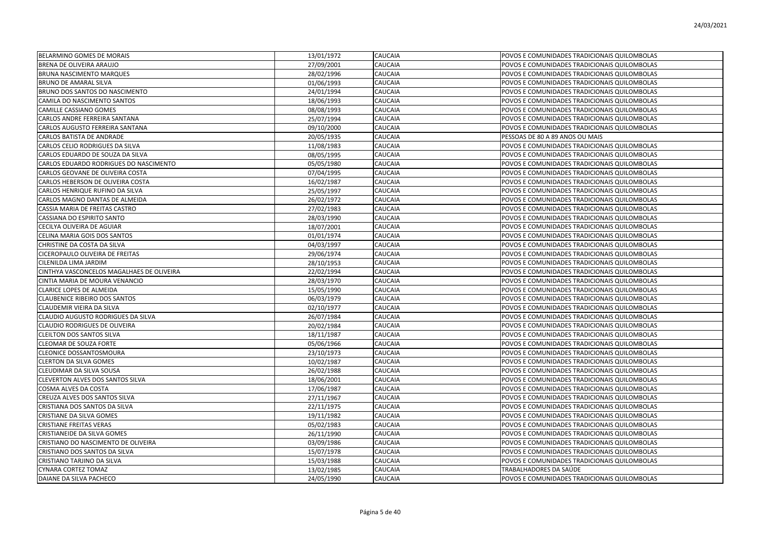| BELARMINO GOMES DE MORAIS                 | 13/01/1972 | <b>CAUCAIA</b> | POVOS E COMUNIDADES TRADICIONAIS QUILOMBOLAS |
|-------------------------------------------|------------|----------------|----------------------------------------------|
| BRENA DE OLIVEIRA ARAUJO                  | 27/09/2001 | CAUCAIA        | POVOS E COMUNIDADES TRADICIONAIS QUILOMBOLAS |
| <b>BRUNA NASCIMENTO MARQUES</b>           | 28/02/1996 | CAUCAIA        | POVOS E COMUNIDADES TRADICIONAIS QUILOMBOLAS |
| BRUNO DE AMARAL SILVA                     | 01/06/1993 | CAUCAIA        | POVOS E COMUNIDADES TRADICIONAIS QUILOMBOLAS |
| BRUNO DOS SANTOS DO NASCIMENTO            | 24/01/1994 | CAUCAIA        | POVOS E COMUNIDADES TRADICIONAIS QUILOMBOLAS |
| CAMILA DO NASCIMENTO SANTOS               | 18/06/1993 | CAUCAIA        | POVOS E COMUNIDADES TRADICIONAIS QUILOMBOLAS |
| CAMILLE CASSIANO GOMES                    | 08/08/1993 | CAUCAIA        | POVOS E COMUNIDADES TRADICIONAIS QUILOMBOLAS |
| CARLOS ANDRE FERREIRA SANTANA             | 25/07/1994 | CAUCAIA        | POVOS E COMUNIDADES TRADICIONAIS QUILOMBOLAS |
| CARLOS AUGUSTO FERREIRA SANTANA           | 09/10/2000 | CAUCAIA        | POVOS E COMUNIDADES TRADICIONAIS QUILOMBOLAS |
| CARLOS BATISTA DE ANDRADE                 | 20/05/1935 | CAUCAIA        | PESSOAS DE 80 A 89 ANOS OU MAIS              |
| CARLOS CELIO RODRIGUES DA SILVA           | 11/08/1983 | CAUCAIA        | POVOS E COMUNIDADES TRADICIONAIS QUILOMBOLAS |
| CARLOS EDUARDO DE SOUZA DA SILVA          | 08/05/1995 | CAUCAIA        | POVOS E COMUNIDADES TRADICIONAIS QUILOMBOLAS |
| CARLOS EDUARDO RODRIGUES DO NASCIMENTO    | 05/05/1980 | CAUCAIA        | POVOS E COMUNIDADES TRADICIONAIS QUILOMBOLAS |
| CARLOS GEOVANE DE OLIVEIRA COSTA          | 07/04/1995 | CAUCAIA        | POVOS E COMUNIDADES TRADICIONAIS QUILOMBOLAS |
| CARLOS HEBERSON DE OLIVEIRA COSTA         | 16/02/1987 | CAUCAIA        | POVOS E COMUNIDADES TRADICIONAIS QUILOMBOLAS |
| CARLOS HENRIQUE RUFINO DA SILVA           | 25/05/1997 | CAUCAIA        | POVOS E COMUNIDADES TRADICIONAIS QUILOMBOLAS |
| CARLOS MAGNO DANTAS DE ALMEIDA            | 26/02/1972 | CAUCAIA        | POVOS E COMUNIDADES TRADICIONAIS QUILOMBOLAS |
| CASSIA MARIA DE FREITAS CASTRO            | 27/02/1983 | CAUCAIA        | POVOS E COMUNIDADES TRADICIONAIS QUILOMBOLAS |
| CASSIANA DO ESPIRITO SANTO                | 28/03/1990 | CAUCAIA        | POVOS E COMUNIDADES TRADICIONAIS QUILOMBOLAS |
| CECILYA OLIVEIRA DE AGUIAR                | 18/07/2001 | CAUCAIA        | POVOS E COMUNIDADES TRADICIONAIS QUILOMBOLAS |
| CELINA MARIA GOIS DOS SANTOS              | 01/01/1974 | CAUCAIA        | POVOS E COMUNIDADES TRADICIONAIS QUILOMBOLAS |
| CHRISTINE DA COSTA DA SILVA               | 04/03/1997 | CAUCAIA        | POVOS E COMUNIDADES TRADICIONAIS QUILOMBOLAS |
| CICEROPAULO OLIVEIRA DE FREITAS           | 29/06/1974 | CAUCAIA        | POVOS E COMUNIDADES TRADICIONAIS QUILOMBOLAS |
| CILENILDA LIMA JARDIM                     | 28/10/1953 | CAUCAIA        | POVOS E COMUNIDADES TRADICIONAIS QUILOMBOLAS |
| CINTHYA VASCONCELOS MAGALHAES DE OLIVEIRA | 22/02/1994 | CAUCAIA        | POVOS E COMUNIDADES TRADICIONAIS QUILOMBOLAS |
| CINTIA MARIA DE MOURA VENANCIO            | 28/03/1970 | CAUCAIA        | POVOS E COMUNIDADES TRADICIONAIS QUILOMBOLAS |
| <b>CLARICE LOPES DE ALMEIDA</b>           | 15/05/1990 | CAUCAIA        | POVOS E COMUNIDADES TRADICIONAIS QUILOMBOLAS |
| <b>CLAUBENICE RIBEIRO DOS SANTOS</b>      | 06/03/1979 | CAUCAIA        | POVOS E COMUNIDADES TRADICIONAIS QUILOMBOLAS |
| CLAUDEMIR VIEIRA DA SILVA                 | 02/10/1977 | CAUCAIA        | POVOS E COMUNIDADES TRADICIONAIS QUILOMBOLAS |
| CLAUDIO AUGUSTO RODRIGUES DA SILVA        | 26/07/1984 | CAUCAIA        | POVOS E COMUNIDADES TRADICIONAIS QUILOMBOLAS |
| CLAUDIO RODRIGUES DE OLIVEIRA             | 20/02/1984 | CAUCAIA        | POVOS E COMUNIDADES TRADICIONAIS QUILOMBOLAS |
| <b>CLEILTON DOS SANTOS SILVA</b>          | 18/11/1987 | CAUCAIA        | POVOS E COMUNIDADES TRADICIONAIS QUILOMBOLAS |
| CLEOMAR DE SOUZA FORTE                    | 05/06/1966 | CAUCAIA        | POVOS E COMUNIDADES TRADICIONAIS QUILOMBOLAS |
| CLEONICE DOSSANTOSMOURA                   | 23/10/1973 | CAUCAIA        | POVOS E COMUNIDADES TRADICIONAIS QUILOMBOLAS |
| <b>CLERTON DA SILVA GOMES</b>             | 10/02/1987 | CAUCAIA        | POVOS E COMUNIDADES TRADICIONAIS QUILOMBOLAS |
| CLEUDIMAR DA SILVA SOUSA                  | 26/02/1988 | CAUCAIA        | POVOS E COMUNIDADES TRADICIONAIS QUILOMBOLAS |
| CLEVERTON ALVES DOS SANTOS SILVA          | 18/06/2001 | CAUCAIA        | POVOS E COMUNIDADES TRADICIONAIS QUILOMBOLAS |
| COSMA ALVES DA COSTA                      | 17/06/1987 | CAUCAIA        | POVOS E COMUNIDADES TRADICIONAIS QUILOMBOLAS |
| CREUZA ALVES DOS SANTOS SILVA             | 27/11/1967 | CAUCAIA        | POVOS E COMUNIDADES TRADICIONAIS QUILOMBOLAS |
| CRISTIANA DOS SANTOS DA SILVA             | 22/11/1975 | CAUCAIA        | POVOS E COMUNIDADES TRADICIONAIS QUILOMBOLAS |
| CRISTIANE DA SILVA GOMES                  | 19/11/1982 | CAUCAIA        | POVOS E COMUNIDADES TRADICIONAIS QUILOMBOLAS |
| <b>CRISTIANE FREITAS VERAS</b>            | 05/02/1983 | CAUCAIA        | POVOS E COMUNIDADES TRADICIONAIS QUILOMBOLAS |
| <b>CRISTIANEIDE DA SILVA GOMES</b>        | 26/11/1990 | CAUCAIA        | POVOS E COMUNIDADES TRADICIONAIS QUILOMBOLAS |
| CRISTIANO DO NASCIMENTO DE OLIVEIRA       | 03/09/1986 | CAUCAIA        | POVOS E COMUNIDADES TRADICIONAIS QUILOMBOLAS |
| CRISTIANO DOS SANTOS DA SILVA             | 15/07/1978 | CAUCAIA        | POVOS E COMUNIDADES TRADICIONAIS QUILOMBOLAS |
| CRISTIANO TARJINO DA SILVA                | 15/03/1988 | CAUCAIA        | POVOS E COMUNIDADES TRADICIONAIS QUILOMBOLAS |
| CYNARA CORTEZ TOMAZ                       | 13/02/1985 | CAUCAIA        | TRABALHADORES DA SAÚDE                       |
| DAIANE DA SILVA PACHECO                   | 24/05/1990 | <b>CAUCAIA</b> | POVOS E COMUNIDADES TRADICIONAIS QUILOMBOLAS |
|                                           |            |                |                                              |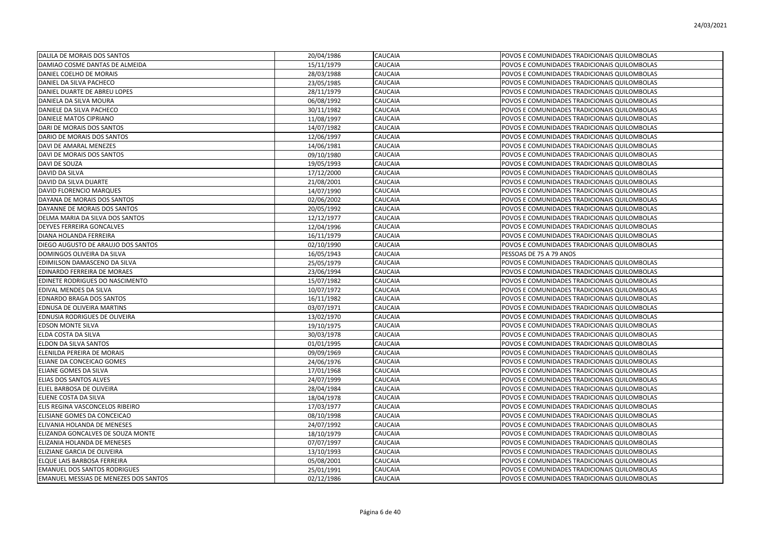| DALILA DE MORAIS DOS SANTOS           | 20/04/1986 | CAUCAIA        | POVOS E COMUNIDADES TRADICIONAIS QUILOMBOLAS |
|---------------------------------------|------------|----------------|----------------------------------------------|
| DAMIAO COSME DANTAS DE ALMEIDA        | 15/11/1979 | CAUCAIA        | POVOS E COMUNIDADES TRADICIONAIS QUILOMBOLAS |
| DANIEL COELHO DE MORAIS               | 28/03/1988 | CAUCAIA        | POVOS E COMUNIDADES TRADICIONAIS QUILOMBOLAS |
| DANIEL DA SILVA PACHECO               | 23/05/1985 | CAUCAIA        | POVOS E COMUNIDADES TRADICIONAIS QUILOMBOLAS |
| DANIEL DUARTE DE ABREU LOPES          | 28/11/1979 | CAUCAIA        | POVOS E COMUNIDADES TRADICIONAIS QUILOMBOLAS |
| DANIELA DA SILVA MOURA                | 06/08/1992 | CAUCAIA        | POVOS E COMUNIDADES TRADICIONAIS QUILOMBOLAS |
| DANIELE DA SILVA PACHECO              | 30/11/1982 | CAUCAIA        | POVOS E COMUNIDADES TRADICIONAIS QUILOMBOLAS |
| DANIELE MATOS CIPRIANO                | 11/08/1997 | <b>CAUCAIA</b> | POVOS E COMUNIDADES TRADICIONAIS QUILOMBOLAS |
| DARI DE MORAIS DOS SANTOS             | 14/07/1982 | CAUCAIA        | POVOS E COMUNIDADES TRADICIONAIS QUILOMBOLAS |
| DARIO DE MORAIS DOS SANTOS            | 12/06/1997 | CAUCAIA        | POVOS E COMUNIDADES TRADICIONAIS QUILOMBOLAS |
| DAVI DE AMARAL MENEZES                | 14/06/1981 | CAUCAIA        | POVOS E COMUNIDADES TRADICIONAIS QUILOMBOLAS |
| DAVI DE MORAIS DOS SANTOS             | 09/10/1980 | CAUCAIA        | POVOS E COMUNIDADES TRADICIONAIS QUILOMBOLAS |
| DAVI DE SOUZA                         | 19/05/1993 | CAUCAIA        | POVOS E COMUNIDADES TRADICIONAIS QUILOMBOLAS |
| DAVID DA SILVA                        | 17/12/2000 | CAUCAIA        | POVOS E COMUNIDADES TRADICIONAIS QUILOMBOLAS |
| DAVID DA SILVA DUARTE                 | 21/08/2001 | CAUCAIA        | POVOS E COMUNIDADES TRADICIONAIS QUILOMBOLAS |
| DAVID FLORENCIO MARQUES               | 14/07/1990 | CAUCAIA        | POVOS E COMUNIDADES TRADICIONAIS QUILOMBOLAS |
| DAYANA DE MORAIS DOS SANTOS           | 02/06/2002 | <b>CAUCAIA</b> | POVOS E COMUNIDADES TRADICIONAIS QUILOMBOLAS |
| DAYANNE DE MORAIS DOS SANTOS          | 20/05/1992 | CAUCAIA        | POVOS E COMUNIDADES TRADICIONAIS QUILOMBOLAS |
| DELMA MARIA DA SILVA DOS SANTOS       | 12/12/1977 | CAUCAIA        | POVOS E COMUNIDADES TRADICIONAIS QUILOMBOLAS |
| DEYVES FERREIRA GONCALVES             | 12/04/1996 | CAUCAIA        | POVOS E COMUNIDADES TRADICIONAIS QUILOMBOLAS |
| DIANA HOLANDA FERREIRA                | 16/11/1979 | CAUCAIA        | POVOS E COMUNIDADES TRADICIONAIS QUILOMBOLAS |
| DIEGO AUGUSTO DE ARAUJO DOS SANTOS    | 02/10/1990 | CAUCAIA        | POVOS E COMUNIDADES TRADICIONAIS QUILOMBOLAS |
| DOMINGOS OLIVEIRA DA SILVA            | 16/05/1943 | CAUCAIA        | PESSOAS DE 75 A 79 ANOS                      |
| EDIMILSON DAMASCENO DA SILVA          | 25/05/1979 | CAUCAIA        | POVOS E COMUNIDADES TRADICIONAIS QUILOMBOLAS |
| EDINARDO FERREIRA DE MORAES           | 23/06/1994 | <b>CAUCAIA</b> | POVOS E COMUNIDADES TRADICIONAIS QUILOMBOLAS |
| EDINETE RODRIGUES DO NASCIMENTO       | 15/07/1982 | CAUCAIA        | POVOS E COMUNIDADES TRADICIONAIS QUILOMBOLAS |
| EDIVAL MENDES DA SILVA                | 10/07/1972 | CAUCAIA        | POVOS E COMUNIDADES TRADICIONAIS QUILOMBOLAS |
| EDNARDO BRAGA DOS SANTOS              | 16/11/1982 | CAUCAIA        | POVOS E COMUNIDADES TRADICIONAIS QUILOMBOLAS |
| EDNUSA DE OLIVEIRA MARTINS            | 03/07/1971 | CAUCAIA        | POVOS E COMUNIDADES TRADICIONAIS QUILOMBOLAS |
| EDNUSIA RODRIGUES DE OLIVEIRA         | 13/02/1970 | CAUCAIA        | POVOS E COMUNIDADES TRADICIONAIS QUILOMBOLAS |
| <b>EDSON MONTE SILVA</b>              | 19/10/1975 | CAUCAIA        | POVOS E COMUNIDADES TRADICIONAIS QUILOMBOLAS |
| ELDA COSTA DA SILVA                   | 30/03/1978 | CAUCAIA        | POVOS E COMUNIDADES TRADICIONAIS QUILOMBOLAS |
| ELDON DA SILVA SANTOS                 | 01/01/1995 | <b>CAUCAIA</b> | POVOS E COMUNIDADES TRADICIONAIS QUILOMBOLAS |
| ELENILDA PEREIRA DE MORAIS            | 09/09/1969 | CAUCAIA        | POVOS E COMUNIDADES TRADICIONAIS QUILOMBOLAS |
| ELIANE DA CONCEICAO GOMES             | 24/06/1976 | <b>CAUCAIA</b> | POVOS E COMUNIDADES TRADICIONAIS QUILOMBOLAS |
| ELIANE GOMES DA SILVA                 | 17/01/1968 | CAUCAIA        | POVOS E COMUNIDADES TRADICIONAIS QUILOMBOLAS |
| ELIAS DOS SANTOS ALVES                | 24/07/1999 | CAUCAIA        | POVOS E COMUNIDADES TRADICIONAIS QUILOMBOLAS |
| ELIEL BARBOSA DE OLIVEIRA             | 28/04/1984 | CAUCAIA        | POVOS E COMUNIDADES TRADICIONAIS QUILOMBOLAS |
| ELIENE COSTA DA SILVA                 | 18/04/1978 | CAUCAIA        | POVOS E COMUNIDADES TRADICIONAIS QUILOMBOLAS |
| ELIS REGINA VASCONCELOS RIBEIRO       | 17/03/1977 | CAUCAIA        | POVOS E COMUNIDADES TRADICIONAIS QUILOMBOLAS |
| ELISIANE GOMES DA CONCEICAO           | 08/10/1998 | CAUCAIA        | POVOS E COMUNIDADES TRADICIONAIS QUILOMBOLAS |
| ELIVANIA HOLANDA DE MENESES           | 24/07/1992 | <b>CAUCAIA</b> | POVOS E COMUNIDADES TRADICIONAIS QUILOMBOLAS |
| ELIZANDA GONCALVES DE SOUZA MONTE     | 18/10/1979 | CAUCAIA        | POVOS E COMUNIDADES TRADICIONAIS QUILOMBOLAS |
| ELIZANIA HOLANDA DE MENESES           | 07/07/1997 | CAUCAIA        | POVOS E COMUNIDADES TRADICIONAIS QUILOMBOLAS |
| ELIZIANE GARCIA DE OLIVEIRA           | 13/10/1993 | CAUCAIA        | POVOS E COMUNIDADES TRADICIONAIS QUILOMBOLAS |
| ELQUE LAIS BARBOSA FERREIRA           | 05/08/2001 | CAUCAIA        | POVOS E COMUNIDADES TRADICIONAIS QUILOMBOLAS |
| <b>EMANUEL DOS SANTOS RODRIGUES</b>   | 25/01/1991 | CAUCAIA        | POVOS E COMUNIDADES TRADICIONAIS QUILOMBOLAS |
| EMANUEL MESSIAS DE MENEZES DOS SANTOS | 02/12/1986 | <b>CAUCAIA</b> | POVOS E COMUNIDADES TRADICIONAIS QUILOMBOLAS |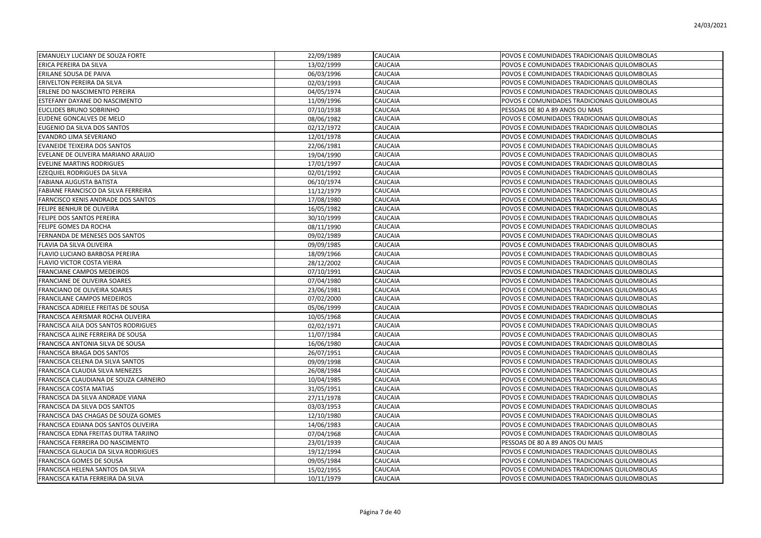| <b>EMANUELY LUCIANY DE SOUZA FORTE</b> | 22/09/1989 | <b>CAUCAIA</b> | POVOS E COMUNIDADES TRADICIONAIS QUILOMBOLAS |
|----------------------------------------|------------|----------------|----------------------------------------------|
| ERICA PEREIRA DA SILVA                 | 13/02/1999 | CAUCAIA        | POVOS E COMUNIDADES TRADICIONAIS QUILOMBOLAS |
| ERILANE SOUSA DE PAIVA                 | 06/03/1996 | CAUCAIA        | POVOS E COMUNIDADES TRADICIONAIS QUILOMBOLAS |
| ERIVELTON PEREIRA DA SILVA             | 02/03/1993 | CAUCAIA        | POVOS E COMUNIDADES TRADICIONAIS QUILOMBOLAS |
| ERLENE DO NASCIMENTO PEREIRA           | 04/05/1974 | CAUCAIA        | POVOS E COMUNIDADES TRADICIONAIS QUILOMBOLAS |
| ESTEFANY DAYANE DO NASCIMENTO          | 11/09/1996 | CAUCAIA        | POVOS E COMUNIDADES TRADICIONAIS QUILOMBOLAS |
| EUCLIDES BRUNO SOBRINHO                | 07/10/1938 | CAUCAIA        | PESSOAS DE 80 A 89 ANOS OU MAIS              |
| EUDENE GONCALVES DE MELO               | 08/06/1982 | CAUCAIA        | POVOS E COMUNIDADES TRADICIONAIS QUILOMBOLAS |
| EUGENIO DA SILVA DOS SANTOS            | 02/12/1972 | CAUCAIA        | POVOS E COMUNIDADES TRADICIONAIS QUILOMBOLAS |
| EVANDRO LIMA SEVERIANO                 | 12/01/1978 | <b>CAUCAIA</b> | POVOS E COMUNIDADES TRADICIONAIS QUILOMBOLAS |
| <b>EVANEIDE TEIXEIRA DOS SANTOS</b>    | 22/06/1981 | CAUCAIA        | POVOS E COMUNIDADES TRADICIONAIS QUILOMBOLAS |
| EVELANE DE OLIVEIRA MARIANO ARAUJO     | 19/04/1990 | CAUCAIA        | POVOS E COMUNIDADES TRADICIONAIS QUILOMBOLAS |
| <b>EVELINE MARTINS RODRIGUES</b>       | 17/01/1997 | CAUCAIA        | POVOS E COMUNIDADES TRADICIONAIS QUILOMBOLAS |
| EZEQUIEL RODRIGUES DA SILVA            | 02/01/1992 | CAUCAIA        | POVOS E COMUNIDADES TRADICIONAIS QUILOMBOLAS |
| FABIANA AUGUSTA BATISTA                | 06/10/1974 | CAUCAIA        | POVOS E COMUNIDADES TRADICIONAIS QUILOMBOLAS |
| FABIANE FRANCISCO DA SILVA FERREIRA    | 11/12/1979 | CAUCAIA        | POVOS E COMUNIDADES TRADICIONAIS QUILOMBOLAS |
| FARNCISCO KENIS ANDRADE DOS SANTOS     | 17/08/1980 | <b>CAUCAIA</b> | POVOS E COMUNIDADES TRADICIONAIS QUILOMBOLAS |
| FELIPE BENHUR DE OLIVEIRA              | 16/05/1982 | CAUCAIA        | POVOS E COMUNIDADES TRADICIONAIS QUILOMBOLAS |
| FELIPE DOS SANTOS PEREIRA              | 30/10/1999 | CAUCAIA        | POVOS E COMUNIDADES TRADICIONAIS QUILOMBOLAS |
| FELIPE GOMES DA ROCHA                  | 08/11/1990 | CAUCAIA        | POVOS E COMUNIDADES TRADICIONAIS QUILOMBOLAS |
| FERNANDA DE MENESES DOS SANTOS         | 09/02/1989 | CAUCAIA        | POVOS E COMUNIDADES TRADICIONAIS QUILOMBOLAS |
| FLAVIA DA SILVA OLIVEIRA               | 09/09/1985 | CAUCAIA        | POVOS E COMUNIDADES TRADICIONAIS QUILOMBOLAS |
| FLAVIO LUCIANO BARBOSA PEREIRA         | 18/09/1966 | CAUCAIA        | POVOS E COMUNIDADES TRADICIONAIS QUILOMBOLAS |
| FLAVIO VICTOR COSTA VIEIRA             | 28/12/2002 | CAUCAIA        | POVOS E COMUNIDADES TRADICIONAIS QUILOMBOLAS |
| FRANCIANE CAMPOS MEDEIROS              | 07/10/1991 | CAUCAIA        | POVOS E COMUNIDADES TRADICIONAIS QUILOMBOLAS |
| FRANCIANE DE OLIVEIRA SOARES           | 07/04/1980 | <b>CAUCAIA</b> | POVOS E COMUNIDADES TRADICIONAIS QUILOMBOLAS |
| FRANCIANO DE OLIVEIRA SOARES           | 23/06/1981 | CAUCAIA        | POVOS E COMUNIDADES TRADICIONAIS QUILOMBOLAS |
| FRANCILANE CAMPOS MEDEIROS             | 07/02/2000 | CAUCAIA        | POVOS E COMUNIDADES TRADICIONAIS QUILOMBOLAS |
| FRANCISCA ADRIELE FREITAS DE SOUSA     | 05/06/1999 | CAUCAIA        | POVOS E COMUNIDADES TRADICIONAIS QUILOMBOLAS |
| FRANCISCA AERISMAR ROCHA OLIVEIRA      | 10/05/1968 | CAUCAIA        | POVOS E COMUNIDADES TRADICIONAIS QUILOMBOLAS |
| FRANCISCA AILA DOS SANTOS RODRIGUES    | 02/02/1971 | CAUCAIA        | POVOS E COMUNIDADES TRADICIONAIS QUILOMBOLAS |
| FRANCISCA ALINE FERREIRA DE SOUSA      | 11/07/1984 | CAUCAIA        | POVOS E COMUNIDADES TRADICIONAIS QUILOMBOLAS |
| FRANCISCA ANTONIA SILVA DE SOUSA       | 16/06/1980 | CAUCAIA        | POVOS E COMUNIDADES TRADICIONAIS QUILOMBOLAS |
| FRANCISCA BRAGA DOS SANTOS             | 26/07/1951 | CAUCAIA        | POVOS E COMUNIDADES TRADICIONAIS QUILOMBOLAS |
| FRANCISCA CELENA DA SILVA SANTOS       | 09/09/1998 | <b>CAUCAIA</b> | POVOS E COMUNIDADES TRADICIONAIS QUILOMBOLAS |
| FRANCISCA CLAUDIA SILVA MENEZES        | 26/08/1984 | CAUCAIA        | POVOS E COMUNIDADES TRADICIONAIS QUILOMBOLAS |
| FRANCISCA CLAUDIANA DE SOUZA CARNEIRO  | 10/04/1985 | CAUCAIA        | POVOS E COMUNIDADES TRADICIONAIS QUILOMBOLAS |
| FRANCISCA COSTA MATIAS                 | 31/05/1951 | CAUCAIA        | POVOS E COMUNIDADES TRADICIONAIS QUILOMBOLAS |
| FRANCISCA DA SILVA ANDRADE VIANA       | 27/11/1978 | CAUCAIA        | POVOS E COMUNIDADES TRADICIONAIS QUILOMBOLAS |
| FRANCISCA DA SILVA DOS SANTOS          | 03/03/1953 | CAUCAIA        | POVOS E COMUNIDADES TRADICIONAIS QUILOMBOLAS |
| FRANCISCA DAS CHAGAS DE SOUZA GOMES    | 12/10/1980 | CAUCAIA        | POVOS E COMUNIDADES TRADICIONAIS QUILOMBOLAS |
| FRANCISCA EDIANA DOS SANTOS OLIVEIRA   | 14/06/1983 | CAUCAIA        | POVOS E COMUNIDADES TRADICIONAIS QUILOMBOLAS |
| FRANCISCA EDNA FREITAS DUTRA TARJINO   | 07/04/1968 | CAUCAIA        | POVOS E COMUNIDADES TRADICIONAIS QUILOMBOLAS |
| FRANCISCA FERREIRA DO NASCIMENTO       | 23/01/1939 | CAUCAIA        | PESSOAS DE 80 A 89 ANOS OU MAIS              |
| FRANCISCA GLAUCIA DA SILVA RODRIGUES   | 19/12/1994 | CAUCAIA        | POVOS E COMUNIDADES TRADICIONAIS QUILOMBOLAS |
| FRANCISCA GOMES DE SOUSA               | 09/05/1984 | CAUCAIA        | POVOS E COMUNIDADES TRADICIONAIS QUILOMBOLAS |
| FRANCISCA HELENA SANTOS DA SILVA       | 15/02/1955 | CAUCAIA        | POVOS E COMUNIDADES TRADICIONAIS QUILOMBOLAS |
| FRANCISCA KATIA FERREIRA DA SILVA      | 10/11/1979 | <b>CAUCAIA</b> | POVOS E COMUNIDADES TRADICIONAIS QUILOMBOLAS |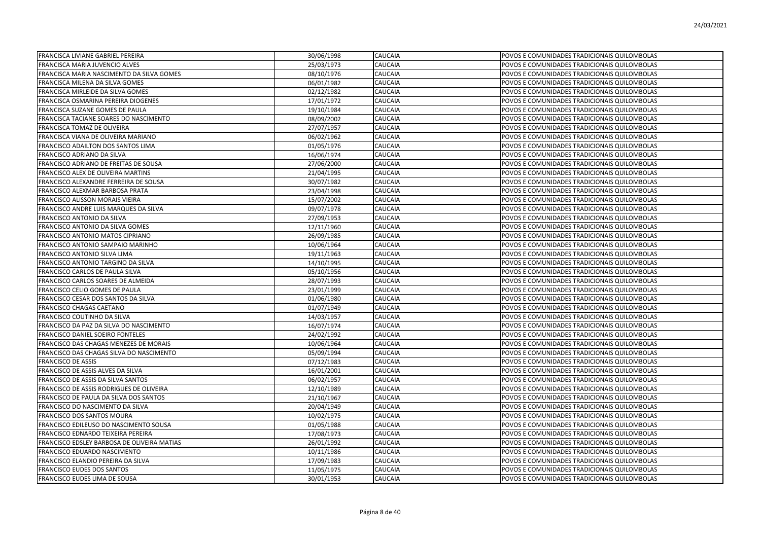| FRANCISCA LIVIANE GABRIEL PEREIRA           | 30/06/1998 | <b>CAUCAIA</b> | POVOS E COMUNIDADES TRADICIONAIS QUILOMBOLAS |
|---------------------------------------------|------------|----------------|----------------------------------------------|
| <b>FRANCISCA MARIA JUVENCIO ALVES</b>       | 25/03/1973 | CAUCAIA        | POVOS E COMUNIDADES TRADICIONAIS QUILOMBOLAS |
| FRANCISCA MARIA NASCIMENTO DA SILVA GOMES   | 08/10/1976 | CAUCAIA        | POVOS E COMUNIDADES TRADICIONAIS QUILOMBOLAS |
| FRANCISCA MILENA DA SILVA GOMES             | 06/01/1982 | CAUCAIA        | POVOS E COMUNIDADES TRADICIONAIS QUILOMBOLAS |
| FRANCISCA MIRLEIDE DA SILVA GOMES           | 02/12/1982 | CAUCAIA        | POVOS E COMUNIDADES TRADICIONAIS QUILOMBOLAS |
| FRANCISCA OSMARINA PEREIRA DIOGENES         | 17/01/1972 | CAUCAIA        | POVOS E COMUNIDADES TRADICIONAIS QUILOMBOLAS |
| FRANCISCA SUZANE GOMES DE PAULA             | 19/10/1984 | CAUCAIA        | POVOS E COMUNIDADES TRADICIONAIS QUILOMBOLAS |
| FRANCISCA TACIANE SOARES DO NASCIMENTO      | 08/09/2002 | CAUCAIA        | POVOS E COMUNIDADES TRADICIONAIS QUILOMBOLAS |
| FRANCISCA TOMAZ DE OLIVEIRA                 | 27/07/1957 | CAUCAIA        | POVOS E COMUNIDADES TRADICIONAIS QUILOMBOLAS |
| FRANCISCA VIANA DE OLIVEIRA MARIANO         | 06/02/1962 | CAUCAIA        | POVOS E COMUNIDADES TRADICIONAIS QUILOMBOLAS |
| FRANCISCO ADAILTON DOS SANTOS LIMA          | 01/05/1976 | CAUCAIA        | POVOS E COMUNIDADES TRADICIONAIS QUILOMBOLAS |
| FRANCISCO ADRIANO DA SILVA                  | 16/06/1974 | CAUCAIA        | POVOS E COMUNIDADES TRADICIONAIS QUILOMBOLAS |
| FRANCISCO ADRIANO DE FREITAS DE SOUSA       | 27/06/2000 | CAUCAIA        | POVOS E COMUNIDADES TRADICIONAIS QUILOMBOLAS |
| FRANCISCO ALEX DE OLIVEIRA MARTINS          | 21/04/1995 | CAUCAIA        | POVOS E COMUNIDADES TRADICIONAIS QUILOMBOLAS |
| FRANCISCO ALEXANDRE FERREIRA DE SOUSA       | 30/07/1982 | CAUCAIA        | POVOS E COMUNIDADES TRADICIONAIS QUILOMBOLAS |
| FRANCISCO ALEXMAR BARBOSA PRATA             | 23/04/1998 | CAUCAIA        | POVOS E COMUNIDADES TRADICIONAIS QUILOMBOLAS |
| FRANCISCO ALISSON MORAIS VIEIRA             | 15/07/2002 | CAUCAIA        | POVOS E COMUNIDADES TRADICIONAIS QUILOMBOLAS |
| FRANCISCO ANDRE LUIS MARQUES DA SILVA       | 09/07/1978 | CAUCAIA        | POVOS E COMUNIDADES TRADICIONAIS QUILOMBOLAS |
| FRANCISCO ANTONIO DA SILVA                  | 27/09/1953 | CAUCAIA        | POVOS E COMUNIDADES TRADICIONAIS QUILOMBOLAS |
| FRANCISCO ANTONIO DA SILVA GOMES            | 12/11/1960 | CAUCAIA        | POVOS E COMUNIDADES TRADICIONAIS QUILOMBOLAS |
| FRANCISCO ANTONIO MATOS CIPRIANO            | 26/09/1985 | CAUCAIA        | POVOS E COMUNIDADES TRADICIONAIS QUILOMBOLAS |
| FRANCISCO ANTONIO SAMPAIO MARINHO           | 10/06/1964 | CAUCAIA        | POVOS E COMUNIDADES TRADICIONAIS QUILOMBOLAS |
| FRANCISCO ANTONIO SILVA LIMA                | 19/11/1963 | CAUCAIA        | POVOS E COMUNIDADES TRADICIONAIS QUILOMBOLAS |
| FRANCISCO ANTONIO TARGINO DA SILVA          | 14/10/1995 | CAUCAIA        | POVOS E COMUNIDADES TRADICIONAIS QUILOMBOLAS |
| FRANCISCO CARLOS DE PAULA SILVA             | 05/10/1956 | CAUCAIA        | POVOS E COMUNIDADES TRADICIONAIS QUILOMBOLAS |
| FRANCISCO CARLOS SOARES DE ALMEIDA          | 28/07/1993 | CAUCAIA        | POVOS E COMUNIDADES TRADICIONAIS QUILOMBOLAS |
| FRANCISCO CELIO GOMES DE PAULA              | 23/01/1999 | CAUCAIA        | POVOS E COMUNIDADES TRADICIONAIS QUILOMBOLAS |
| FRANCISCO CESAR DOS SANTOS DA SILVA         | 01/06/1980 | CAUCAIA        | POVOS E COMUNIDADES TRADICIONAIS QUILOMBOLAS |
| FRANCISCO CHAGAS CAETANO                    | 01/07/1949 | CAUCAIA        | POVOS E COMUNIDADES TRADICIONAIS QUILOMBOLAS |
| FRANCISCO COUTINHO DA SILVA                 | 14/03/1957 | CAUCAIA        | POVOS E COMUNIDADES TRADICIONAIS QUILOMBOLAS |
| FRANCISCO DA PAZ DA SILVA DO NASCIMENTO     | 16/07/1974 | CAUCAIA        | POVOS E COMUNIDADES TRADICIONAIS QUILOMBOLAS |
| FRANCISCO DANIEL SOEIRO FONTELES            | 24/02/1992 | CAUCAIA        | POVOS E COMUNIDADES TRADICIONAIS QUILOMBOLAS |
| FRANCISCO DAS CHAGAS MENEZES DE MORAIS      | 10/06/1964 | CAUCAIA        | POVOS E COMUNIDADES TRADICIONAIS QUILOMBOLAS |
| FRANCISCO DAS CHAGAS SILVA DO NASCIMENTO    | 05/09/1994 | CAUCAIA        | POVOS E COMUNIDADES TRADICIONAIS QUILOMBOLAS |
| <b>FRANCISCO DE ASSIS</b>                   | 07/12/1983 | CAUCAIA        | POVOS E COMUNIDADES TRADICIONAIS QUILOMBOLAS |
| FRANCISCO DE ASSIS ALVES DA SILVA           | 16/01/2001 | CAUCAIA        | POVOS E COMUNIDADES TRADICIONAIS QUILOMBOLAS |
| FRANCISCO DE ASSIS DA SILVA SANTOS          | 06/02/1957 | CAUCAIA        | POVOS E COMUNIDADES TRADICIONAIS QUILOMBOLAS |
| FRANCISCO DE ASSIS RODRIGUES DE OLIVEIRA    | 12/10/1989 | CAUCAIA        | POVOS E COMUNIDADES TRADICIONAIS QUILOMBOLAS |
| FRANCISCO DE PAULA DA SILVA DOS SANTOS      | 21/10/1967 | CAUCAIA        | POVOS E COMUNIDADES TRADICIONAIS QUILOMBOLAS |
| FRANCISCO DO NASCIMENTO DA SILVA            | 20/04/1949 | CAUCAIA        | POVOS E COMUNIDADES TRADICIONAIS QUILOMBOLAS |
| FRANCISCO DOS SANTOS MOURA                  | 10/02/1975 | CAUCAIA        | POVOS E COMUNIDADES TRADICIONAIS QUILOMBOLAS |
| FRANCISCO EDILEUSO DO NASCIMENTO SOUSA      | 01/05/1988 | CAUCAIA        | POVOS E COMUNIDADES TRADICIONAIS QUILOMBOLAS |
| FRANCISCO EDNARDO TEIXEIRA PEREIRA          | 17/08/1973 | CAUCAIA        | POVOS E COMUNIDADES TRADICIONAIS QUILOMBOLAS |
| FRANCISCO EDSLEY BARBOSA DE OLIVEIRA MATIAS | 26/01/1992 | CAUCAIA        | POVOS E COMUNIDADES TRADICIONAIS QUILOMBOLAS |
| FRANCISCO EDUARDO NASCIMENTO                | 10/11/1986 | CAUCAIA        | POVOS E COMUNIDADES TRADICIONAIS QUILOMBOLAS |
| FRANCISCO ELANDIO PEREIRA DA SILVA          | 17/09/1983 | CAUCAIA        | POVOS E COMUNIDADES TRADICIONAIS QUILOMBOLAS |
| <b>FRANCISCO EUDES DOS SANTOS</b>           | 11/05/1975 | CAUCAIA        | POVOS E COMUNIDADES TRADICIONAIS QUILOMBOLAS |
| FRANCISCO EUDES LIMA DE SOUSA               | 30/01/1953 | <b>CAUCAIA</b> | POVOS E COMUNIDADES TRADICIONAIS QUILOMBOLAS |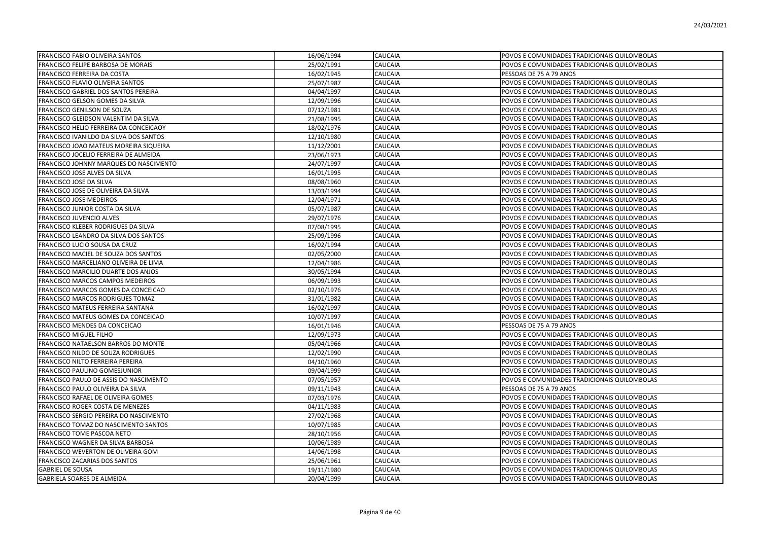| <b>FRANCISCO FABIO OLIVEIRA SANTOS</b>     | 16/06/1994 | <b>CAUCAIA</b> | POVOS E COMUNIDADES TRADICIONAIS QUILOMBOLAS |
|--------------------------------------------|------------|----------------|----------------------------------------------|
| <b>FRANCISCO FELIPE BARBOSA DE MORAIS</b>  | 25/02/1991 | CAUCAIA        | POVOS E COMUNIDADES TRADICIONAIS QUILOMBOLAS |
| FRANCISCO FERREIRA DA COSTA                | 16/02/1945 | CAUCAIA        | PESSOAS DE 75 A 79 ANOS                      |
| FRANCISCO FLAVIO OLIVEIRA SANTOS           | 25/07/1987 | CAUCAIA        | POVOS E COMUNIDADES TRADICIONAIS QUILOMBOLAS |
| FRANCISCO GABRIEL DOS SANTOS PEREIRA       | 04/04/1997 | CAUCAIA        | POVOS E COMUNIDADES TRADICIONAIS QUILOMBOLAS |
| FRANCISCO GELSON GOMES DA SILVA            | 12/09/1996 | CAUCAIA        | POVOS E COMUNIDADES TRADICIONAIS QUILOMBOLAS |
| FRANCISCO GENILSON DE SOUZA                | 07/12/1981 | CAUCAIA        | POVOS E COMUNIDADES TRADICIONAIS QUILOMBOLAS |
| FRANCISCO GLEIDSON VALENTIM DA SILVA       | 21/08/1995 | CAUCAIA        | POVOS E COMUNIDADES TRADICIONAIS QUILOMBOLAS |
| FRANCISCO HELIO FERREIRA DA CONCEICAOY     | 18/02/1976 | CAUCAIA        | POVOS E COMUNIDADES TRADICIONAIS QUILOMBOLAS |
| FRANCISCO IVANILDO DA SILVA DOS SANTOS     | 12/10/1980 | CAUCAIA        | POVOS E COMUNIDADES TRADICIONAIS QUILOMBOLAS |
| FRANCISCO JOAO MATEUS MOREIRA SIQUEIRA     | 11/12/2001 | CAUCAIA        | POVOS E COMUNIDADES TRADICIONAIS QUILOMBOLAS |
| FRANCISCO JOCELIO FERREIRA DE ALMEIDA      | 23/06/1973 | CAUCAIA        | POVOS E COMUNIDADES TRADICIONAIS QUILOMBOLAS |
| FRANCISCO JOHNNY MARQUES DO NASCIMENTO     | 24/07/1997 | CAUCAIA        | POVOS E COMUNIDADES TRADICIONAIS QUILOMBOLAS |
| FRANCISCO JOSE ALVES DA SILVA              | 16/01/1995 | CAUCAIA        | POVOS E COMUNIDADES TRADICIONAIS QUILOMBOLAS |
| FRANCISCO JOSE DA SILVA                    | 08/08/1960 | CAUCAIA        | POVOS E COMUNIDADES TRADICIONAIS QUILOMBOLAS |
| FRANCISCO JOSE DE OLIVEIRA DA SILVA        | 13/03/1994 | CAUCAIA        | POVOS E COMUNIDADES TRADICIONAIS QUILOMBOLAS |
| <b>FRANCISCO JOSE MEDEIROS</b>             | 12/04/1971 | CAUCAIA        | POVOS E COMUNIDADES TRADICIONAIS QUILOMBOLAS |
| FRANCISCO JUNIOR COSTA DA SILVA            | 05/07/1987 | CAUCAIA        | POVOS E COMUNIDADES TRADICIONAIS QUILOMBOLAS |
| <b>FRANCISCO JUVENCIO ALVES</b>            | 29/07/1976 | CAUCAIA        | POVOS E COMUNIDADES TRADICIONAIS QUILOMBOLAS |
| <b>FRANCISCO KLEBER RODRIGUES DA SILVA</b> | 07/08/1995 | CAUCAIA        | POVOS E COMUNIDADES TRADICIONAIS QUILOMBOLAS |
| FRANCISCO LEANDRO DA SILVA DOS SANTOS      | 25/09/1996 | CAUCAIA        | POVOS E COMUNIDADES TRADICIONAIS QUILOMBOLAS |
| FRANCISCO LUCIO SOUSA DA CRUZ              | 16/02/1994 | CAUCAIA        | POVOS E COMUNIDADES TRADICIONAIS QUILOMBOLAS |
| FRANCISCO MACIEL DE SOUZA DOS SANTOS       | 02/05/2000 | CAUCAIA        | POVOS E COMUNIDADES TRADICIONAIS QUILOMBOLAS |
| FRANCISCO MARCELIANO OLIVEIRA DE LIMA      | 12/04/1986 | CAUCAIA        | POVOS E COMUNIDADES TRADICIONAIS QUILOMBOLAS |
| FRANCISCO MARCILIO DUARTE DOS ANJOS        | 30/05/1994 | CAUCAIA        | POVOS E COMUNIDADES TRADICIONAIS QUILOMBOLAS |
| FRANCISCO MARCOS CAMPOS MEDEIROS           | 06/09/1993 | CAUCAIA        | POVOS E COMUNIDADES TRADICIONAIS QUILOMBOLAS |
| FRANCISCO MARCOS GOMES DA CONCEICAO        | 02/10/1976 | CAUCAIA        | POVOS E COMUNIDADES TRADICIONAIS QUILOMBOLAS |
| FRANCISCO MARCOS RODRIGUES TOMAZ           | 31/01/1982 | CAUCAIA        | POVOS E COMUNIDADES TRADICIONAIS QUILOMBOLAS |
| FRANCISCO MATEUS FERREIRA SANTANA          | 16/02/1997 | CAUCAIA        | POVOS E COMUNIDADES TRADICIONAIS QUILOMBOLAS |
| FRANCISCO MATEUS GOMES DA CONCEICAO        | 10/07/1997 | CAUCAIA        | POVOS E COMUNIDADES TRADICIONAIS QUILOMBOLAS |
| FRANCISCO MENDES DA CONCEICAO              | 16/01/1946 | CAUCAIA        | PESSOAS DE 75 A 79 ANOS                      |
| FRANCISCO MIGUEL FILHO                     | 12/09/1973 | CAUCAIA        | POVOS E COMUNIDADES TRADICIONAIS QUILOMBOLAS |
| FRANCISCO NATAELSON BARROS DO MONTE        | 05/04/1966 | CAUCAIA        | POVOS E COMUNIDADES TRADICIONAIS QUILOMBOLAS |
| FRANCISCO NILDO DE SOUZA RODRIGUES         | 12/02/1990 | CAUCAIA        | POVOS E COMUNIDADES TRADICIONAIS QUILOMBOLAS |
| FRANCISCO NILTO FERREIRA PEREIRA           | 04/10/1960 | CAUCAIA        | POVOS E COMUNIDADES TRADICIONAIS QUILOMBOLAS |
| <b>FRANCISCO PAULINO GOMESJUNIOR</b>       | 09/04/1999 | CAUCAIA        | POVOS E COMUNIDADES TRADICIONAIS QUILOMBOLAS |
| FRANCISCO PAULO DE ASSIS DO NASCIMENTO     | 07/05/1957 | CAUCAIA        | POVOS E COMUNIDADES TRADICIONAIS QUILOMBOLAS |
| FRANCISCO PAULO OLIVEIRA DA SILVA          | 09/11/1943 | CAUCAIA        | PESSOAS DE 75 A 79 ANOS                      |
| FRANCISCO RAFAEL DE OLIVEIRA GOMES         | 07/03/1976 | CAUCAIA        | POVOS E COMUNIDADES TRADICIONAIS QUILOMBOLAS |
| FRANCISCO ROGER COSTA DE MENEZES           | 04/11/1983 | CAUCAIA        | POVOS E COMUNIDADES TRADICIONAIS QUILOMBOLAS |
| FRANCISCO SERGIO PEREIRA DO NASCIMENTO     | 27/02/1968 | CAUCAIA        | POVOS E COMUNIDADES TRADICIONAIS QUILOMBOLAS |
| FRANCISCO TOMAZ DO NASCIMENTO SANTOS       | 10/07/1985 | CAUCAIA        | POVOS E COMUNIDADES TRADICIONAIS QUILOMBOLAS |
| <b>FRANCISCO TOME PASCOA NETO</b>          | 28/10/1956 | CAUCAIA        | POVOS E COMUNIDADES TRADICIONAIS QUILOMBOLAS |
| FRANCISCO WAGNER DA SILVA BARBOSA          | 10/06/1989 | CAUCAIA        | POVOS E COMUNIDADES TRADICIONAIS QUILOMBOLAS |
| FRANCISCO WEVERTON DE OLIVEIRA GOM         | 14/06/1998 | CAUCAIA        | POVOS E COMUNIDADES TRADICIONAIS QUILOMBOLAS |
| FRANCISCO ZACARIAS DOS SANTOS              | 25/06/1961 | CAUCAIA        | POVOS E COMUNIDADES TRADICIONAIS QUILOMBOLAS |
| <b>GABRIEL DE SOUSA</b>                    | 19/11/1980 | CAUCAIA        | POVOS E COMUNIDADES TRADICIONAIS QUILOMBOLAS |
| <b>GABRIELA SOARES DE ALMEIDA</b>          | 20/04/1999 | <b>CAUCAIA</b> | POVOS E COMUNIDADES TRADICIONAIS QUILOMBOLAS |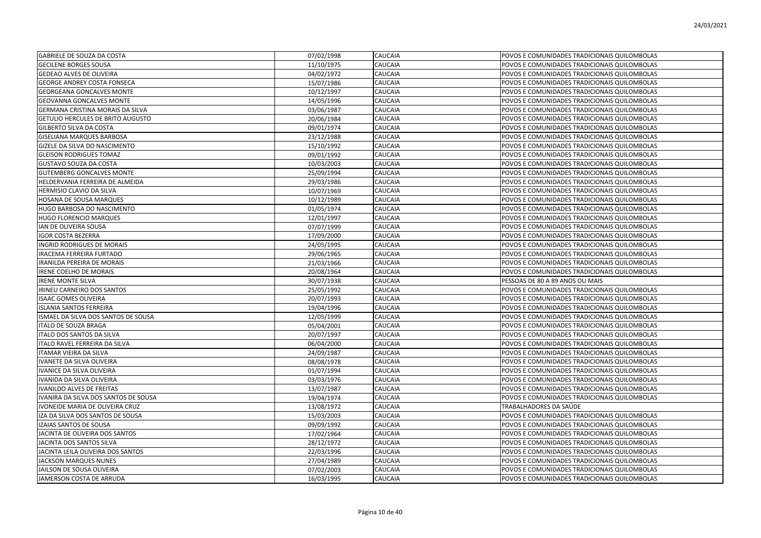| GABRIELE DE SOUZA DA COSTA                | 07/02/1998 | <b>CAUCAIA</b> | POVOS E COMUNIDADES TRADICIONAIS QUILOMBOLAS |
|-------------------------------------------|------------|----------------|----------------------------------------------|
| <b>GECILENE BORGES SOUSA</b>              | 11/10/1975 | CAUCAIA        | POVOS E COMUNIDADES TRADICIONAIS QUILOMBOLAS |
| <b>GEDEAO ALVES DE OLIVEIRA</b>           | 04/02/1972 | CAUCAIA        | POVOS E COMUNIDADES TRADICIONAIS QUILOMBOLAS |
| <b>GEORGE ANDREY COSTA FONSECA</b>        | 15/07/1986 | CAUCAIA        | POVOS E COMUNIDADES TRADICIONAIS QUILOMBOLAS |
| <b>GEORGEANA GONCALVES MONTE</b>          | 10/12/1997 | CAUCAIA        | POVOS E COMUNIDADES TRADICIONAIS QUILOMBOLAS |
| <b>GEOVANNA GONCALVES MONTE</b>           | 14/05/1996 | CAUCAIA        | POVOS E COMUNIDADES TRADICIONAIS QUILOMBOLAS |
| GERMANA CRISTINA MORAIS DA SILVA          | 03/06/1987 | CAUCAIA        | POVOS E COMUNIDADES TRADICIONAIS QUILOMBOLAS |
| GETULIO HERCULES DE BRITO AUGUSTO         | 20/06/1984 | CAUCAIA        | POVOS E COMUNIDADES TRADICIONAIS QUILOMBOLAS |
| <b>GILBERTO SILVA DA COSTA</b>            | 09/01/1974 | CAUCAIA        | POVOS E COMUNIDADES TRADICIONAIS QUILOMBOLAS |
| GISELIANA MARQUES BARBOSA                 | 23/12/1988 | CAUCAIA        | POVOS E COMUNIDADES TRADICIONAIS QUILOMBOLAS |
| GIZELE DA SILVA DO NASCIMENTO             | 15/10/1992 | CAUCAIA        | POVOS E COMUNIDADES TRADICIONAIS QUILOMBOLAS |
| <b>GLEISON RODRIGUES TOMAZ</b>            | 09/01/1992 | CAUCAIA        | POVOS E COMUNIDADES TRADICIONAIS QUILOMBOLAS |
| GUSTAVO SOUZA DA COSTA                    | 10/03/2003 | CAUCAIA        | POVOS E COMUNIDADES TRADICIONAIS QUILOMBOLAS |
| <b>GUTEMBERG GONCALVES MONTE</b>          | 25/09/1994 | CAUCAIA        | POVOS E COMUNIDADES TRADICIONAIS QUILOMBOLAS |
| HELDERVANIA FERREIRA DE ALMEIDA           | 29/03/1986 | CAUCAIA        | POVOS E COMUNIDADES TRADICIONAIS QUILOMBOLAS |
| HERMISIO CLAVIO DA SILVA                  | 10/07/1969 | CAUCAIA        | POVOS E COMUNIDADES TRADICIONAIS QUILOMBOLAS |
| HOSANA DE SOUSA MARQUES                   | 10/12/1989 | CAUCAIA        | POVOS E COMUNIDADES TRADICIONAIS QUILOMBOLAS |
| HUGO BARBOSA DO NASCIMENTO                | 01/05/1974 | CAUCAIA        | POVOS E COMUNIDADES TRADICIONAIS QUILOMBOLAS |
| HUGO FLORENCIO MARQUES                    | 12/01/1997 | CAUCAIA        | POVOS E COMUNIDADES TRADICIONAIS QUILOMBOLAS |
| IAN DE OLIVEIRA SOUSA                     | 07/07/1999 | CAUCAIA        | POVOS E COMUNIDADES TRADICIONAIS QUILOMBOLAS |
| <b>GOR COSTA BEZERRA</b>                  | 17/09/2000 | CAUCAIA        | POVOS E COMUNIDADES TRADICIONAIS QUILOMBOLAS |
| INGRID RODRIGUES DE MORAIS                | 24/05/1995 | CAUCAIA        | POVOS E COMUNIDADES TRADICIONAIS QUILOMBOLAS |
| IRACEMA FERREIRA FURTADO                  | 29/06/1965 | CAUCAIA        | POVOS E COMUNIDADES TRADICIONAIS QUILOMBOLAS |
| <b>IRANILDA PEREIRA DE MORAIS</b>         | 21/03/1966 | CAUCAIA        | POVOS E COMUNIDADES TRADICIONAIS QUILOMBOLAS |
| IRENE COELHO DE MORAIS                    | 20/08/1964 | CAUCAIA        | POVOS E COMUNIDADES TRADICIONAIS QUILOMBOLAS |
| <b>IRENE MONTE SILVA</b>                  | 30/07/1938 | <b>CAUCAIA</b> | PESSOAS DE 80 A 89 ANOS OU MAIS              |
| IRINEU CARNEIRO DOS SANTOS                | 25/05/1992 | CAUCAIA        | POVOS E COMUNIDADES TRADICIONAIS QUILOMBOLAS |
| ISAAC GOMES OLIVEIRA                      | 20/07/1993 | CAUCAIA        | POVOS E COMUNIDADES TRADICIONAIS QUILOMBOLAS |
| ISLANIA SANTOS FERREIRA                   | 19/04/1996 | CAUCAIA        | POVOS E COMUNIDADES TRADICIONAIS QUILOMBOLAS |
| <b>SMAEL DA SILVA DOS SANTOS DE SOUSA</b> | 12/05/1999 | CAUCAIA        | POVOS E COMUNIDADES TRADICIONAIS QUILOMBOLAS |
| <b>ITALO DE SOUZA BRAGA</b>               | 05/04/2001 | CAUCAIA        | POVOS E COMUNIDADES TRADICIONAIS QUILOMBOLAS |
| ITALO DOS SANTOS DA SILVA                 | 20/07/1997 | CAUCAIA        | POVOS E COMUNIDADES TRADICIONAIS QUILOMBOLAS |
| ITALO RAVEL FERREIRA DA SILVA             | 06/04/2000 | CAUCAIA        | POVOS E COMUNIDADES TRADICIONAIS QUILOMBOLAS |
| <b>ITAMAR VIEIRA DA SILVA</b>             | 24/09/1987 | CAUCAIA        | POVOS E COMUNIDADES TRADICIONAIS QUILOMBOLAS |
| IVANETE DA SILVA OLIVEIRA                 | 08/08/1978 | CAUCAIA        | POVOS E COMUNIDADES TRADICIONAIS QUILOMBOLAS |
| IVANICE DA SILVA OLIVEIRA                 | 01/07/1994 | CAUCAIA        | POVOS E COMUNIDADES TRADICIONAIS QUILOMBOLAS |
| IVANIDA DA SILVA OLIVEIRA                 | 03/03/1976 | CAUCAIA        | POVOS E COMUNIDADES TRADICIONAIS QUILOMBOLAS |
| <b>IVANILDO ALVES DE FREITAS</b>          | 13/07/1987 | CAUCAIA        | POVOS E COMUNIDADES TRADICIONAIS QUILOMBOLAS |
| IVANIRA DA SILVA DOS SANTOS DE SOUSA      | 19/04/1974 | CAUCAIA        | POVOS E COMUNIDADES TRADICIONAIS QUILOMBOLAS |
| IVONEIDE MARIA DE OLIVEIRA CRUZ           | 13/08/1972 | CAUCAIA        | TRABALHADORES DA SAÚDE                       |
| IZA DA SILVA DOS SANTOS DE SOUSA          | 15/03/2003 | CAUCAIA        | POVOS E COMUNIDADES TRADICIONAIS QUILOMBOLAS |
| IZAIAS SANTOS DE SOUSA                    | 09/09/1992 | CAUCAIA        | POVOS E COMUNIDADES TRADICIONAIS QUILOMBOLAS |
| JACINTA DE OLIVEIRA DOS SANTOS            | 17/02/1964 | CAUCAIA        | POVOS E COMUNIDADES TRADICIONAIS QUILOMBOLAS |
| JACINTA DOS SANTOS SILVA                  | 28/12/1972 | CAUCAIA        | POVOS E COMUNIDADES TRADICIONAIS QUILOMBOLAS |
| JACINTA LEILA OLIVEIRA DOS SANTOS         | 22/03/1996 | CAUCAIA        | POVOS E COMUNIDADES TRADICIONAIS QUILOMBOLAS |
| JACKSON MARQUES NUNES                     | 27/04/1989 | CAUCAIA        | POVOS E COMUNIDADES TRADICIONAIS QUILOMBOLAS |
| JAILSON DE SOUSA OLIVEIRA                 | 07/02/2003 | CAUCAIA        | POVOS E COMUNIDADES TRADICIONAIS QUILOMBOLAS |
| JAMERSON COSTA DE ARRUDA                  | 16/03/1995 | <b>CAUCAIA</b> | POVOS E COMUNIDADES TRADICIONAIS QUILOMBOLAS |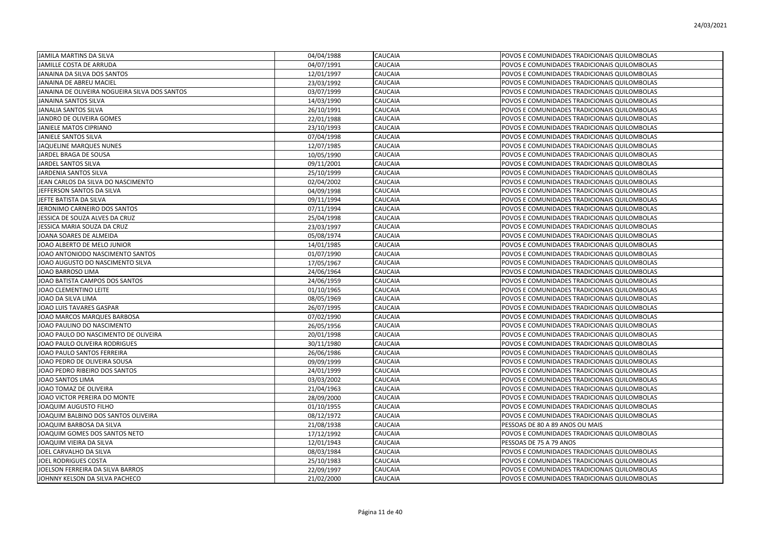| JAMILA MARTINS DA SILVA                       | 04/04/1988 | <b>CAUCAIA</b> | POVOS E COMUNIDADES TRADICIONAIS QUILOMBOLAS |
|-----------------------------------------------|------------|----------------|----------------------------------------------|
| JAMILLE COSTA DE ARRUDA                       | 04/07/1991 | CAUCAIA        | POVOS E COMUNIDADES TRADICIONAIS QUILOMBOLAS |
| JANAINA DA SILVA DOS SANTOS                   | 12/01/1997 | CAUCAIA        | POVOS E COMUNIDADES TRADICIONAIS QUILOMBOLAS |
| JANAINA DE ABREU MACIEL                       | 23/03/1992 | CAUCAIA        | POVOS E COMUNIDADES TRADICIONAIS QUILOMBOLAS |
| JANAINA DE OLIVEIRA NOGUEIRA SILVA DOS SANTOS | 03/07/1999 | CAUCAIA        | POVOS E COMUNIDADES TRADICIONAIS QUILOMBOLAS |
| <b>JANAINA SANTOS SILVA</b>                   | 14/03/1990 | CAUCAIA        | POVOS E COMUNIDADES TRADICIONAIS QUILOMBOLAS |
| <b>JANALIA SANTOS SILVA</b>                   | 26/10/1991 | CAUCAIA        | POVOS E COMUNIDADES TRADICIONAIS QUILOMBOLAS |
| JANDRO DE OLIVEIRA GOMES                      | 22/01/1988 | CAUCAIA        | POVOS E COMUNIDADES TRADICIONAIS QUILOMBOLAS |
| JANIELE MATOS CIPRIANO                        | 23/10/1993 | CAUCAIA        | POVOS E COMUNIDADES TRADICIONAIS QUILOMBOLAS |
| JANIELE SANTOS SILVA                          | 07/04/1998 | CAUCAIA        | POVOS E COMUNIDADES TRADICIONAIS QUILOMBOLAS |
| JAQUELINE MARQUES NUNES                       | 12/07/1985 | CAUCAIA        | POVOS E COMUNIDADES TRADICIONAIS QUILOMBOLAS |
| JARDEL BRAGA DE SOUSA                         | 10/05/1990 | <b>CAUCAIA</b> | POVOS E COMUNIDADES TRADICIONAIS QUILOMBOLAS |
| JARDEL SANTOS SILVA                           | 09/11/2001 | CAUCAIA        | POVOS E COMUNIDADES TRADICIONAIS QUILOMBOLAS |
| JARDENIA SANTOS SILVA                         | 25/10/1999 | CAUCAIA        | POVOS E COMUNIDADES TRADICIONAIS QUILOMBOLAS |
| JEAN CARLOS DA SILVA DO NASCIMENTO            | 02/04/2002 | CAUCAIA        | POVOS E COMUNIDADES TRADICIONAIS QUILOMBOLAS |
| JEFFERSON SANTOS DA SILVA                     | 04/09/1998 | CAUCAIA        | POVOS E COMUNIDADES TRADICIONAIS QUILOMBOLAS |
| JEFTE BATISTA DA SILVA                        | 09/11/1994 | CAUCAIA        | POVOS E COMUNIDADES TRADICIONAIS QUILOMBOLAS |
| JERONIMO CARNEIRO DOS SANTOS                  | 07/11/1994 | CAUCAIA        | POVOS E COMUNIDADES TRADICIONAIS QUILOMBOLAS |
| JESSICA DE SOUZA ALVES DA CRUZ                | 25/04/1998 | CAUCAIA        | POVOS E COMUNIDADES TRADICIONAIS QUILOMBOLAS |
| JESSICA MARIA SOUZA DA CRUZ                   | 23/03/1997 | CAUCAIA        | POVOS E COMUNIDADES TRADICIONAIS QUILOMBOLAS |
| JOANA SOARES DE ALMEIDA                       | 05/08/1974 | CAUCAIA        | POVOS E COMUNIDADES TRADICIONAIS QUILOMBOLAS |
| JOAO ALBERTO DE MELO JUNIOR                   | 14/01/1985 | CAUCAIA        | POVOS E COMUNIDADES TRADICIONAIS QUILOMBOLAS |
| JOAO ANTONIODO NASCIMENTO SANTOS              | 01/07/1990 | CAUCAIA        | POVOS E COMUNIDADES TRADICIONAIS QUILOMBOLAS |
| JOAO AUGUSTO DO NASCIMENTO SILVA              | 17/05/1967 | CAUCAIA        | POVOS E COMUNIDADES TRADICIONAIS QUILOMBOLAS |
| JOAO BARROSO LIMA                             | 24/06/1964 | CAUCAIA        | POVOS E COMUNIDADES TRADICIONAIS QUILOMBOLAS |
| JOAO BATISTA CAMPOS DOS SANTOS                | 24/06/1959 | CAUCAIA        | POVOS E COMUNIDADES TRADICIONAIS QUILOMBOLAS |
| JOAO CLEMENTINO LEITE                         | 01/10/1965 | CAUCAIA        | POVOS E COMUNIDADES TRADICIONAIS QUILOMBOLAS |
| JOAO DA SILVA LIMA                            | 08/05/1969 | CAUCAIA        | POVOS E COMUNIDADES TRADICIONAIS QUILOMBOLAS |
| JOAO LUIS TAVARES GASPAR                      | 26/07/1995 | CAUCAIA        | POVOS E COMUNIDADES TRADICIONAIS QUILOMBOLAS |
| JOAO MARCOS MARQUES BARBOSA                   | 07/02/1990 | CAUCAIA        | POVOS E COMUNIDADES TRADICIONAIS QUILOMBOLAS |
| JOAO PAULINO DO NASCIMENTO                    | 26/05/1956 | CAUCAIA        | POVOS E COMUNIDADES TRADICIONAIS QUILOMBOLAS |
| JOAO PAULO DO NASCIMENTO DE OLIVEIRA          | 20/01/1998 | CAUCAIA        | POVOS E COMUNIDADES TRADICIONAIS QUILOMBOLAS |
| JOAO PAULO OLIVEIRA RODRIGUES                 | 30/11/1980 | <b>CAUCAIA</b> | POVOS E COMUNIDADES TRADICIONAIS QUILOMBOLAS |
| JOAO PAULO SANTOS FERREIRA                    | 26/06/1986 | CAUCAIA        | POVOS E COMUNIDADES TRADICIONAIS QUILOMBOLAS |
| JOAO PEDRO DE OLIVEIRA SOUSA                  | 09/09/1999 | CAUCAIA        | POVOS E COMUNIDADES TRADICIONAIS QUILOMBOLAS |
| JOAO PEDRO RIBEIRO DOS SANTOS                 | 24/01/1999 | CAUCAIA        | POVOS E COMUNIDADES TRADICIONAIS QUILOMBOLAS |
| JOAO SANTOS LIMA                              | 03/03/2002 | CAUCAIA        | POVOS E COMUNIDADES TRADICIONAIS QUILOMBOLAS |
| JOAO TOMAZ DE OLIVEIRA                        | 21/04/1963 | CAUCAIA        | POVOS E COMUNIDADES TRADICIONAIS QUILOMBOLAS |
| JOAO VICTOR PEREIRA DO MONTE                  | 28/09/2000 | CAUCAIA        | POVOS E COMUNIDADES TRADICIONAIS QUILOMBOLAS |
| JOAQUIM AUGUSTO FILHO                         | 01/10/1955 | CAUCAIA        | POVOS E COMUNIDADES TRADICIONAIS QUILOMBOLAS |
| JOAQUIM BALBINO DOS SANTOS OLIVEIRA           | 08/12/1972 | CAUCAIA        | POVOS E COMUNIDADES TRADICIONAIS QUILOMBOLAS |
| JOAQUIM BARBOSA DA SILVA                      | 21/08/1938 | CAUCAIA        | PESSOAS DE 80 A 89 ANOS OU MAIS              |
| JOAQUIM GOMES DOS SANTOS NETO                 | 17/12/1992 | CAUCAIA        | POVOS E COMUNIDADES TRADICIONAIS QUILOMBOLAS |
| JOAQUIM VIEIRA DA SILVA                       | 12/01/1943 | CAUCAIA        | PESSOAS DE 75 A 79 ANOS                      |
| JOEL CARVALHO DA SILVA                        | 08/03/1984 | CAUCAIA        | POVOS E COMUNIDADES TRADICIONAIS QUILOMBOLAS |
| JOEL RODRIGUES COSTA                          | 25/10/1983 | CAUCAIA        | POVOS E COMUNIDADES TRADICIONAIS QUILOMBOLAS |
| JOELSON FERREIRA DA SILVA BARROS              | 22/09/1997 | CAUCAIA        | POVOS E COMUNIDADES TRADICIONAIS QUILOMBOLAS |
| JOHNNY KELSON DA SILVA PACHECO                | 21/02/2000 | <b>CAUCAIA</b> | POVOS E COMUNIDADES TRADICIONAIS QUILOMBOLAS |
|                                               |            |                |                                              |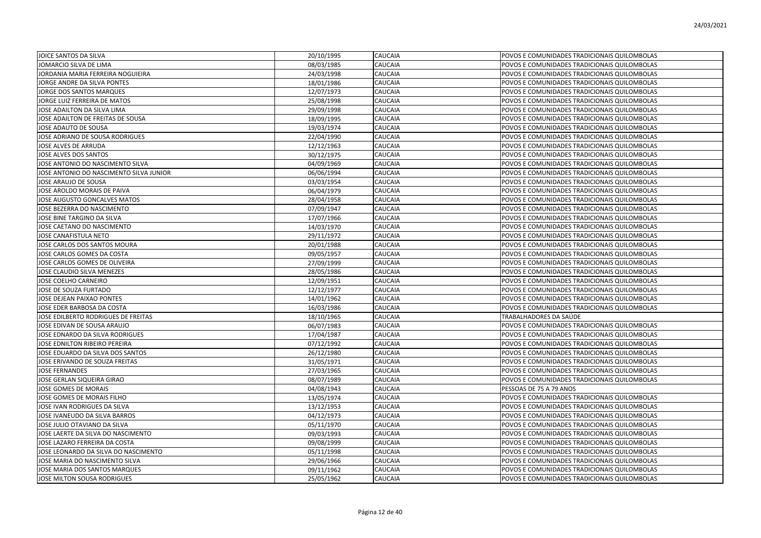| JOICE SANTOS DA SILVA                   | 20/10/1995 | CAUCAIA | POVOS E COMUNIDADES TRADICIONAIS QUILOMBOLAS |
|-----------------------------------------|------------|---------|----------------------------------------------|
| JOMARCIO SILVA DE LIMA                  | 08/03/1985 | CAUCAIA | POVOS E COMUNIDADES TRADICIONAIS QUILOMBOLAS |
| JORDANIA MARIA FERREIRA NOGUIEIRA       | 24/03/1998 | CAUCAIA | POVOS E COMUNIDADES TRADICIONAIS QUILOMBOLAS |
| JORGE ANDRE DA SILVA PONTES             | 18/01/1986 | CAUCAIA | POVOS E COMUNIDADES TRADICIONAIS QUILOMBOLAS |
| JORGE DOS SANTOS MARQUES                | 12/07/1973 | CAUCAIA | POVOS E COMUNIDADES TRADICIONAIS QUILOMBOLAS |
| JORGE LUIZ FERREIRA DE MATOS            | 25/08/1998 | CAUCAIA | POVOS E COMUNIDADES TRADICIONAIS QUILOMBOLAS |
| JOSE ADAILTON DA SILVA LIMA             | 29/09/1998 | CAUCAIA | POVOS E COMUNIDADES TRADICIONAIS QUILOMBOLAS |
| JOSE ADAILTON DE FREITAS DE SOUSA       | 18/09/1995 | CAUCAIA | POVOS E COMUNIDADES TRADICIONAIS QUILOMBOLAS |
| JOSE ADAUTO DE SOUSA                    | 19/03/1974 | CAUCAIA | POVOS E COMUNIDADES TRADICIONAIS QUILOMBOLAS |
| JOSE ADRIANO DE SOUSA RODRIGUES         | 22/04/1990 | CAUCAIA | POVOS E COMUNIDADES TRADICIONAIS QUILOMBOLAS |
| JOSE ALVES DE ARRUDA                    | 12/12/1963 | CAUCAIA | POVOS E COMUNIDADES TRADICIONAIS QUILOMBOLAS |
| JOSE ALVES DOS SANTOS                   | 30/12/1975 | CAUCAIA | POVOS E COMUNIDADES TRADICIONAIS QUILOMBOLAS |
| JOSE ANTONIO DO NASCIMENTO SILVA        | 04/09/1969 | CAUCAIA | POVOS E COMUNIDADES TRADICIONAIS QUILOMBOLAS |
| JOSE ANTONIO DO NASCIMENTO SILVA JUNIOR | 06/06/1994 | CAUCAIA | POVOS E COMUNIDADES TRADICIONAIS QUILOMBOLAS |
| JOSE ARAUJO DE SOUSA                    | 03/03/1954 | CAUCAIA | POVOS E COMUNIDADES TRADICIONAIS QUILOMBOLAS |
| JOSE AROLDO MORAIS DE PAIVA             | 06/04/1979 | CAUCAIA | POVOS E COMUNIDADES TRADICIONAIS QUILOMBOLAS |
| JOSE AUGUSTO GONCALVES MATOS            | 28/04/1958 | CAUCAIA | POVOS E COMUNIDADES TRADICIONAIS QUILOMBOLAS |
| JOSE BEZERRA DO NASCIMENTO              | 07/09/1947 | CAUCAIA | POVOS E COMUNIDADES TRADICIONAIS QUILOMBOLAS |
| JOSE BINE TARGINO DA SILVA              | 17/07/1966 | CAUCAIA | POVOS E COMUNIDADES TRADICIONAIS QUILOMBOLAS |
| JOSE CAETANO DO NASCIMENTO              | 14/03/1970 | CAUCAIA | POVOS E COMUNIDADES TRADICIONAIS QUILOMBOLAS |
| JOSE CANAFISTULA NETO                   | 29/11/1972 | CAUCAIA | POVOS E COMUNIDADES TRADICIONAIS QUILOMBOLAS |
| JOSE CARLOS DOS SANTOS MOURA            | 20/01/1988 | CAUCAIA | POVOS E COMUNIDADES TRADICIONAIS QUILOMBOLAS |
| JOSE CARLOS GOMES DA COSTA              | 09/05/1957 | CAUCAIA | POVOS E COMUNIDADES TRADICIONAIS QUILOMBOLAS |
| JOSE CARLOS GOMES DE OLIVEIRA           | 27/09/1999 | CAUCAIA | POVOS E COMUNIDADES TRADICIONAIS QUILOMBOLAS |
| JOSE CLAUDIO SILVA MENEZES              | 28/05/1986 | CAUCAIA | POVOS E COMUNIDADES TRADICIONAIS QUILOMBOLAS |
| JOSE COELHO CARNEIRO                    | 12/09/1951 | CAUCAIA | POVOS E COMUNIDADES TRADICIONAIS QUILOMBOLAS |
| JOSE DE SOUZA FURTADO                   | 12/12/1977 | CAUCAIA | POVOS E COMUNIDADES TRADICIONAIS QUILOMBOLAS |
| JOSE DEJEAN PAIXAO PONTES               | 14/01/1962 | CAUCAIA | POVOS E COMUNIDADES TRADICIONAIS QUILOMBOLAS |
| JOSE EDER BARBOSA DA COSTA              | 16/03/1986 | CAUCAIA | POVOS E COMUNIDADES TRADICIONAIS QUILOMBOLAS |
| JOSE EDILBERTO RODRIGUES DE FREITAS     | 18/10/1965 | CAUCAIA | TRABALHADORES DA SAÚDE                       |
| JOSE EDIVAN DE SOUSA ARAUJO             | 06/07/1983 | CAUCAIA | POVOS E COMUNIDADES TRADICIONAIS QUILOMBOLAS |
| JOSE EDNARDO DA SILVA RODRIGUES         | 17/04/1987 | CAUCAIA | POVOS E COMUNIDADES TRADICIONAIS QUILOMBOLAS |
| JOSE EDNILTON RIBEIRO PEREIRA           | 07/12/1992 | CAUCAIA | POVOS E COMUNIDADES TRADICIONAIS QUILOMBOLAS |
| JOSE EDUARDO DA SILVA DOS SANTOS        | 26/12/1980 | CAUCAIA | POVOS E COMUNIDADES TRADICIONAIS QUILOMBOLAS |
| JOSE ERIVANDO DE SOUZA FREITAS          | 31/05/1971 | CAUCAIA | POVOS E COMUNIDADES TRADICIONAIS QUILOMBOLAS |
| <b>JOSE FERNANDES</b>                   | 27/03/1965 | CAUCAIA | POVOS E COMUNIDADES TRADICIONAIS QUILOMBOLAS |
| JOSE GERLAN SIQUEIRA GIRAO              | 08/07/1989 | CAUCAIA | POVOS E COMUNIDADES TRADICIONAIS QUILOMBOLAS |
| JOSE GOMES DE MORAIS                    | 04/08/1943 | CAUCAIA | PESSOAS DE 75 A 79 ANOS                      |
| JOSE GOMES DE MORAIS FILHO              | 13/05/1974 | CAUCAIA | POVOS E COMUNIDADES TRADICIONAIS QUILOMBOLAS |
| JOSE IVAN RODRIGUES DA SILVA            | 13/12/1953 | CAUCAIA | POVOS E COMUNIDADES TRADICIONAIS QUILOMBOLAS |
| JOSE IVANEUDO DA SILVA BARROS           | 04/12/1973 | CAUCAIA | POVOS E COMUNIDADES TRADICIONAIS QUILOMBOLAS |
| JOSE JULIO OTAVIANO DA SILVA            | 05/11/1970 | CAUCAIA | POVOS E COMUNIDADES TRADICIONAIS QUILOMBOLAS |
| JOSE LAERTE DA SILVA DO NASCIMENTO      | 09/03/1993 | CAUCAIA | POVOS E COMUNIDADES TRADICIONAIS QUILOMBOLAS |
| JOSE LAZARO FERREIRA DA COSTA           | 09/08/1999 | CAUCAIA | POVOS E COMUNIDADES TRADICIONAIS QUILOMBOLAS |
| JOSE LEONARDO DA SILVA DO NASCIMENTO    | 05/11/1998 | CAUCAIA | POVOS E COMUNIDADES TRADICIONAIS QUILOMBOLAS |
| JOSE MARIA DO NASCIMENTO SILVA          | 29/06/1966 | CAUCAIA | POVOS E COMUNIDADES TRADICIONAIS QUILOMBOLAS |
| JOSE MARIA DOS SANTOS MARQUES           | 09/11/1962 | CAUCAIA | POVOS E COMUNIDADES TRADICIONAIS QUILOMBOLAS |
| JOSE MILTON SOUSA RODRIGUES             | 25/05/1962 | CAUCAIA | POVOS E COMUNIDADES TRADICIONAIS QUILOMBOLAS |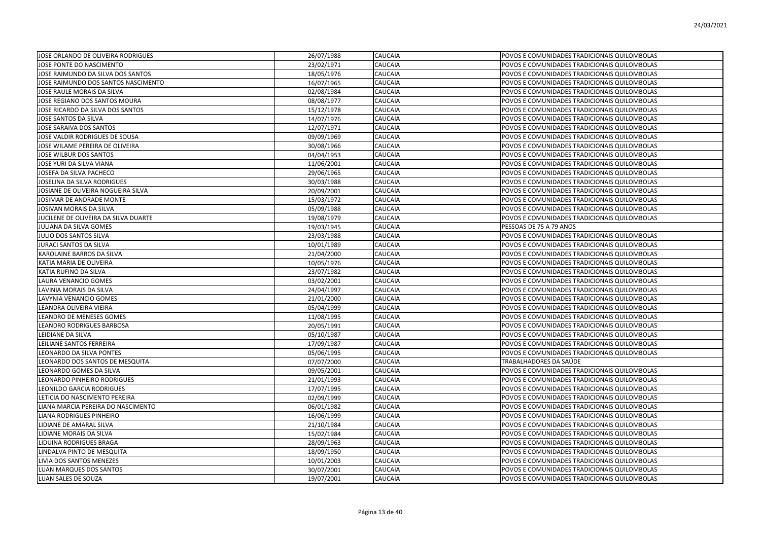| JOSE ORLANDO DE OLIVEIRA RODRIGUES   | 26/07/1988 | <b>CAUCAIA</b> | POVOS E COMUNIDADES TRADICIONAIS QUILOMBOLAS |
|--------------------------------------|------------|----------------|----------------------------------------------|
| JOSE PONTE DO NASCIMENTO             | 23/02/1971 | <b>CAUCAIA</b> | POVOS E COMUNIDADES TRADICIONAIS QUILOMBOLAS |
| JOSE RAIMUNDO DA SILVA DOS SANTOS    | 18/05/1976 | <b>CAUCAIA</b> | POVOS E COMUNIDADES TRADICIONAIS QUILOMBOLAS |
| JOSE RAIMUNDO DOS SANTOS NASCIMENTO  | 16/07/1965 | CAUCAIA        | POVOS E COMUNIDADES TRADICIONAIS QUILOMBOLAS |
| JOSE RAULE MORAIS DA SILVA           | 02/08/1984 | CAUCAIA        | POVOS E COMUNIDADES TRADICIONAIS QUILOMBOLAS |
| JOSE REGIANO DOS SANTOS MOURA        | 08/08/1977 | <b>CAUCAIA</b> | POVOS E COMUNIDADES TRADICIONAIS QUILOMBOLAS |
| JOSE RICARDO DA SILVA DOS SANTOS     | 15/12/1978 | <b>CAUCAIA</b> | POVOS E COMUNIDADES TRADICIONAIS QUILOMBOLAS |
| JOSE SANTOS DA SILVA                 | 14/07/1976 | <b>CAUCAIA</b> | POVOS E COMUNIDADES TRADICIONAIS QUILOMBOLAS |
| JOSE SARAIVA DOS SANTOS              | 12/07/1971 | <b>CAUCAIA</b> | POVOS E COMUNIDADES TRADICIONAIS QUILOMBOLAS |
| JOSE VALDIR RODRIGUES DE SOUSA       | 09/09/1969 | <b>CAUCAIA</b> | POVOS E COMUNIDADES TRADICIONAIS QUILOMBOLAS |
| JOSE WILAME PEREIRA DE OLIVEIRA      | 30/08/1966 | CAUCAIA        | POVOS E COMUNIDADES TRADICIONAIS QUILOMBOLAS |
| JOSE WILBUR DOS SANTOS               | 04/04/1953 | <b>CAUCAIA</b> | POVOS E COMUNIDADES TRADICIONAIS QUILOMBOLAS |
| JOSE YURI DA SILVA VIANA             | 11/06/2001 | CAUCAIA        | POVOS E COMUNIDADES TRADICIONAIS QUILOMBOLAS |
| JOSEFA DA SILVA PACHECO              | 29/06/1965 | <b>CAUCAIA</b> | POVOS E COMUNIDADES TRADICIONAIS QUILOMBOLAS |
| JOSELINA DA SILVA RODRIGUES          | 30/03/1988 | <b>CAUCAIA</b> | POVOS E COMUNIDADES TRADICIONAIS QUILOMBOLAS |
| JOSIANE DE OLIVEIRA NOGUEIRA SILVA   | 20/09/2001 | <b>CAUCAIA</b> | POVOS E COMUNIDADES TRADICIONAIS QUILOMBOLAS |
| JOSIMAR DE ANDRADE MONTE             | 15/03/1972 | <b>CAUCAIA</b> | POVOS E COMUNIDADES TRADICIONAIS QUILOMBOLAS |
| JOSIVAN MORAIS DA SILVA              | 05/09/1988 | <b>CAUCAIA</b> | POVOS E COMUNIDADES TRADICIONAIS QUILOMBOLAS |
| JUCILENE DE OLIVEIRA DA SILVA DUARTE | 19/08/1979 | CAUCAIA        | POVOS E COMUNIDADES TRADICIONAIS QUILOMBOLAS |
| JULIANA DA SILVA GOMES               | 19/03/1945 | CAUCAIA        | PESSOAS DE 75 A 79 ANOS                      |
| JULIO DOS SANTOS SILVA               | 23/03/1988 | <b>CAUCAIA</b> | POVOS E COMUNIDADES TRADICIONAIS QUILOMBOLAS |
| JURACI SANTOS DA SILVA               | 10/01/1989 | <b>CAUCAIA</b> | POVOS E COMUNIDADES TRADICIONAIS QUILOMBOLAS |
| KAROLAINE BARROS DA SILVA            | 21/04/2000 | <b>CAUCAIA</b> | POVOS E COMUNIDADES TRADICIONAIS QUILOMBOLAS |
| KATIA MARIA DE OLIVEIRA              | 10/05/1976 | <b>CAUCAIA</b> | POVOS E COMUNIDADES TRADICIONAIS QUILOMBOLAS |
| KATIA RUFINO DA SILVA                | 23/07/1982 | <b>CAUCAIA</b> | POVOS E COMUNIDADES TRADICIONAIS QUILOMBOLAS |
| LAURA VENANCIO GOMES                 | 03/02/2001 | <b>CAUCAIA</b> | POVOS E COMUNIDADES TRADICIONAIS QUILOMBOLAS |
| LAVINIA MORAIS DA SILVA              | 24/04/1997 | CAUCAIA        | POVOS E COMUNIDADES TRADICIONAIS QUILOMBOLAS |
| LAVYNIA VENANCIO GOMES               | 21/01/2000 | <b>CAUCAIA</b> | POVOS E COMUNIDADES TRADICIONAIS QUILOMBOLAS |
| LEANDRA OLIVEIRA VIEIRA              | 05/04/1999 | CAUCAIA        | POVOS E COMUNIDADES TRADICIONAIS QUILOMBOLAS |
| LEANDRO DE MENESES GOMES             | 11/08/1995 | <b>CAUCAIA</b> | POVOS E COMUNIDADES TRADICIONAIS QUILOMBOLAS |
| LEANDRO RODRIGUES BARBOSA            | 20/05/1991 | <b>CAUCAIA</b> | POVOS E COMUNIDADES TRADICIONAIS QUILOMBOLAS |
| LEIDIANE DA SILVA                    | 05/10/1987 | <b>CAUCAIA</b> | POVOS E COMUNIDADES TRADICIONAIS QUILOMBOLAS |
| LEILIANE SANTOS FERREIRA             | 17/09/1987 | <b>CAUCAIA</b> | POVOS E COMUNIDADES TRADICIONAIS QUILOMBOLAS |
| LEONARDO DA SILVA PONTES             | 05/06/1995 | <b>CAUCAIA</b> | POVOS E COMUNIDADES TRADICIONAIS QUILOMBOLAS |
| LEONARDO DOS SANTOS DE MESQUITA      | 07/07/2000 | <b>CAUCAIA</b> | TRABALHADORES DA SAÚDE                       |
| LEONARDO GOMES DA SILVA              | 09/05/2001 | CAUCAIA        | POVOS E COMUNIDADES TRADICIONAIS QUILOMBOLAS |
| LEONARDO PINHEIRO RODRIGUES          | 21/01/1993 | <b>CAUCAIA</b> | POVOS E COMUNIDADES TRADICIONAIS QUILOMBOLAS |
| LEONILDO GARCIA RODRIGUES            | 17/07/1995 | CAUCAIA        | POVOS E COMUNIDADES TRADICIONAIS QUILOMBOLAS |
| LETICIA DO NASCIMENTO PEREIRA        | 02/09/1999 | <b>CAUCAIA</b> | POVOS E COMUNIDADES TRADICIONAIS QUILOMBOLAS |
| LIANA MARCIA PEREIRA DO NASCIMENTO   | 06/01/1982 | <b>CAUCAIA</b> | POVOS E COMUNIDADES TRADICIONAIS QUILOMBOLAS |
| LIANA RODRIGUES PINHEIRO             | 16/06/1999 | <b>CAUCAIA</b> | POVOS E COMUNIDADES TRADICIONAIS QUILOMBOLAS |
| LIDIANE DE AMARAL SILVA              | 21/10/1984 | <b>CAUCAIA</b> | POVOS E COMUNIDADES TRADICIONAIS QUILOMBOLAS |
| LIDIANE MORAIS DA SILVA              | 15/02/1984 | <b>CAUCAIA</b> | POVOS E COMUNIDADES TRADICIONAIS QUILOMBOLAS |
| LIDUINA RODRIGUES BRAGA              | 28/09/1963 | <b>CAUCAIA</b> | POVOS E COMUNIDADES TRADICIONAIS QUILOMBOLAS |
| LINDALVA PINTO DE MESQUITA           | 18/09/1950 | <b>CAUCAIA</b> | POVOS E COMUNIDADES TRADICIONAIS QUILOMBOLAS |
| LIVIA DOS SANTOS MENEZES             | 10/01/2003 | <b>CAUCAIA</b> | POVOS E COMUNIDADES TRADICIONAIS QUILOMBOLAS |
| LUAN MARQUES DOS SANTOS              | 30/07/2001 | <b>CAUCAIA</b> | POVOS E COMUNIDADES TRADICIONAIS QUILOMBOLAS |
| LUAN SALES DE SOUZA                  | 19/07/2001 | <b>CAUCAIA</b> | POVOS E COMUNIDADES TRADICIONAIS QUILOMBOLAS |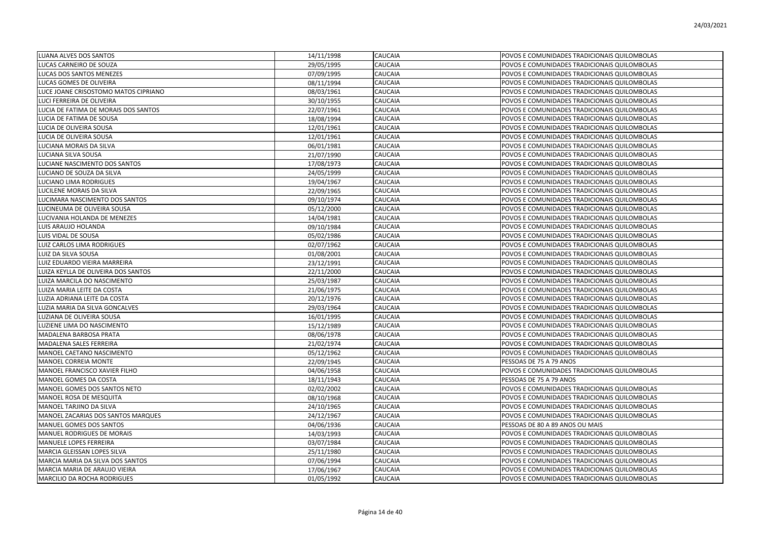| LUANA ALVES DOS SANTOS               | 14/11/1998 | <b>CAUCAIA</b> | POVOS E COMUNIDADES TRADICIONAIS QUILOMBOLAS |
|--------------------------------------|------------|----------------|----------------------------------------------|
| LUCAS CARNEIRO DE SOUZA              | 29/05/1995 | CAUCAIA        | POVOS E COMUNIDADES TRADICIONAIS QUILOMBOLAS |
| LUCAS DOS SANTOS MENEZES             | 07/09/1995 | CAUCAIA        | POVOS E COMUNIDADES TRADICIONAIS QUILOMBOLAS |
| LUCAS GOMES DE OLIVEIRA              | 08/11/1994 | CAUCAIA        | POVOS E COMUNIDADES TRADICIONAIS QUILOMBOLAS |
| LUCE JOANE CRISOSTOMO MATOS CIPRIANO | 08/03/1961 | CAUCAIA        | POVOS E COMUNIDADES TRADICIONAIS QUILOMBOLAS |
| LUCI FERREIRA DE OLIVEIRA            | 30/10/1955 | CAUCAIA        | POVOS E COMUNIDADES TRADICIONAIS QUILOMBOLAS |
| LUCIA DE FATIMA DE MORAIS DOS SANTOS | 22/07/1961 | CAUCAIA        | POVOS E COMUNIDADES TRADICIONAIS QUILOMBOLAS |
| LUCIA DE FATIMA DE SOUSA             | 18/08/1994 | CAUCAIA        | POVOS E COMUNIDADES TRADICIONAIS QUILOMBOLAS |
| LUCIA DE OLIVEIRA SOUSA              | 12/01/1961 | CAUCAIA        | POVOS E COMUNIDADES TRADICIONAIS QUILOMBOLAS |
| LUCIA DE OLIVEIRA SOUSA              | 12/01/1961 | CAUCAIA        | POVOS E COMUNIDADES TRADICIONAIS QUILOMBOLAS |
| LUCIANA MORAIS DA SILVA              | 06/01/1981 | CAUCAIA        | POVOS E COMUNIDADES TRADICIONAIS QUILOMBOLAS |
| LUCIANA SILVA SOUSA                  | 21/07/1990 | CAUCAIA        | POVOS E COMUNIDADES TRADICIONAIS QUILOMBOLAS |
| LUCIANE NASCIMENTO DOS SANTOS        | 17/08/1973 | CAUCAIA        | POVOS E COMUNIDADES TRADICIONAIS QUILOMBOLAS |
| LUCIANO DE SOUZA DA SILVA            | 24/05/1999 | CAUCAIA        | POVOS E COMUNIDADES TRADICIONAIS QUILOMBOLAS |
| LUCIANO LIMA RODRIGUES               | 19/04/1967 | CAUCAIA        | POVOS E COMUNIDADES TRADICIONAIS QUILOMBOLAS |
| LUCILENE MORAIS DA SILVA             | 22/09/1965 | CAUCAIA        | POVOS E COMUNIDADES TRADICIONAIS QUILOMBOLAS |
| LUCIMARA NASCIMENTO DOS SANTOS       | 09/10/1974 | CAUCAIA        | POVOS E COMUNIDADES TRADICIONAIS QUILOMBOLAS |
| LUCINEUMA DE OLIVEIRA SOUSA          | 05/12/2000 | CAUCAIA        | POVOS E COMUNIDADES TRADICIONAIS QUILOMBOLAS |
| LUCIVANIA HOLANDA DE MENEZES         | 14/04/1981 | CAUCAIA        | POVOS E COMUNIDADES TRADICIONAIS QUILOMBOLAS |
| LUIS ARAUJO HOLANDA                  | 09/10/1984 | CAUCAIA        | POVOS E COMUNIDADES TRADICIONAIS QUILOMBOLAS |
| LUIS VIDAL DE SOUSA                  | 05/02/1986 | CAUCAIA        | POVOS E COMUNIDADES TRADICIONAIS QUILOMBOLAS |
| LUIZ CARLOS LIMA RODRIGUES           | 02/07/1962 | CAUCAIA        | POVOS E COMUNIDADES TRADICIONAIS QUILOMBOLAS |
| LUIZ DA SILVA SOUSA                  | 01/08/2001 | CAUCAIA        | POVOS E COMUNIDADES TRADICIONAIS QUILOMBOLAS |
| LUIZ EDUARDO VIEIRA MARREIRA         | 23/12/1991 | CAUCAIA        | POVOS E COMUNIDADES TRADICIONAIS QUILOMBOLAS |
| LUIZA KEYLLA DE OLIVEIRA DOS SANTOS  | 22/11/2000 | CAUCAIA        | POVOS E COMUNIDADES TRADICIONAIS QUILOMBOLAS |
| LUIZA MARCILA DO NASCIMENTO          | 25/03/1987 | CAUCAIA        | POVOS E COMUNIDADES TRADICIONAIS QUILOMBOLAS |
| LUIZA MARIA LEITE DA COSTA           | 21/06/1975 | CAUCAIA        | POVOS E COMUNIDADES TRADICIONAIS QUILOMBOLAS |
| LUZIA ADRIANA LEITE DA COSTA         | 20/12/1976 | CAUCAIA        | POVOS E COMUNIDADES TRADICIONAIS QUILOMBOLAS |
| LUZIA MARIA DA SILVA GONCALVES       | 29/03/1964 | CAUCAIA        | POVOS E COMUNIDADES TRADICIONAIS QUILOMBOLAS |
| LUZIANA DE OLIVEIRA SOUSA            | 16/01/1995 | CAUCAIA        | POVOS E COMUNIDADES TRADICIONAIS QUILOMBOLAS |
| LUZIENE LIMA DO NASCIMENTO           | 15/12/1989 | CAUCAIA        | POVOS E COMUNIDADES TRADICIONAIS QUILOMBOLAS |
| MADALENA BARBOSA PRATA               | 08/06/1978 | CAUCAIA        | POVOS E COMUNIDADES TRADICIONAIS QUILOMBOLAS |
| MADALENA SALES FERREIRA              | 21/02/1974 | CAUCAIA        | POVOS E COMUNIDADES TRADICIONAIS QUILOMBOLAS |
| MANOEL CAETANO NASCIMENTO            | 05/12/1962 | CAUCAIA        | POVOS E COMUNIDADES TRADICIONAIS QUILOMBOLAS |
| MANOEL CORREIA MONTE                 | 22/09/1945 | CAUCAIA        | PESSOAS DE 75 A 79 ANOS                      |
| MANOEL FRANCISCO XAVIER FILHO        | 04/06/1958 | CAUCAIA        | POVOS E COMUNIDADES TRADICIONAIS QUILOMBOLAS |
| MANOEL GOMES DA COSTA                | 18/11/1943 | CAUCAIA        | PESSOAS DE 75 A 79 ANOS                      |
| MANOEL GOMES DOS SANTOS NETO         | 02/02/2002 | CAUCAIA        | POVOS E COMUNIDADES TRADICIONAIS QUILOMBOLAS |
| MANOEL ROSA DE MESQUITA              | 08/10/1968 | CAUCAIA        | POVOS E COMUNIDADES TRADICIONAIS QUILOMBOLAS |
| MANOEL TARJINO DA SILVA              | 24/10/1965 | CAUCAIA        | POVOS E COMUNIDADES TRADICIONAIS QUILOMBOLAS |
| MANOEL ZACARIAS DOS SANTOS MARQUES   | 24/12/1967 | CAUCAIA        | POVOS E COMUNIDADES TRADICIONAIS QUILOMBOLAS |
| MANUEL GOMES DOS SANTOS              | 04/06/1936 | CAUCAIA        | PESSOAS DE 80 A 89 ANOS OU MAIS              |
| MANUEL RODRIGUES DE MORAIS           | 14/03/1993 | CAUCAIA        | POVOS E COMUNIDADES TRADICIONAIS QUILOMBOLAS |
| MANUELE LOPES FERREIRA               | 03/07/1984 | CAUCAIA        | POVOS E COMUNIDADES TRADICIONAIS QUILOMBOLAS |
| MARCIA GLEISSAN LOPES SILVA          | 25/11/1980 | CAUCAIA        | POVOS E COMUNIDADES TRADICIONAIS QUILOMBOLAS |
| MARCIA MARIA DA SILVA DOS SANTOS     | 07/06/1994 | CAUCAIA        | POVOS E COMUNIDADES TRADICIONAIS QUILOMBOLAS |
| MARCIA MARIA DE ARAUJO VIEIRA        | 17/06/1967 | CAUCAIA        | POVOS E COMUNIDADES TRADICIONAIS QUILOMBOLAS |
| MARCILIO DA ROCHA RODRIGUES          | 01/05/1992 | CAUCAIA        | POVOS E COMUNIDADES TRADICIONAIS QUILOMBOLAS |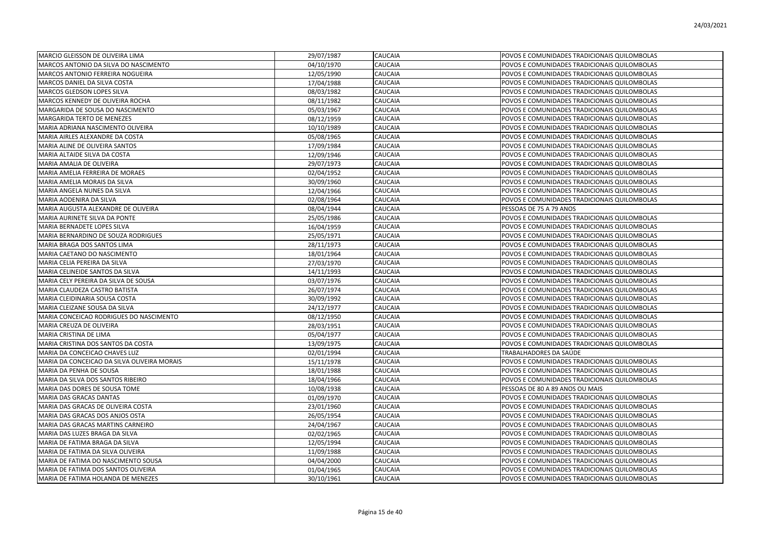| MARCIO GLEISSON DE OLIVEIRA LIMA            | 29/07/1987 | <b>CAUCAIA</b> | POVOS E COMUNIDADES TRADICIONAIS QUILOMBOLAS |
|---------------------------------------------|------------|----------------|----------------------------------------------|
| MARCOS ANTONIO DA SILVA DO NASCIMENTO       | 04/10/1970 | CAUCAIA        | POVOS E COMUNIDADES TRADICIONAIS QUILOMBOLAS |
| MARCOS ANTONIO FERREIRA NOGUEIRA            | 12/05/1990 | CAUCAIA        | POVOS E COMUNIDADES TRADICIONAIS QUILOMBOLAS |
| MARCOS DANIEL DA SILVA COSTA                | 17/04/1988 | CAUCAIA        | POVOS E COMUNIDADES TRADICIONAIS QUILOMBOLAS |
| MARCOS GLEDSON LOPES SILVA                  | 08/03/1982 | CAUCAIA        | POVOS E COMUNIDADES TRADICIONAIS QUILOMBOLAS |
| MARCOS KENNEDY DE OLIVEIRA ROCHA            | 08/11/1982 | CAUCAIA        | POVOS E COMUNIDADES TRADICIONAIS QUILOMBOLAS |
| MARGARIDA DE SOUSA DO NASCIMENTO            | 05/03/1967 | CAUCAIA        | POVOS E COMUNIDADES TRADICIONAIS QUILOMBOLAS |
| MARGARIDA TERTO DE MENEZES                  | 08/12/1959 | <b>CAUCAIA</b> | POVOS E COMUNIDADES TRADICIONAIS QUILOMBOLAS |
| MARIA ADRIANA NASCIMENTO OLIVEIRA           | 10/10/1989 | <b>CAUCAIA</b> | POVOS E COMUNIDADES TRADICIONAIS QUILOMBOLAS |
| MARIA AIRLES ALEXANDRE DA COSTA             | 05/08/1965 | CAUCAIA        | POVOS E COMUNIDADES TRADICIONAIS QUILOMBOLAS |
| MARIA ALINE DE OLIVEIRA SANTOS              | 17/09/1984 | CAUCAIA        | POVOS E COMUNIDADES TRADICIONAIS QUILOMBOLAS |
| MARIA ALTAIDE SILVA DA COSTA                | 12/09/1946 | CAUCAIA        | POVOS E COMUNIDADES TRADICIONAIS QUILOMBOLAS |
| MARIA AMALIA DE OLIVEIRA                    | 29/07/1973 | CAUCAIA        | POVOS E COMUNIDADES TRADICIONAIS QUILOMBOLAS |
| MARIA AMELIA FERREIRA DE MORAES             | 02/04/1952 | CAUCAIA        | POVOS E COMUNIDADES TRADICIONAIS QUILOMBOLAS |
| MARIA AMELIA MORAIS DA SILVA                | 30/09/1960 | CAUCAIA        | POVOS E COMUNIDADES TRADICIONAIS QUILOMBOLAS |
| MARIA ANGELA NUNES DA SILVA                 | 12/04/1966 | CAUCAIA        | POVOS E COMUNIDADES TRADICIONAIS QUILOMBOLAS |
| MARIA AODENIRA DA SILVA                     | 02/08/1964 | <b>CAUCAIA</b> | POVOS E COMUNIDADES TRADICIONAIS QUILOMBOLAS |
| MARIA AUGUSTA ALEXANDRE DE OLIVEIRA         | 08/04/1944 | CAUCAIA        | PESSOAS DE 75 A 79 ANOS                      |
| MARIA AURINETE SILVA DA PONTE               | 25/05/1986 | CAUCAIA        | POVOS E COMUNIDADES TRADICIONAIS QUILOMBOLAS |
| MARIA BERNADETE LOPES SILVA                 | 16/04/1959 | CAUCAIA        | POVOS E COMUNIDADES TRADICIONAIS QUILOMBOLAS |
| MARIA BERNARDINO DE SOUZA RODRIGUES         | 25/05/1971 | CAUCAIA        | POVOS E COMUNIDADES TRADICIONAIS QUILOMBOLAS |
| MARIA BRAGA DOS SANTOS LIMA                 | 28/11/1973 | CAUCAIA        | POVOS E COMUNIDADES TRADICIONAIS QUILOMBOLAS |
| MARIA CAETANO DO NASCIMENTO                 | 18/01/1964 | CAUCAIA        | POVOS E COMUNIDADES TRADICIONAIS QUILOMBOLAS |
| MARIA CELIA PEREIRA DA SILVA                | 27/03/1970 | CAUCAIA        | POVOS E COMUNIDADES TRADICIONAIS QUILOMBOLAS |
| MARIA CELINEIDE SANTOS DA SILVA             | 14/11/1993 | <b>CAUCAIA</b> | POVOS E COMUNIDADES TRADICIONAIS QUILOMBOLAS |
| MARIA CELY PEREIRA DA SILVA DE SOUSA        | 03/07/1976 | CAUCAIA        | POVOS E COMUNIDADES TRADICIONAIS QUILOMBOLAS |
| MARIA CLAUDEZA CASTRO BATISTA               | 26/07/1974 | CAUCAIA        | POVOS E COMUNIDADES TRADICIONAIS QUILOMBOLAS |
| MARIA CLEIDINARIA SOUSA COSTA               | 30/09/1992 | CAUCAIA        | POVOS E COMUNIDADES TRADICIONAIS QUILOMBOLAS |
| MARIA CLEIZANE SOUSA DA SILVA               | 24/12/1977 | CAUCAIA        | POVOS E COMUNIDADES TRADICIONAIS QUILOMBOLAS |
| MARIA CONCEICAO RODRIGUES DO NASCIMENTO     | 08/12/1950 | CAUCAIA        | POVOS E COMUNIDADES TRADICIONAIS QUILOMBOLAS |
| MARIA CREUZA DE OLIVEIRA                    | 28/03/1951 | CAUCAIA        | POVOS E COMUNIDADES TRADICIONAIS QUILOMBOLAS |
| MARIA CRISTINA DE LIMA                      | 05/04/1977 | CAUCAIA        | POVOS E COMUNIDADES TRADICIONAIS QUILOMBOLAS |
| MARIA CRISTINA DOS SANTOS DA COSTA          | 13/09/1975 | <b>CAUCAIA</b> | POVOS E COMUNIDADES TRADICIONAIS QUILOMBOLAS |
| MARIA DA CONCEICAO CHAVES LUZ               | 02/01/1994 | CAUCAIA        | TRABALHADORES DA SAÚDE                       |
| MARIA DA CONCEICAO DA SILVA OLIVEIRA MORAIS | 15/11/1978 | <b>CAUCAIA</b> | POVOS E COMUNIDADES TRADICIONAIS QUILOMBOLAS |
| MARIA DA PENHA DE SOUSA                     | 18/01/1988 | CAUCAIA        | POVOS E COMUNIDADES TRADICIONAIS QUILOMBOLAS |
| MARIA DA SILVA DOS SANTOS RIBEIRO           | 18/04/1966 | CAUCAIA        | POVOS E COMUNIDADES TRADICIONAIS QUILOMBOLAS |
| MARIA DAS DORES DE SOUSA TOME               | 10/08/1938 | CAUCAIA        | PESSOAS DE 80 A 89 ANOS OU MAIS              |
| MARIA DAS GRACAS DANTAS                     | 01/09/1970 | CAUCAIA        | POVOS E COMUNIDADES TRADICIONAIS QUILOMBOLAS |
| MARIA DAS GRACAS DE OLIVEIRA COSTA          | 23/01/1960 | CAUCAIA        | POVOS E COMUNIDADES TRADICIONAIS QUILOMBOLAS |
| MARIA DAS GRACAS DOS ANJOS OSTA             | 26/05/1954 | CAUCAIA        | POVOS E COMUNIDADES TRADICIONAIS QUILOMBOLAS |
| MARIA DAS GRACAS MARTINS CARNEIRO           | 24/04/1967 | <b>CAUCAIA</b> | POVOS E COMUNIDADES TRADICIONAIS QUILOMBOLAS |
| MARIA DAS LUZES BRAGA DA SILVA              | 02/02/1965 | <b>CAUCAIA</b> | POVOS E COMUNIDADES TRADICIONAIS QUILOMBOLAS |
| MARIA DE FATIMA BRAGA DA SILVA              | 12/05/1994 | CAUCAIA        | POVOS E COMUNIDADES TRADICIONAIS QUILOMBOLAS |
| MARIA DE FATIMA DA SILVA OLIVEIRA           | 11/09/1988 | CAUCAIA        | POVOS E COMUNIDADES TRADICIONAIS QUILOMBOLAS |
| MARIA DE FATIMA DO NASCIMENTO SOUSA         | 04/04/2000 | CAUCAIA        | POVOS E COMUNIDADES TRADICIONAIS QUILOMBOLAS |
| MARIA DE FATIMA DOS SANTOS OLIVEIRA         | 01/04/1965 | CAUCAIA        | POVOS E COMUNIDADES TRADICIONAIS QUILOMBOLAS |
| MARIA DE FATIMA HOLANDA DE MENEZES          | 30/10/1961 | <b>CAUCAIA</b> | POVOS E COMUNIDADES TRADICIONAIS QUILOMBOLAS |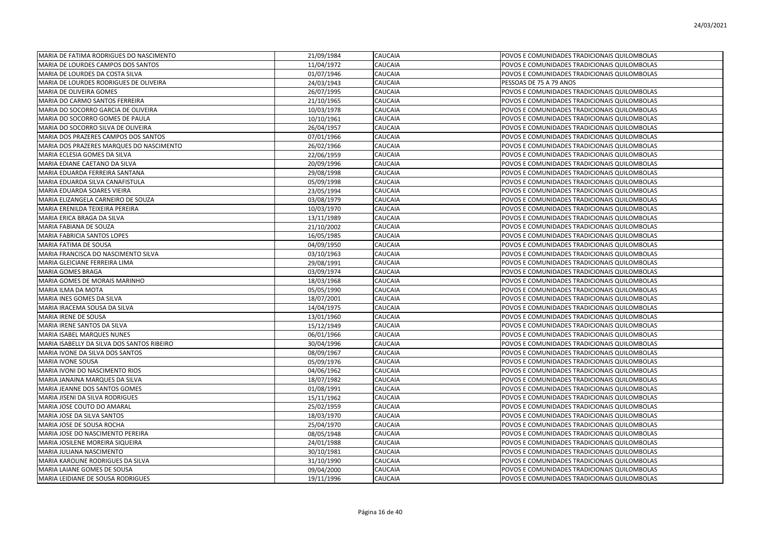| MARIA DE FATIMA RODRIGUES DO NASCIMENTO    | 21/09/1984 | <b>CAUCAIA</b> | POVOS E COMUNIDADES TRADICIONAIS QUILOMBOLAS |
|--------------------------------------------|------------|----------------|----------------------------------------------|
| MARIA DE LOURDES CAMPOS DOS SANTOS         | 11/04/1972 | CAUCAIA        | POVOS E COMUNIDADES TRADICIONAIS QUILOMBOLAS |
| MARIA DE LOURDES DA COSTA SILVA            | 01/07/1946 | <b>CAUCAIA</b> | POVOS E COMUNIDADES TRADICIONAIS QUILOMBOLAS |
| MARIA DE LOURDES RODRIGUES DE OLIVEIRA     | 24/03/1943 | CAUCAIA        | PESSOAS DE 75 A 79 ANOS                      |
| MARIA DE OLIVEIRA GOMES                    | 26/07/1995 | CAUCAIA        | POVOS E COMUNIDADES TRADICIONAIS QUILOMBOLAS |
| MARIA DO CARMO SANTOS FERREIRA             | 21/10/1965 | CAUCAIA        | POVOS E COMUNIDADES TRADICIONAIS QUILOMBOLAS |
| MARIA DO SOCORRO GARCIA DE OLIVEIRA        | 10/03/1978 | CAUCAIA        | POVOS E COMUNIDADES TRADICIONAIS QUILOMBOLAS |
| MARIA DO SOCORRO GOMES DE PAULA            | 10/10/1961 | CAUCAIA        | POVOS E COMUNIDADES TRADICIONAIS QUILOMBOLAS |
| MARIA DO SOCORRO SILVA DE OLIVEIRA         | 26/04/1957 | CAUCAIA        | POVOS E COMUNIDADES TRADICIONAIS QUILOMBOLAS |
| MARIA DOS PRAZERES CAMPOS DOS SANTOS       | 07/01/1966 | CAUCAIA        | POVOS E COMUNIDADES TRADICIONAIS QUILOMBOLAS |
| MARIA DOS PRAZERES MARQUES DO NASCIMENTO   | 26/02/1966 | CAUCAIA        | POVOS E COMUNIDADES TRADICIONAIS QUILOMBOLAS |
| MARIA ECLESIA GOMES DA SILVA               | 22/06/1959 | CAUCAIA        | POVOS E COMUNIDADES TRADICIONAIS QUILOMBOLAS |
| MARIA EDIANE CAETANO DA SILVA              | 20/09/1996 | CAUCAIA        | POVOS E COMUNIDADES TRADICIONAIS QUILOMBOLAS |
| MARIA EDUARDA FERREIRA SANTANA             | 29/08/1998 | CAUCAIA        | POVOS E COMUNIDADES TRADICIONAIS QUILOMBOLAS |
| MARIA EDUARDA SILVA CANAFISTULA            | 05/09/1998 | CAUCAIA        | POVOS E COMUNIDADES TRADICIONAIS QUILOMBOLAS |
| MARIA EDUARDA SOARES VIEIRA                | 23/05/1994 | CAUCAIA        | POVOS E COMUNIDADES TRADICIONAIS QUILOMBOLAS |
| MARIA ELIZANGELA CARNEIRO DE SOUZA         | 03/08/1979 | CAUCAIA        | POVOS E COMUNIDADES TRADICIONAIS QUILOMBOLAS |
| MARIA ERENILDA TEIXEIRA PEREIRA            | 10/03/1970 | CAUCAIA        | POVOS E COMUNIDADES TRADICIONAIS QUILOMBOLAS |
| MARIA ERICA BRAGA DA SILVA                 | 13/11/1989 | CAUCAIA        | POVOS E COMUNIDADES TRADICIONAIS QUILOMBOLAS |
| MARIA FABIANA DE SOUZA                     | 21/10/2002 | CAUCAIA        | POVOS E COMUNIDADES TRADICIONAIS QUILOMBOLAS |
| MARIA FABRICIA SANTOS LOPES                | 16/05/1985 | CAUCAIA        | POVOS E COMUNIDADES TRADICIONAIS QUILOMBOLAS |
| MARIA FATIMA DE SOUSA                      | 04/09/1950 | CAUCAIA        | POVOS E COMUNIDADES TRADICIONAIS QUILOMBOLAS |
| MARIA FRANCISCA DO NASCIMENTO SILVA        | 03/10/1963 | CAUCAIA        | POVOS E COMUNIDADES TRADICIONAIS QUILOMBOLAS |
| MARIA GLEICIANE FERREIRA LIMA              | 29/08/1991 | CAUCAIA        | POVOS E COMUNIDADES TRADICIONAIS QUILOMBOLAS |
| <b>MARIA GOMES BRAGA</b>                   | 03/09/1974 | CAUCAIA        | POVOS E COMUNIDADES TRADICIONAIS QUILOMBOLAS |
| MARIA GOMES DE MORAIS MARINHO              | 18/03/1968 | CAUCAIA        | POVOS E COMUNIDADES TRADICIONAIS QUILOMBOLAS |
| MARIA ILMA DA MOTA                         | 05/05/1990 | CAUCAIA        | POVOS E COMUNIDADES TRADICIONAIS QUILOMBOLAS |
| MARIA INES GOMES DA SILVA                  | 18/07/2001 | <b>CAUCAIA</b> | POVOS E COMUNIDADES TRADICIONAIS QUILOMBOLAS |
| MARIA IRACEMA SOUSA DA SILVA               | 14/04/1975 | CAUCAIA        | POVOS E COMUNIDADES TRADICIONAIS QUILOMBOLAS |
| MARIA IRENE DE SOUSA                       | 13/01/1960 | CAUCAIA        | POVOS E COMUNIDADES TRADICIONAIS QUILOMBOLAS |
| MARIA IRENE SANTOS DA SILVA                | 15/12/1949 | CAUCAIA        | POVOS E COMUNIDADES TRADICIONAIS QUILOMBOLAS |
| MARIA ISABEL MARQUES NUNES                 | 06/01/1966 | CAUCAIA        | POVOS E COMUNIDADES TRADICIONAIS QUILOMBOLAS |
| MARIA ISABELLY DA SILVA DOS SANTOS RIBEIRO | 30/04/1996 | CAUCAIA        | POVOS E COMUNIDADES TRADICIONAIS QUILOMBOLAS |
| MARIA IVONE DA SILVA DOS SANTOS            | 08/09/1967 | CAUCAIA        | POVOS E COMUNIDADES TRADICIONAIS QUILOMBOLAS |
| MARIA IVONE SOUSA                          | 05/09/1976 | CAUCAIA        | POVOS E COMUNIDADES TRADICIONAIS QUILOMBOLAS |
| MARIA IVONI DO NASCIMENTO RIOS             | 04/06/1962 | <b>CAUCAIA</b> | POVOS E COMUNIDADES TRADICIONAIS QUILOMBOLAS |
| MARIA JANAINA MARQUES DA SILVA             | 18/07/1982 | CAUCAIA        | POVOS E COMUNIDADES TRADICIONAIS QUILOMBOLAS |
| MARIA JEANNE DOS SANTOS GOMES              | 01/08/1991 | CAUCAIA        | POVOS E COMUNIDADES TRADICIONAIS QUILOMBOLAS |
| MARIA JISENI DA SILVA RODRIGUES            | 15/11/1962 | CAUCAIA        | POVOS E COMUNIDADES TRADICIONAIS QUILOMBOLAS |
| MARIA JOSE COUTO DO AMARAL                 | 25/02/1959 | CAUCAIA        | POVOS E COMUNIDADES TRADICIONAIS QUILOMBOLAS |
| MARIA JOSE DA SILVA SANTOS                 | 18/03/1970 | CAUCAIA        | POVOS E COMUNIDADES TRADICIONAIS QUILOMBOLAS |
| MARIA JOSE DE SOUSA ROCHA                  | 25/04/1970 | CAUCAIA        | POVOS E COMUNIDADES TRADICIONAIS QUILOMBOLAS |
| MARIA JOSE DO NASCIMENTO PEREIRA           | 08/05/1948 | CAUCAIA        | POVOS E COMUNIDADES TRADICIONAIS QUILOMBOLAS |
| MARIA JOSILENE MOREIRA SIQUEIRA            | 24/01/1988 | CAUCAIA        | POVOS E COMUNIDADES TRADICIONAIS QUILOMBOLAS |
| MARIA JULIANA NASCIMENTO                   | 30/10/1981 | CAUCAIA        | POVOS E COMUNIDADES TRADICIONAIS QUILOMBOLAS |
| MARIA KAROLINE RODRIGUES DA SILVA          | 31/10/1990 | CAUCAIA        | POVOS E COMUNIDADES TRADICIONAIS QUILOMBOLAS |
| MARIA LAIANE GOMES DE SOUSA                | 09/04/2000 | CAUCAIA        | POVOS E COMUNIDADES TRADICIONAIS QUILOMBOLAS |
| MARIA LEIDIANE DE SOUSA RODRIGUES          | 19/11/1996 | <b>CAUCAIA</b> | POVOS E COMUNIDADES TRADICIONAIS QUILOMBOLAS |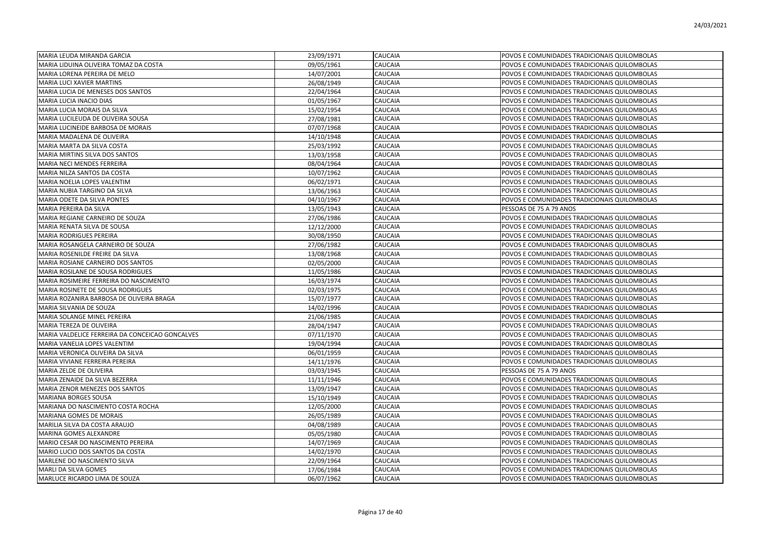| MARIA LEUDA MIRANDA GARCIA                      | 23/09/1971 | CAUCAIA        | POVOS E COMUNIDADES TRADICIONAIS QUILOMBOLAS |
|-------------------------------------------------|------------|----------------|----------------------------------------------|
| MARIA LIDUINA OLIVEIRA TOMAZ DA COSTA           | 09/05/1961 | CAUCAIA        | POVOS E COMUNIDADES TRADICIONAIS QUILOMBOLAS |
| MARIA LORENA PEREIRA DE MELO                    | 14/07/2001 | CAUCAIA        | POVOS E COMUNIDADES TRADICIONAIS QUILOMBOLAS |
| MARIA LUCI XAVIER MARTINS                       | 26/08/1949 | CAUCAIA        | POVOS E COMUNIDADES TRADICIONAIS QUILOMBOLAS |
| MARIA LUCIA DE MENESES DOS SANTOS               | 22/04/1964 | CAUCAIA        | POVOS E COMUNIDADES TRADICIONAIS QUILOMBOLAS |
| MARIA LUCIA INACIO DIAS                         | 01/05/1967 | CAUCAIA        | POVOS E COMUNIDADES TRADICIONAIS QUILOMBOLAS |
| MARIA LUCIA MORAIS DA SILVA                     | 15/02/1954 | CAUCAIA        | POVOS E COMUNIDADES TRADICIONAIS QUILOMBOLAS |
| MARIA LUCILEUDA DE OLIVEIRA SOUSA               | 27/08/1981 | CAUCAIA        | POVOS E COMUNIDADES TRADICIONAIS QUILOMBOLAS |
| MARIA LUCINEIDE BARBOSA DE MORAIS               | 07/07/1968 | CAUCAIA        | POVOS E COMUNIDADES TRADICIONAIS QUILOMBOLAS |
| MARIA MADALENA DE OLIVEIRA                      | 14/10/1948 | CAUCAIA        | POVOS E COMUNIDADES TRADICIONAIS QUILOMBOLAS |
| MARIA MARTA DA SILVA COSTA                      | 25/03/1992 | CAUCAIA        | POVOS E COMUNIDADES TRADICIONAIS QUILOMBOLAS |
| MARIA MIRTINS SILVA DOS SANTOS                  | 13/03/1958 | CAUCAIA        | POVOS E COMUNIDADES TRADICIONAIS QUILOMBOLAS |
| MARIA NECI MENDES FERREIRA                      | 08/04/1964 | CAUCAIA        | POVOS E COMUNIDADES TRADICIONAIS QUILOMBOLAS |
| MARIA NILZA SANTOS DA COSTA                     | 10/07/1962 | CAUCAIA        | POVOS E COMUNIDADES TRADICIONAIS QUILOMBOLAS |
| MARIA NOELIA LOPES VALENTIM                     | 06/02/1971 | CAUCAIA        | POVOS E COMUNIDADES TRADICIONAIS QUILOMBOLAS |
| MARIA NUBIA TARGINO DA SILVA                    | 13/06/1963 | CAUCAIA        | POVOS E COMUNIDADES TRADICIONAIS QUILOMBOLAS |
| MARIA ODETE DA SILVA PONTES                     | 04/10/1967 | <b>CAUCAIA</b> | POVOS E COMUNIDADES TRADICIONAIS QUILOMBOLAS |
| MARIA PEREIRA DA SILVA                          | 13/05/1943 | CAUCAIA        | PESSOAS DE 75 A 79 ANOS                      |
| MARIA REGIANE CARNEIRO DE SOUZA                 | 27/06/1986 | CAUCAIA        | POVOS E COMUNIDADES TRADICIONAIS QUILOMBOLAS |
| MARIA RENATA SILVA DE SOUSA                     | 12/12/2000 | CAUCAIA        | POVOS E COMUNIDADES TRADICIONAIS QUILOMBOLAS |
| MARIA RODRIGUES PEREIRA                         | 30/08/1950 | CAUCAIA        | POVOS E COMUNIDADES TRADICIONAIS QUILOMBOLAS |
| MARIA ROSANGELA CARNEIRO DE SOUZA               | 27/06/1982 | CAUCAIA        | POVOS E COMUNIDADES TRADICIONAIS QUILOMBOLAS |
| MARIA ROSENILDE FREIRE DA SILVA                 | 13/08/1968 | CAUCAIA        | POVOS E COMUNIDADES TRADICIONAIS QUILOMBOLAS |
| MARIA ROSIANE CARNEIRO DOS SANTOS               | 02/05/2000 | CAUCAIA        | POVOS E COMUNIDADES TRADICIONAIS QUILOMBOLAS |
| MARIA ROSILANE DE SOUSA RODRIGUES               | 11/05/1986 | <b>CAUCAIA</b> | POVOS E COMUNIDADES TRADICIONAIS QUILOMBOLAS |
| MARIA ROSIMEIRE FERREIRA DO NASCIMENTO          | 16/03/1974 | CAUCAIA        | POVOS E COMUNIDADES TRADICIONAIS QUILOMBOLAS |
| MARIA ROSINETE DE SOUSA RODRIGUES               | 02/03/1975 | CAUCAIA        | POVOS E COMUNIDADES TRADICIONAIS QUILOMBOLAS |
| MARIA ROZANIRA BARBOSA DE OLIVEIRA BRAGA        | 15/07/1977 | CAUCAIA        | POVOS E COMUNIDADES TRADICIONAIS QUILOMBOLAS |
| MARIA SILVANIA DE SOUZA                         | 14/02/1996 | CAUCAIA        | POVOS E COMUNIDADES TRADICIONAIS QUILOMBOLAS |
| MARIA SOLANGE MINEL PEREIRA                     | 21/06/1985 | CAUCAIA        | POVOS E COMUNIDADES TRADICIONAIS QUILOMBOLAS |
| MARIA TEREZA DE OLIVEIRA                        | 28/04/1947 | CAUCAIA        | POVOS E COMUNIDADES TRADICIONAIS QUILOMBOLAS |
| MARIA VALDELICE FERREIRA DA CONCEICAO GONCALVES | 07/11/1970 | CAUCAIA        | POVOS E COMUNIDADES TRADICIONAIS QUILOMBOLAS |
| MARIA VANELIA LOPES VALENTIM                    | 19/04/1994 | CAUCAIA        | POVOS E COMUNIDADES TRADICIONAIS QUILOMBOLAS |
| MARIA VERONICA OLIVEIRA DA SILVA                | 06/01/1959 | CAUCAIA        | POVOS E COMUNIDADES TRADICIONAIS QUILOMBOLAS |
| MARIA VIVIANE FERREIRA PEREIRA                  | 14/11/1976 | <b>CAUCAIA</b> | POVOS E COMUNIDADES TRADICIONAIS QUILOMBOLAS |
| MARIA ZELDE DE OLIVEIRA                         | 03/03/1945 | CAUCAIA        | PESSOAS DE 75 A 79 ANOS                      |
| MARIA ZENAIDE DA SILVA BEZERRA                  | 11/11/1946 | CAUCAIA        | POVOS E COMUNIDADES TRADICIONAIS QUILOMBOLAS |
| MARIA ZENOR MENEZES DOS SANTOS                  | 13/09/1947 | CAUCAIA        | POVOS E COMUNIDADES TRADICIONAIS QUILOMBOLAS |
| MARIANA BORGES SOUSA                            | 15/10/1949 | CAUCAIA        | POVOS E COMUNIDADES TRADICIONAIS QUILOMBOLAS |
| MARIANA DO NASCIMENTO COSTA ROCHA               | 12/05/2000 | CAUCAIA        | POVOS E COMUNIDADES TRADICIONAIS QUILOMBOLAS |
| MARIANA GOMES DE MORAIS                         | 26/05/1989 | CAUCAIA        | POVOS E COMUNIDADES TRADICIONAIS QUILOMBOLAS |
| MARILIA SILVA DA COSTA ARAUJO                   | 04/08/1989 | CAUCAIA        | POVOS E COMUNIDADES TRADICIONAIS QUILOMBOLAS |
| MARINA GOMES ALEXANDRE                          | 05/05/1980 | CAUCAIA        | POVOS E COMUNIDADES TRADICIONAIS QUILOMBOLAS |
| MARIO CESAR DO NASCIMENTO PEREIRA               | 14/07/1969 | CAUCAIA        | POVOS E COMUNIDADES TRADICIONAIS QUILOMBOLAS |
| MARIO LUCIO DOS SANTOS DA COSTA                 | 14/02/1970 | CAUCAIA        | POVOS E COMUNIDADES TRADICIONAIS QUILOMBOLAS |
| MARLENE DO NASCIMENTO SILVA                     | 22/09/1964 | CAUCAIA        | POVOS E COMUNIDADES TRADICIONAIS QUILOMBOLAS |
| MARLI DA SILVA GOMES                            | 17/06/1984 | CAUCAIA        | POVOS E COMUNIDADES TRADICIONAIS QUILOMBOLAS |
| MARLUCE RICARDO LIMA DE SOUZA                   | 06/07/1962 | <b>CAUCAIA</b> | POVOS E COMUNIDADES TRADICIONAIS QUILOMBOLAS |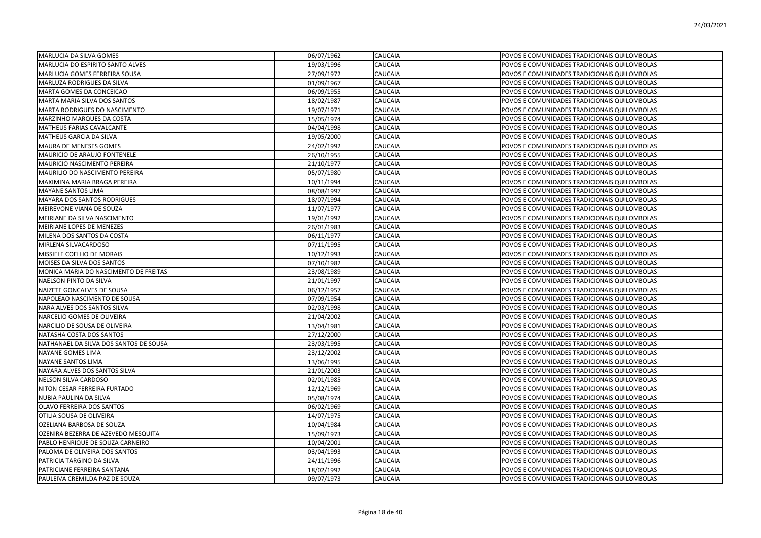| MARLUCIA DA SILVA GOMES                | 06/07/1962 | <b>CAUCAIA</b> | POVOS E COMUNIDADES TRADICIONAIS QUILOMBOLAS |
|----------------------------------------|------------|----------------|----------------------------------------------|
| MARLUCIA DO ESPIRITO SANTO ALVES       | 19/03/1996 | CAUCAIA        | POVOS E COMUNIDADES TRADICIONAIS QUILOMBOLAS |
| MARLUCIA GOMES FERREIRA SOUSA          | 27/09/1972 | CAUCAIA        | POVOS E COMUNIDADES TRADICIONAIS QUILOMBOLAS |
| MARLUZA RODRIGUES DA SILVA             | 01/09/1967 | CAUCAIA        | POVOS E COMUNIDADES TRADICIONAIS QUILOMBOLAS |
| MARTA GOMES DA CONCEICAO               | 06/09/1955 | CAUCAIA        | POVOS E COMUNIDADES TRADICIONAIS QUILOMBOLAS |
| MARTA MARIA SILVA DOS SANTOS           | 18/02/1987 | CAUCAIA        | POVOS E COMUNIDADES TRADICIONAIS QUILOMBOLAS |
| MARTA RODRIGUES DO NASCIMENTO          | 19/07/1971 | CAUCAIA        | POVOS E COMUNIDADES TRADICIONAIS QUILOMBOLAS |
| MARZINHO MARQUES DA COSTA              | 15/05/1974 | CAUCAIA        | POVOS E COMUNIDADES TRADICIONAIS QUILOMBOLAS |
| MATHEUS FARIAS CAVALCANTE              | 04/04/1998 | CAUCAIA        | POVOS E COMUNIDADES TRADICIONAIS QUILOMBOLAS |
| MATHEUS GARCIA DA SILVA                | 19/05/2000 | CAUCAIA        | POVOS E COMUNIDADES TRADICIONAIS QUILOMBOLAS |
| MAURA DE MENESES GOMES                 | 24/02/1992 | CAUCAIA        | POVOS E COMUNIDADES TRADICIONAIS QUILOMBOLAS |
| MAURICIO DE ARAUJO FONTENELE           | 26/10/1955 | CAUCAIA        | POVOS E COMUNIDADES TRADICIONAIS QUILOMBOLAS |
| MAURICIO NASCIMENTO PEREIRA            | 21/10/1977 | CAUCAIA        | POVOS E COMUNIDADES TRADICIONAIS QUILOMBOLAS |
| MAURILIO DO NASCIMENTO PEREIRA         | 05/07/1980 | CAUCAIA        | POVOS E COMUNIDADES TRADICIONAIS QUILOMBOLAS |
| MAXIMINA MARIA BRAGA PEREIRA           | 10/11/1994 | CAUCAIA        | POVOS E COMUNIDADES TRADICIONAIS QUILOMBOLAS |
| <b>MAYANE SANTOS LIMA</b>              | 08/08/1997 | CAUCAIA        | POVOS E COMUNIDADES TRADICIONAIS QUILOMBOLAS |
| <b>MAYARA DOS SANTOS RODRIGUES</b>     | 18/07/1994 | CAUCAIA        | POVOS E COMUNIDADES TRADICIONAIS QUILOMBOLAS |
| MEIREVONE VIANA DE SOUZA               | 11/07/1977 | CAUCAIA        | POVOS E COMUNIDADES TRADICIONAIS QUILOMBOLAS |
| MEIRIANE DA SILVA NASCIMENTO           | 19/01/1992 | CAUCAIA        | POVOS E COMUNIDADES TRADICIONAIS QUILOMBOLAS |
| MEIRIANE LOPES DE MENEZES              | 26/01/1983 | CAUCAIA        | POVOS E COMUNIDADES TRADICIONAIS QUILOMBOLAS |
| MILENA DOS SANTOS DA COSTA             | 06/11/1977 | CAUCAIA        | POVOS E COMUNIDADES TRADICIONAIS QUILOMBOLAS |
| MIRLENA SILVACARDOSO                   | 07/11/1995 | CAUCAIA        | POVOS E COMUNIDADES TRADICIONAIS QUILOMBOLAS |
| MISSIELE COELHO DE MORAIS              | 10/12/1993 | CAUCAIA        | POVOS E COMUNIDADES TRADICIONAIS QUILOMBOLAS |
| MOISES DA SILVA DOS SANTOS             | 07/10/1982 | CAUCAIA        | POVOS E COMUNIDADES TRADICIONAIS QUILOMBOLAS |
| MONICA MARIA DO NASCIMENTO DE FREITAS  | 23/08/1989 | CAUCAIA        | POVOS E COMUNIDADES TRADICIONAIS QUILOMBOLAS |
| NAELSON PINTO DA SILVA                 | 21/01/1997 | CAUCAIA        | POVOS E COMUNIDADES TRADICIONAIS QUILOMBOLAS |
| NAIZETE GONCALVES DE SOUSA             | 06/12/1957 | CAUCAIA        | POVOS E COMUNIDADES TRADICIONAIS QUILOMBOLAS |
| NAPOLEAO NASCIMENTO DE SOUSA           | 07/09/1954 | CAUCAIA        | POVOS E COMUNIDADES TRADICIONAIS QUILOMBOLAS |
| NARA ALVES DOS SANTOS SILVA            | 02/03/1998 | CAUCAIA        | POVOS E COMUNIDADES TRADICIONAIS QUILOMBOLAS |
| NARCELIO GOMES DE OLIVEIRA             | 21/04/2002 | CAUCAIA        | POVOS E COMUNIDADES TRADICIONAIS QUILOMBOLAS |
| NARCILIO DE SOUSA DE OLIVEIRA          | 13/04/1981 | CAUCAIA        | POVOS E COMUNIDADES TRADICIONAIS QUILOMBOLAS |
| NATASHA COSTA DOS SANTOS               | 27/12/2000 | CAUCAIA        | POVOS E COMUNIDADES TRADICIONAIS QUILOMBOLAS |
| NATHANAEL DA SILVA DOS SANTOS DE SOUSA | 23/03/1995 | CAUCAIA        | POVOS E COMUNIDADES TRADICIONAIS QUILOMBOLAS |
| NAYANE GOMES LIMA                      | 23/12/2002 | <b>CAUCAIA</b> | POVOS E COMUNIDADES TRADICIONAIS QUILOMBOLAS |
| NAYANE SANTOS LIMA                     | 13/06/1995 | <b>CAUCAIA</b> | POVOS E COMUNIDADES TRADICIONAIS QUILOMBOLAS |
| NAYARA ALVES DOS SANTOS SILVA          | 21/01/2003 | CAUCAIA        | POVOS E COMUNIDADES TRADICIONAIS QUILOMBOLAS |
| NELSON SILVA CARDOSO                   | 02/01/1985 | CAUCAIA        | POVOS E COMUNIDADES TRADICIONAIS QUILOMBOLAS |
| NITON CESAR FERREIRA FURTADO           | 12/12/1969 | CAUCAIA        | POVOS E COMUNIDADES TRADICIONAIS QUILOMBOLAS |
| NUBIA PAULINA DA SILVA                 | 05/08/1974 | CAUCAIA        | POVOS E COMUNIDADES TRADICIONAIS QUILOMBOLAS |
| OLAVO FERREIRA DOS SANTOS              | 06/02/1969 | CAUCAIA        | POVOS E COMUNIDADES TRADICIONAIS QUILOMBOLAS |
| OTILIA SOUSA DE OLIVEIRA               | 14/07/1975 | CAUCAIA        | POVOS E COMUNIDADES TRADICIONAIS QUILOMBOLAS |
| OZELIANA BARBOSA DE SOUZA              | 10/04/1984 | CAUCAIA        | POVOS E COMUNIDADES TRADICIONAIS QUILOMBOLAS |
| OZENIRA BEZERRA DE AZEVEDO MESQUITA    | 15/09/1973 | CAUCAIA        | POVOS E COMUNIDADES TRADICIONAIS QUILOMBOLAS |
| PABLO HENRIQUE DE SOUZA CARNEIRO       | 10/04/2001 | CAUCAIA        | POVOS E COMUNIDADES TRADICIONAIS QUILOMBOLAS |
| PALOMA DE OLIVEIRA DOS SANTOS          | 03/04/1993 | CAUCAIA        | POVOS E COMUNIDADES TRADICIONAIS QUILOMBOLAS |
| PATRICIA TARGINO DA SILVA              | 24/11/1996 | CAUCAIA        | POVOS E COMUNIDADES TRADICIONAIS QUILOMBOLAS |
| PATRICIANE FERREIRA SANTANA            | 18/02/1992 | CAUCAIA        | POVOS E COMUNIDADES TRADICIONAIS QUILOMBOLAS |
| PAULEIVA CREMILDA PAZ DE SOUZA         | 09/07/1973 | <b>CAUCAIA</b> | POVOS E COMUNIDADES TRADICIONAIS QUILOMBOLAS |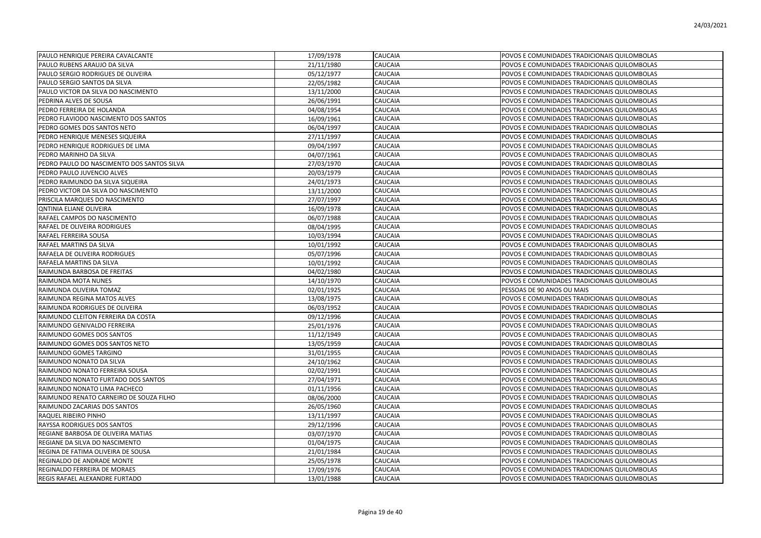| PAULO HENRIQUE PEREIRA CAVALCANTE          | 17/09/1978 | CAUCAIA        | POVOS E COMUNIDADES TRADICIONAIS QUILOMBOLAS |
|--------------------------------------------|------------|----------------|----------------------------------------------|
| PAULO RUBENS ARAUJO DA SILVA               | 21/11/1980 | CAUCAIA        | POVOS E COMUNIDADES TRADICIONAIS QUILOMBOLAS |
| PAULO SERGIO RODRIGUES DE OLIVEIRA         | 05/12/1977 | CAUCAIA        | POVOS E COMUNIDADES TRADICIONAIS QUILOMBOLAS |
| PAULO SERGIO SANTOS DA SILVA               | 22/05/1982 | CAUCAIA        | POVOS E COMUNIDADES TRADICIONAIS QUILOMBOLAS |
| PAULO VICTOR DA SILVA DO NASCIMENTO        | 13/11/2000 | CAUCAIA        | POVOS E COMUNIDADES TRADICIONAIS QUILOMBOLAS |
| PEDRINA ALVES DE SOUSA                     | 26/06/1991 | CAUCAIA        | POVOS E COMUNIDADES TRADICIONAIS QUILOMBOLAS |
| PEDRO FERREIRA DE HOLANDA                  | 04/08/1954 | CAUCAIA        | POVOS E COMUNIDADES TRADICIONAIS QUILOMBOLAS |
| PEDRO FLAVIODO NASCIMENTO DOS SANTOS       | 16/09/1961 | CAUCAIA        | POVOS E COMUNIDADES TRADICIONAIS QUILOMBOLAS |
| PEDRO GOMES DOS SANTOS NETO                | 06/04/1997 | CAUCAIA        | POVOS E COMUNIDADES TRADICIONAIS QUILOMBOLAS |
| PEDRO HENRIQUE MENESES SIQUEIRA            | 27/11/1997 | CAUCAIA        | POVOS E COMUNIDADES TRADICIONAIS QUILOMBOLAS |
| PEDRO HENRIQUE RODRIGUES DE LIMA           | 09/04/1997 | CAUCAIA        | POVOS E COMUNIDADES TRADICIONAIS QUILOMBOLAS |
| PEDRO MARINHO DA SILVA                     | 04/07/1961 | CAUCAIA        | POVOS E COMUNIDADES TRADICIONAIS QUILOMBOLAS |
| PEDRO PAULO DO NASCIMENTO DOS SANTOS SILVA | 27/03/1970 | CAUCAIA        | POVOS E COMUNIDADES TRADICIONAIS QUILOMBOLAS |
| PEDRO PAULO JUVENCIO ALVES                 | 20/03/1979 | CAUCAIA        | POVOS E COMUNIDADES TRADICIONAIS QUILOMBOLAS |
| PEDRO RAIMUNDO DA SILVA SIQUEIRA           | 24/01/1973 | CAUCAIA        | POVOS E COMUNIDADES TRADICIONAIS QUILOMBOLAS |
| PEDRO VICTOR DA SILVA DO NASCIMENTO        | 13/11/2000 | CAUCAIA        | POVOS E COMUNIDADES TRADICIONAIS QUILOMBOLAS |
| PRISCILA MARQUES DO NASCIMENTO             | 27/07/1997 | CAUCAIA        | POVOS E COMUNIDADES TRADICIONAIS QUILOMBOLAS |
| <b>QNTINIA ELIANE OLIVEIRA</b>             | 16/09/1978 | CAUCAIA        | POVOS E COMUNIDADES TRADICIONAIS QUILOMBOLAS |
| RAFAEL CAMPOS DO NASCIMENTO                | 06/07/1988 | CAUCAIA        | POVOS E COMUNIDADES TRADICIONAIS QUILOMBOLAS |
| RAFAEL DE OLIVEIRA RODRIGUES               | 08/04/1995 | CAUCAIA        | POVOS E COMUNIDADES TRADICIONAIS QUILOMBOLAS |
| RAFAEL FERREIRA SOUSA                      | 10/03/1994 | CAUCAIA        | POVOS E COMUNIDADES TRADICIONAIS QUILOMBOLAS |
| RAFAEL MARTINS DA SILVA                    | 10/01/1992 | CAUCAIA        | POVOS E COMUNIDADES TRADICIONAIS QUILOMBOLAS |
| RAFAELA DE OLIVEIRA RODRIGUES              | 05/07/1996 | CAUCAIA        | POVOS E COMUNIDADES TRADICIONAIS QUILOMBOLAS |
| RAFAELA MARTINS DA SILVA                   | 10/01/1992 | CAUCAIA        | POVOS E COMUNIDADES TRADICIONAIS QUILOMBOLAS |
| RAIMUNDA BARBOSA DE FREITAS                | 04/02/1980 | CAUCAIA        | POVOS E COMUNIDADES TRADICIONAIS QUILOMBOLAS |
| <b>RAIMUNDA MOTA NUNES</b>                 | 14/10/1970 | CAUCAIA        | POVOS E COMUNIDADES TRADICIONAIS QUILOMBOLAS |
| RAIMUNDA OLIVEIRA TOMAZ                    | 02/01/1925 | CAUCAIA        | PESSOAS DE 90 ANOS OU MAIS                   |
| RAIMUNDA REGINA MATOS ALVES                | 13/08/1975 | CAUCAIA        | POVOS E COMUNIDADES TRADICIONAIS QUILOMBOLAS |
| RAIMUNDA RODRIGUES DE OLIVEIRA             | 06/03/1952 | CAUCAIA        | POVOS E COMUNIDADES TRADICIONAIS QUILOMBOLAS |
| RAIMUNDO CLEITON FERREIRA DA COSTA         | 09/12/1996 | CAUCAIA        | POVOS E COMUNIDADES TRADICIONAIS QUILOMBOLAS |
| RAIMUNDO GENIVALDO FERREIRA                | 25/01/1976 | CAUCAIA        | POVOS E COMUNIDADES TRADICIONAIS QUILOMBOLAS |
| RAIMUNDO GOMES DOS SANTOS                  | 11/12/1949 | CAUCAIA        | POVOS E COMUNIDADES TRADICIONAIS QUILOMBOLAS |
| RAIMUNDO GOMES DOS SANTOS NETO             | 13/05/1959 | CAUCAIA        | POVOS E COMUNIDADES TRADICIONAIS QUILOMBOLAS |
| RAIMUNDO GOMES TARGINO                     | 31/01/1955 | CAUCAIA        | POVOS E COMUNIDADES TRADICIONAIS QUILOMBOLAS |
| RAIMUNDO NONATO DA SILVA                   | 24/10/1962 | <b>CAUCAIA</b> | POVOS E COMUNIDADES TRADICIONAIS QUILOMBOLAS |
| RAIMUNDO NONATO FERREIRA SOUSA             | 02/02/1991 | CAUCAIA        | POVOS E COMUNIDADES TRADICIONAIS QUILOMBOLAS |
| RAIMUNDO NONATO FURTADO DOS SANTOS         | 27/04/1971 | CAUCAIA        | POVOS E COMUNIDADES TRADICIONAIS QUILOMBOLAS |
| RAIMUNDO NONATO LIMA PACHECO               | 01/11/1956 | CAUCAIA        | POVOS E COMUNIDADES TRADICIONAIS QUILOMBOLAS |
| RAIMUNDO RENATO CARNEIRO DE SOUZA FILHO    | 08/06/2000 | CAUCAIA        | POVOS E COMUNIDADES TRADICIONAIS QUILOMBOLAS |
| RAIMUNDO ZACARIAS DOS SANTOS               | 26/05/1960 | CAUCAIA        | POVOS E COMUNIDADES TRADICIONAIS QUILOMBOLAS |
| RAQUEL RIBEIRO PINHO                       | 13/11/1997 | CAUCAIA        | POVOS E COMUNIDADES TRADICIONAIS QUILOMBOLAS |
| RAYSSA RODRIGUES DOS SANTOS                | 29/12/1996 | CAUCAIA        | POVOS E COMUNIDADES TRADICIONAIS QUILOMBOLAS |
| REGIANE BARBOSA DE OLIVEIRA MATIAS         | 03/07/1970 | CAUCAIA        | POVOS E COMUNIDADES TRADICIONAIS QUILOMBOLAS |
| REGIANE DA SILVA DO NASCIMENTO             | 01/04/1975 | CAUCAIA        | POVOS E COMUNIDADES TRADICIONAIS QUILOMBOLAS |
| REGINA DE FATIMA OLIVEIRA DE SOUSA         | 21/01/1984 | CAUCAIA        | POVOS E COMUNIDADES TRADICIONAIS QUILOMBOLAS |
| REGINALDO DE ANDRADE MONTE                 | 25/05/1978 | CAUCAIA        | POVOS E COMUNIDADES TRADICIONAIS QUILOMBOLAS |
| REGINALDO FERREIRA DE MORAES               | 17/09/1976 | CAUCAIA        | POVOS E COMUNIDADES TRADICIONAIS QUILOMBOLAS |
| <b>REGIS RAFAEL ALEXANDRE FURTADO</b>      | 13/01/1988 | <b>CAUCAIA</b> | POVOS E COMUNIDADES TRADICIONAIS QUILOMBOLAS |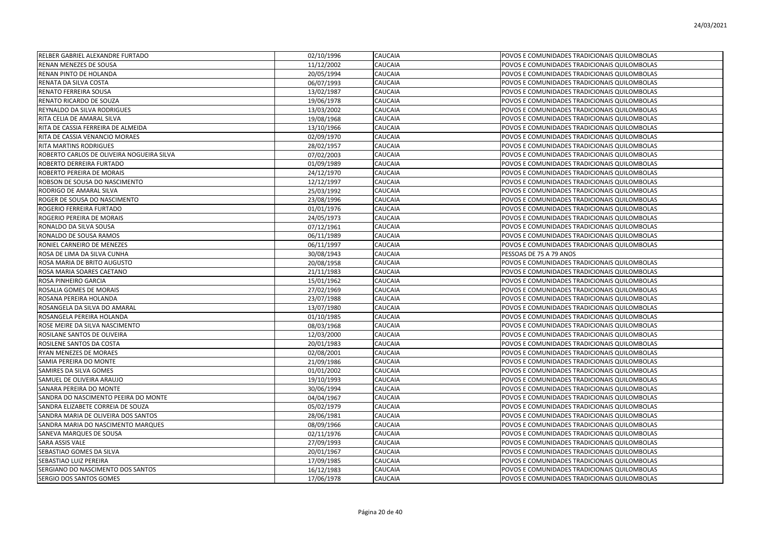| RELBER GABRIEL ALEXANDRE FURTADO          | 02/10/1996 | <b>CAUCAIA</b> | POVOS E COMUNIDADES TRADICIONAIS QUILOMBOLAS |
|-------------------------------------------|------------|----------------|----------------------------------------------|
| RENAN MENEZES DE SOUSA                    | 11/12/2002 | CAUCAIA        | POVOS E COMUNIDADES TRADICIONAIS QUILOMBOLAS |
| RENAN PINTO DE HOLANDA                    | 20/05/1994 | <b>CAUCAIA</b> | POVOS E COMUNIDADES TRADICIONAIS QUILOMBOLAS |
| RENATA DA SILVA COSTA                     | 06/07/1993 | CAUCAIA        | POVOS E COMUNIDADES TRADICIONAIS QUILOMBOLAS |
| RENATO FERREIRA SOUSA                     | 13/02/1987 | CAUCAIA        | POVOS E COMUNIDADES TRADICIONAIS QUILOMBOLAS |
| RENATO RICARDO DE SOUZA                   | 19/06/1978 | CAUCAIA        | POVOS E COMUNIDADES TRADICIONAIS QUILOMBOLAS |
| REYNALDO DA SILVA RODRIGUES               | 13/03/2002 | <b>CAUCAIA</b> | POVOS E COMUNIDADES TRADICIONAIS QUILOMBOLAS |
| RITA CELIA DE AMARAL SILVA                | 19/08/1968 | CAUCAIA        | POVOS E COMUNIDADES TRADICIONAIS QUILOMBOLAS |
| RITA DE CASSIA FERREIRA DE ALMEIDA        | 13/10/1966 | CAUCAIA        | POVOS E COMUNIDADES TRADICIONAIS QUILOMBOLAS |
| RITA DE CASSIA VENANCIO MORAES            | 02/09/1970 | CAUCAIA        | POVOS E COMUNIDADES TRADICIONAIS QUILOMBOLAS |
| RITA MARTINS RODRIGUES                    | 28/02/1957 | CAUCAIA        | POVOS E COMUNIDADES TRADICIONAIS QUILOMBOLAS |
| ROBERTO CARLOS DE OLIVEIRA NOGUEIRA SILVA | 07/02/2003 | CAUCAIA        | POVOS E COMUNIDADES TRADICIONAIS QUILOMBOLAS |
| ROBERTO DERREIRA FURTADO                  | 01/09/1989 | CAUCAIA        | POVOS E COMUNIDADES TRADICIONAIS QUILOMBOLAS |
| ROBERTO PEREIRA DE MORAIS                 | 24/12/1970 | CAUCAIA        | POVOS E COMUNIDADES TRADICIONAIS QUILOMBOLAS |
| ROBSON DE SOUSA DO NASCIMENTO             | 12/12/1997 | CAUCAIA        | POVOS E COMUNIDADES TRADICIONAIS QUILOMBOLAS |
| RODRIGO DE AMARAL SILVA                   | 25/03/1992 | CAUCAIA        | POVOS E COMUNIDADES TRADICIONAIS QUILOMBOLAS |
| ROGER DE SOUSA DO NASCIMENTO              | 23/08/1996 | CAUCAIA        | POVOS E COMUNIDADES TRADICIONAIS QUILOMBOLAS |
| ROGERIO FERREIRA FURTADO                  | 01/01/1976 | CAUCAIA        | POVOS E COMUNIDADES TRADICIONAIS QUILOMBOLAS |
| ROGERIO PEREIRA DE MORAIS                 | 24/05/1973 | <b>CAUCAIA</b> | POVOS E COMUNIDADES TRADICIONAIS QUILOMBOLAS |
| RONALDO DA SILVA SOUSA                    | 07/12/1961 | CAUCAIA        | POVOS E COMUNIDADES TRADICIONAIS QUILOMBOLAS |
| RONALDO DE SOUSA RAMOS                    | 06/11/1989 | CAUCAIA        | POVOS E COMUNIDADES TRADICIONAIS QUILOMBOLAS |
| RONIEL CARNEIRO DE MENEZES                | 06/11/1997 | CAUCAIA        | POVOS E COMUNIDADES TRADICIONAIS QUILOMBOLAS |
| ROSA DE LIMA DA SILVA CUNHA               | 30/08/1943 | CAUCAIA        | PESSOAS DE 75 A 79 ANOS                      |
| ROSA MARIA DE BRITO AUGUSTO               | 20/08/1958 | CAUCAIA        | POVOS E COMUNIDADES TRADICIONAIS QUILOMBOLAS |
| ROSA MARIA SOARES CAETANO                 | 21/11/1983 | CAUCAIA        | POVOS E COMUNIDADES TRADICIONAIS QUILOMBOLAS |
| ROSA PINHEIRO GARCIA                      | 15/01/1962 | CAUCAIA        | POVOS E COMUNIDADES TRADICIONAIS QUILOMBOLAS |
| ROSALIA GOMES DE MORAIS                   | 27/02/1969 | CAUCAIA        | POVOS E COMUNIDADES TRADICIONAIS QUILOMBOLAS |
| ROSANA PEREIRA HOLANDA                    | 23/07/1988 | CAUCAIA        | POVOS E COMUNIDADES TRADICIONAIS QUILOMBOLAS |
| ROSANGELA DA SILVA DO AMARAL              | 13/07/1980 | CAUCAIA        | POVOS E COMUNIDADES TRADICIONAIS QUILOMBOLAS |
| ROSANGELA PEREIRA HOLANDA                 | 01/10/1985 | CAUCAIA        | POVOS E COMUNIDADES TRADICIONAIS QUILOMBOLAS |
| ROSE MEIRE DA SILVA NASCIMENTO            | 08/03/1968 | CAUCAIA        | POVOS E COMUNIDADES TRADICIONAIS QUILOMBOLAS |
| ROSILANE SANTOS DE OLIVEIRA               | 12/03/2000 | CAUCAIA        | POVOS E COMUNIDADES TRADICIONAIS QUILOMBOLAS |
| ROSILENE SANTOS DA COSTA                  | 20/01/1983 | CAUCAIA        | POVOS E COMUNIDADES TRADICIONAIS QUILOMBOLAS |
| RYAN MENEZES DE MORAES                    | 02/08/2001 | CAUCAIA        | POVOS E COMUNIDADES TRADICIONAIS QUILOMBOLAS |
| SAMIA PEREIRA DO MONTE                    | 21/09/1986 | CAUCAIA        | POVOS E COMUNIDADES TRADICIONAIS QUILOMBOLAS |
| SAMIRES DA SILVA GOMES                    | 01/01/2002 | CAUCAIA        | POVOS E COMUNIDADES TRADICIONAIS QUILOMBOLAS |
| SAMUEL DE OLIVEIRA ARAUJO                 | 19/10/1993 | CAUCAIA        | POVOS E COMUNIDADES TRADICIONAIS QUILOMBOLAS |
| SANARA PEREIRA DO MONTE                   | 30/06/1994 | CAUCAIA        | POVOS E COMUNIDADES TRADICIONAIS QUILOMBOLAS |
| SANDRA DO NASCIMENTO PEEIRA DO MONTE      | 04/04/1967 | CAUCAIA        | POVOS E COMUNIDADES TRADICIONAIS QUILOMBOLAS |
| SANDRA ELIZABETE CORREIA DE SOUZA         | 05/02/1979 | CAUCAIA        | POVOS E COMUNIDADES TRADICIONAIS QUILOMBOLAS |
| SANDRA MARIA DE OLIVEIRA DOS SANTOS       | 28/06/1981 | CAUCAIA        | POVOS E COMUNIDADES TRADICIONAIS QUILOMBOLAS |
| SANDRA MARIA DO NASCIMENTO MARQUES        | 08/09/1966 | CAUCAIA        | POVOS E COMUNIDADES TRADICIONAIS QUILOMBOLAS |
| SANEVA MARQUES DE SOUSA                   | 02/11/1976 | CAUCAIA        | POVOS E COMUNIDADES TRADICIONAIS QUILOMBOLAS |
| SARA ASSIS VALE                           | 27/09/1993 | CAUCAIA        | POVOS E COMUNIDADES TRADICIONAIS QUILOMBOLAS |
| SEBASTIAO GOMES DA SILVA                  | 20/01/1967 | CAUCAIA        | POVOS E COMUNIDADES TRADICIONAIS QUILOMBOLAS |
| SEBASTIAO LUIZ PEREIRA                    | 17/09/1985 | CAUCAIA        | POVOS E COMUNIDADES TRADICIONAIS QUILOMBOLAS |
| SERGIANO DO NASCIMENTO DOS SANTOS         | 16/12/1983 | CAUCAIA        | POVOS E COMUNIDADES TRADICIONAIS QUILOMBOLAS |
| SERGIO DOS SANTOS GOMES                   | 17/06/1978 | <b>CAUCAIA</b> | POVOS E COMUNIDADES TRADICIONAIS QUILOMBOLAS |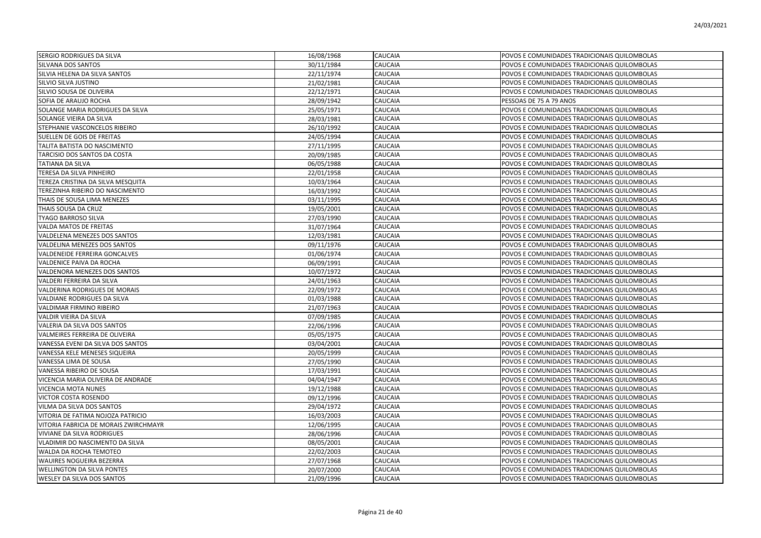| SERGIO RODRIGUES DA SILVA             | 16/08/1968                      | CAUCAIA        | POVOS E COMUNIDADES TRADICIONAIS QUILOMBOLAS |
|---------------------------------------|---------------------------------|----------------|----------------------------------------------|
| SILVANA DOS SANTOS                    | 30/11/1984                      | CAUCAIA        | POVOS E COMUNIDADES TRADICIONAIS QUILOMBOLAS |
| SILVIA HELENA DA SILVA SANTOS         | 22/11/1974                      | CAUCAIA        | POVOS E COMUNIDADES TRADICIONAIS QUILOMBOLAS |
| SILVIO SILVA JUSTINO                  | 21/02/1981                      | CAUCAIA        | POVOS E COMUNIDADES TRADICIONAIS QUILOMBOLAS |
| SILVIO SOUSA DE OLIVEIRA              | 22/12/1971                      | CAUCAIA        | POVOS E COMUNIDADES TRADICIONAIS QUILOMBOLAS |
| SOFIA DE ARAUJO ROCHA                 | 28/09/1942                      | CAUCAIA        | PESSOAS DE 75 A 79 ANOS                      |
| SOLANGE MARIA RODRIGUES DA SILVA      | 25/05/1971                      | CAUCAIA        | POVOS E COMUNIDADES TRADICIONAIS QUILOMBOLAS |
| SOLANGE VIEIRA DA SILVA               | 28/03/1981                      | <b>CAUCAIA</b> | POVOS E COMUNIDADES TRADICIONAIS QUILOMBOLAS |
| STEPHANIE VASCONCELOS RIBEIRO         | 26/10/1992                      | <b>CAUCAIA</b> | POVOS E COMUNIDADES TRADICIONAIS QUILOMBOLAS |
| SUELLEN DE GOIS DE FREITAS            | 24/05/1994                      | CAUCAIA        | POVOS E COMUNIDADES TRADICIONAIS QUILOMBOLAS |
| TALITA BATISTA DO NASCIMENTO          | $\frac{27}{11}{\frac{1995}{2}}$ | CAUCAIA        | POVOS E COMUNIDADES TRADICIONAIS QUILOMBOLAS |
| TARCISIO DOS SANTOS DA COSTA          | 20/09/1985                      | CAUCAIA        | POVOS E COMUNIDADES TRADICIONAIS QUILOMBOLAS |
| TATIANA DA SILVA                      | 06/05/1988                      | CAUCAIA        | POVOS E COMUNIDADES TRADICIONAIS QUILOMBOLAS |
| TERESA DA SILVA PINHEIRO              | 22/01/1958                      | CAUCAIA        | POVOS E COMUNIDADES TRADICIONAIS QUILOMBOLAS |
| TEREZA CRISTINA DA SILVA MESQUITA     | 10/03/1964                      | CAUCAIA        | POVOS E COMUNIDADES TRADICIONAIS QUILOMBOLAS |
| TEREZINHA RIBEIRO DO NASCIMENTO       | 16/03/1992                      | CAUCAIA        | POVOS E COMUNIDADES TRADICIONAIS QUILOMBOLAS |
| THAIS DE SOUSA LIMA MENEZES           | 03/11/1995                      | <b>CAUCAIA</b> | POVOS E COMUNIDADES TRADICIONAIS QUILOMBOLAS |
| THAIS SOUSA DA CRUZ                   | 19/05/2001                      | CAUCAIA        | POVOS E COMUNIDADES TRADICIONAIS QUILOMBOLAS |
| TYAGO BARROSO SILVA                   | 27/03/1990                      | CAUCAIA        | POVOS E COMUNIDADES TRADICIONAIS QUILOMBOLAS |
| VALDA MATOS DE FREITAS                | 31/07/1964                      | CAUCAIA        | POVOS E COMUNIDADES TRADICIONAIS QUILOMBOLAS |
| VALDELENA MENEZES DOS SANTOS          | 12/03/1981                      | CAUCAIA        | POVOS E COMUNIDADES TRADICIONAIS QUILOMBOLAS |
| VALDELINA MENEZES DOS SANTOS          | 09/11/1976                      | CAUCAIA        | POVOS E COMUNIDADES TRADICIONAIS QUILOMBOLAS |
| VALDENEIDE FERREIRA GONCALVES         | 01/06/1974                      | CAUCAIA        | POVOS E COMUNIDADES TRADICIONAIS QUILOMBOLAS |
| VALDENICE PAIVA DA ROCHA              | 06/09/1991                      | CAUCAIA        | POVOS E COMUNIDADES TRADICIONAIS QUILOMBOLAS |
| VALDENORA MENEZES DOS SANTOS          | 10/07/1972                      | CAUCAIA        | POVOS E COMUNIDADES TRADICIONAIS QUILOMBOLAS |
| VALDERI FERREIRA DA SILVA             | 24/01/1963                      | <b>CAUCAIA</b> | POVOS E COMUNIDADES TRADICIONAIS QUILOMBOLAS |
| VALDERINA RODRIGUES DE MORAIS         | 22/09/1972                      | CAUCAIA        | POVOS E COMUNIDADES TRADICIONAIS QUILOMBOLAS |
| VALDIANE RODRIGUES DA SILVA           | 01/03/1988                      | CAUCAIA        | POVOS E COMUNIDADES TRADICIONAIS QUILOMBOLAS |
| VALDIMAR FIRMINO RIBEIRO              | 21/07/1963                      | CAUCAIA        | POVOS E COMUNIDADES TRADICIONAIS QUILOMBOLAS |
| VALDIR VIEIRA DA SILVA                | 07/09/1985                      | CAUCAIA        | POVOS E COMUNIDADES TRADICIONAIS QUILOMBOLAS |
| VALERIA DA SILVA DOS SANTOS           | 22/06/1996                      | CAUCAIA        | POVOS E COMUNIDADES TRADICIONAIS QUILOMBOLAS |
| VALMEIRES FERREIRA DE OLIVEIRA        | 05/05/1975                      | CAUCAIA        | POVOS E COMUNIDADES TRADICIONAIS QUILOMBOLAS |
| VANESSA EVENI DA SILVA DOS SANTOS     | 03/04/2001                      | <b>CAUCAIA</b> | POVOS E COMUNIDADES TRADICIONAIS QUILOMBOLAS |
| VANESSA KELE MENESES SIQUEIRA         | 20/05/1999                      | CAUCAIA        | POVOS E COMUNIDADES TRADICIONAIS QUILOMBOLAS |
| VANESSA LIMA DE SOUSA                 | 27/05/1990                      | CAUCAIA        | POVOS E COMUNIDADES TRADICIONAIS QUILOMBOLAS |
| VANESSA RIBEIRO DE SOUSA              | 17/03/1991                      | CAUCAIA        | POVOS E COMUNIDADES TRADICIONAIS QUILOMBOLAS |
| VICENCIA MARIA OLIVEIRA DE ANDRADE    | 04/04/1947                      | CAUCAIA        | POVOS E COMUNIDADES TRADICIONAIS QUILOMBOLAS |
| VICENCIA MOTA NUNES                   | 19/12/1988                      | CAUCAIA        | POVOS E COMUNIDADES TRADICIONAIS QUILOMBOLAS |
| VICTOR COSTA ROSENDO                  | 09/12/1996                      | CAUCAIA        | POVOS E COMUNIDADES TRADICIONAIS QUILOMBOLAS |
| VILMA DA SILVA DOS SANTOS             | 29/04/1972                      | CAUCAIA        | POVOS E COMUNIDADES TRADICIONAIS QUILOMBOLAS |
| VITORIA DE FATIMA NOJOZA PATRICIO     | 16/03/2003                      | CAUCAIA        | POVOS E COMUNIDADES TRADICIONAIS QUILOMBOLAS |
| VITORIA FABRICIA DE MORAIS ZWIRCHMAYR | 12/06/1995                      | <b>CAUCAIA</b> | POVOS E COMUNIDADES TRADICIONAIS QUILOMBOLAS |
| VIVIANE DA SILVA RODRIGUES            | 28/06/1996                      | CAUCAIA        | POVOS E COMUNIDADES TRADICIONAIS QUILOMBOLAS |
| VLADIMIR DO NASCIMENTO DA SILVA       | 08/05/2001                      | CAUCAIA        | POVOS E COMUNIDADES TRADICIONAIS QUILOMBOLAS |
| WALDA DA ROCHA TEMOTEO                | 22/02/2003                      | CAUCAIA        | POVOS E COMUNIDADES TRADICIONAIS QUILOMBOLAS |
| WAUIRES NOGUEIRA BEZERRA              | 27/07/1968                      | CAUCAIA        | POVOS E COMUNIDADES TRADICIONAIS QUILOMBOLAS |
| WELLINGTON DA SILVA PONTES            | 20/07/2000                      | CAUCAIA        | POVOS E COMUNIDADES TRADICIONAIS QUILOMBOLAS |
| <b>WESLEY DA SILVA DOS SANTOS</b>     | 21/09/1996                      | <b>CAUCAIA</b> | POVOS E COMUNIDADES TRADICIONAIS QUILOMBOLAS |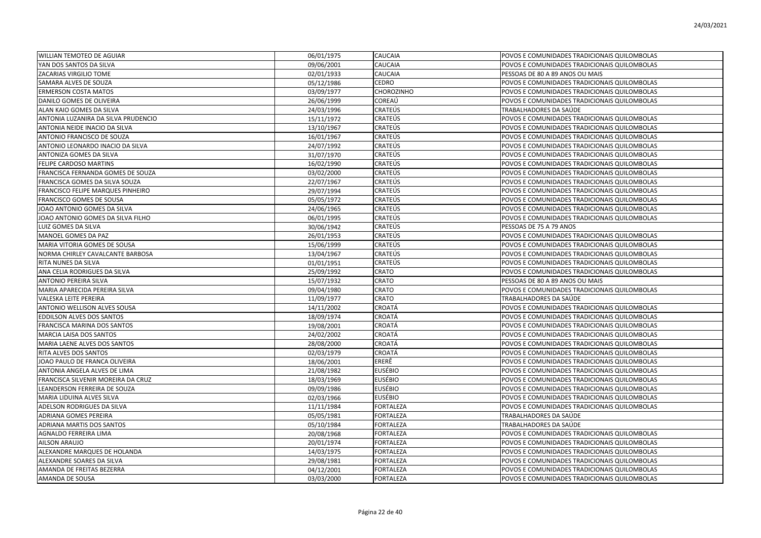| <b>WILLIAN TEMOTEO DE AGUIAR</b>    | 06/01/1975 | <b>CAUCAIA</b>   | POVOS E COMUNIDADES TRADICIONAIS QUILOMBOLAS |
|-------------------------------------|------------|------------------|----------------------------------------------|
| YAN DOS SANTOS DA SILVA             | 09/06/2001 | CAUCAIA          | POVOS E COMUNIDADES TRADICIONAIS QUILOMBOLAS |
| ZACARIAS VIRGILIO TOME              | 02/01/1933 | CAUCAIA          | PESSOAS DE 80 A 89 ANOS OU MAIS              |
| SAMARA ALVES DE SOUZA               | 05/12/1986 | CEDRO            | POVOS E COMUNIDADES TRADICIONAIS QUILOMBOLAS |
| <b>ERMERSON COSTA MATOS</b>         | 03/09/1977 | CHOROZINHO       | POVOS E COMUNIDADES TRADICIONAIS QUILOMBOLAS |
| DANILO GOMES DE OLIVEIRA            | 26/06/1999 | COREAÚ           | POVOS E COMUNIDADES TRADICIONAIS QUILOMBOLAS |
| ALAN KAIO GOMES DA SILVA            | 24/03/1996 | CRATEÚS          | TRABALHADORES DA SAÚDE                       |
| ANTONIA LUZANIRA DA SILVA PRUDENCIO | 15/11/1972 | <b>CRATEÚS</b>   | POVOS E COMUNIDADES TRADICIONAIS QUILOMBOLAS |
| ANTONIA NEIDE INACIO DA SILVA       | 13/10/1967 | CRATEÚS          | POVOS E COMUNIDADES TRADICIONAIS QUILOMBOLAS |
| ANTONIO FRANCISCO DE SOUZA          | 16/01/1967 | <b>CRATEÚS</b>   | POVOS E COMUNIDADES TRADICIONAIS QUILOMBOLAS |
| ANTONIO LEONARDO INACIO DA SILVA    | 24/07/1992 | <b>CRATEÚS</b>   | POVOS E COMUNIDADES TRADICIONAIS QUILOMBOLAS |
| ANTONIZA GOMES DA SILVA             | 31/07/1970 | CRATEÚS          | POVOS E COMUNIDADES TRADICIONAIS QUILOMBOLAS |
| FELIPE CARDOSO MARTINS              | 16/02/1990 | CRATEÚS          | POVOS E COMUNIDADES TRADICIONAIS QUILOMBOLAS |
| FRANCISCA FERNANDA GOMES DE SOUZA   | 03/02/2000 | CRATEÚS          | POVOS E COMUNIDADES TRADICIONAIS QUILOMBOLAS |
| FRANCISCA GOMES DA SILVA SOUZA      | 22/07/1967 | CRATEÚS          | POVOS E COMUNIDADES TRADICIONAIS QUILOMBOLAS |
| FRANCISCO FELIPE MARQUES PINHEIRO   | 29/07/1994 | CRATEÚS          | POVOS E COMUNIDADES TRADICIONAIS QUILOMBOLAS |
| FRANCISCO GOMES DE SOUSA            | 05/05/1972 | <b>CRATEÚS</b>   | POVOS E COMUNIDADES TRADICIONAIS QUILOMBOLAS |
| JOAO ANTONIO GOMES DA SILVA         | 24/06/1965 | <b>CRATEÚS</b>   | POVOS E COMUNIDADES TRADICIONAIS QUILOMBOLAS |
| JOAO ANTONIO GOMES DA SILVA FILHO   | 06/01/1995 | <b>CRATEÚS</b>   | POVOS E COMUNIDADES TRADICIONAIS QUILOMBOLAS |
| LUIZ GOMES DA SILVA                 | 30/06/1942 | CRATEÚS          | PESSOAS DE 75 A 79 ANOS                      |
| MANOEL GOMES DA PAZ                 | 26/01/1953 | CRATEÚS          | POVOS E COMUNIDADES TRADICIONAIS QUILOMBOLAS |
| MARIA VITORIA GOMES DE SOUSA        | 15/06/1999 | CRATEÚS          | POVOS E COMUNIDADES TRADICIONAIS QUILOMBOLAS |
| NORMA CHIRLEY CAVALCANTE BARBOSA    |            | CRATEÚS          | POVOS E COMUNIDADES TRADICIONAIS QUILOMBOLAS |
|                                     | 13/04/1967 | <b>CRATEÚS</b>   |                                              |
| RITA NUNES DA SILVA                 | 01/01/1951 |                  | POVOS E COMUNIDADES TRADICIONAIS QUILOMBOLAS |
| ANA CELIA RODRIGUES DA SILVA        | 25/09/1992 | CRATO            | POVOS E COMUNIDADES TRADICIONAIS QUILOMBOLAS |
| ANTONIO PEREIRA SILVA               | 15/07/1932 | CRATO            | PESSOAS DE 80 A 89 ANOS OU MAIS              |
| MARIA APARECIDA PEREIRA SILVA       | 09/04/1980 | CRATO            | POVOS E COMUNIDADES TRADICIONAIS QUILOMBOLAS |
| VALESKA LEITE PEREIRA               | 11/09/1977 | CRATO            | TRABALHADORES DA SAÚDE                       |
| ANTONIO WELLISON ALVES SOUSA        | 14/11/2002 | CROATÁ           | POVOS E COMUNIDADES TRADICIONAIS QUILOMBOLAS |
| EDDILSON ALVES DOS SANTOS           | 18/09/1974 | CROATÁ           | POVOS E COMUNIDADES TRADICIONAIS QUILOMBOLAS |
| FRANCISCA MARINA DOS SANTOS         | 19/08/2001 | CROATÁ           | POVOS E COMUNIDADES TRADICIONAIS QUILOMBOLAS |
| MARCIA LAISA DOS SANTOS             | 24/02/2002 | CROATÁ           | POVOS E COMUNIDADES TRADICIONAIS QUILOMBOLAS |
| MARIA LAENE ALVES DOS SANTOS        | 28/08/2000 | CROATÁ           | POVOS E COMUNIDADES TRADICIONAIS QUILOMBOLAS |
| RITA ALVES DOS SANTOS               | 02/03/1979 | CROATÁ           | POVOS E COMUNIDADES TRADICIONAIS QUILOMBOLAS |
| JOAO PAULO DE FRANCA OLIVEIRA       | 18/06/2001 | ERERÊ            | POVOS E COMUNIDADES TRADICIONAIS QUILOMBOLAS |
| ANTONIA ANGELA ALVES DE LIMA        | 21/08/1982 | <b>EUSÉBIO</b>   | POVOS E COMUNIDADES TRADICIONAIS QUILOMBOLAS |
| FRANCISCA SILVENIR MOREIRA DA CRUZ  | 18/03/1969 | <b>EUSÉBIO</b>   | POVOS E COMUNIDADES TRADICIONAIS QUILOMBOLAS |
| LEANDERSON FERREIRA DE SOUZA        | 09/09/1986 | EUSÉBIO          | POVOS E COMUNIDADES TRADICIONAIS QUILOMBOLAS |
| MARIA LIDUINA ALVES SILVA           | 02/03/1966 | <b>EUSÉBIO</b>   | POVOS E COMUNIDADES TRADICIONAIS QUILOMBOLAS |
| ADELSON RODRIGUES DA SILVA          | 11/11/1984 | <b>FORTALEZA</b> | POVOS E COMUNIDADES TRADICIONAIS QUILOMBOLAS |
| ADRIANA GOMES PEREIRA               | 05/05/1981 | FORTALEZA        | TRABALHADORES DA SAÚDE                       |
| ADRIANA MARTIS DOS SANTOS           | 05/10/1984 | <b>FORTALEZA</b> | TRABALHADORES DA SAÚDE                       |
| AGNALDO FERREIRA LIMA               | 20/08/1968 | <b>FORTALEZA</b> | POVOS E COMUNIDADES TRADICIONAIS QUILOMBOLAS |
| AILSON ARAUJO                       | 20/01/1974 | <b>FORTALEZA</b> | POVOS E COMUNIDADES TRADICIONAIS QUILOMBOLAS |
| ALEXANDRE MARQUES DE HOLANDA        | 14/03/1975 | <b>FORTALEZA</b> | POVOS E COMUNIDADES TRADICIONAIS QUILOMBOLAS |
| ALEXANDRE SOARES DA SILVA           | 29/08/1981 | FORTALEZA        | POVOS E COMUNIDADES TRADICIONAIS QUILOMBOLAS |
| AMANDA DE FREITAS BEZERRA           | 04/12/2001 | <b>FORTALEZA</b> | POVOS E COMUNIDADES TRADICIONAIS QUILOMBOLAS |
| <b>AMANDA DE SOUSA</b>              | 03/03/2000 | <b>FORTALEZA</b> | POVOS E COMUNIDADES TRADICIONAIS QUILOMBOLAS |
|                                     |            |                  |                                              |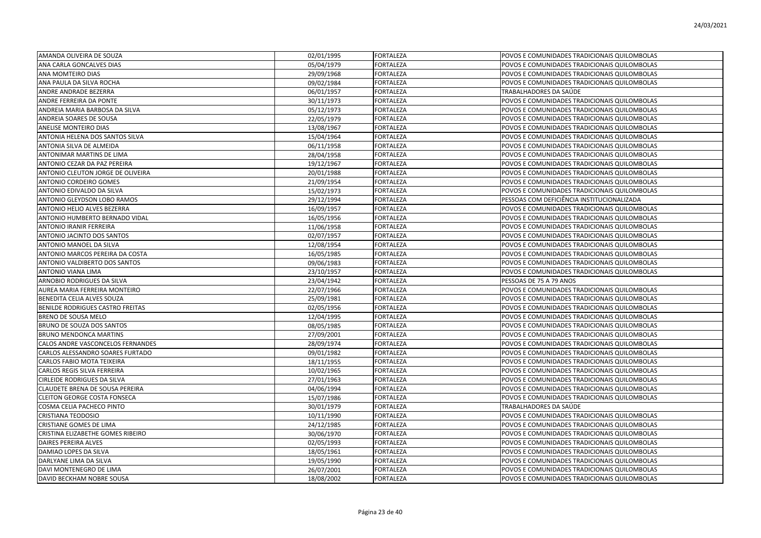| AMANDA OLIVEIRA DE SOUZA          | 02/01/1995 | <b>FORTALEZA</b> | POVOS E COMUNIDADES TRADICIONAIS QUILOMBOLAS |
|-----------------------------------|------------|------------------|----------------------------------------------|
| ANA CARLA GONCALVES DIAS          | 05/04/1979 | FORTALEZA        | POVOS E COMUNIDADES TRADICIONAIS QUILOMBOLAS |
| ANA MOMTEIRO DIAS                 | 29/09/1968 | <b>FORTALEZA</b> | POVOS E COMUNIDADES TRADICIONAIS QUILOMBOLAS |
| ANA PAULA DA SILVA ROCHA          | 09/02/1984 | <b>FORTALEZA</b> | POVOS E COMUNIDADES TRADICIONAIS QUILOMBOLAS |
| ANDRE ANDRADE BEZERRA             | 06/01/1957 | <b>FORTALEZA</b> | TRABALHADORES DA SAÚDE                       |
| ANDRE FERREIRA DA PONTE           | 30/11/1973 | <b>FORTALEZA</b> | POVOS E COMUNIDADES TRADICIONAIS QUILOMBOLAS |
| ANDREIA MARIA BARBOSA DA SILVA    | 05/12/1973 | <b>FORTALEZA</b> | POVOS E COMUNIDADES TRADICIONAIS QUILOMBOLAS |
| ANDREIA SOARES DE SOUSA           | 22/05/1979 | <b>FORTALEZA</b> | POVOS E COMUNIDADES TRADICIONAIS QUILOMBOLAS |
| <b>ANELISE MONTEIRO DIAS</b>      | 13/08/1967 | <b>FORTALEZA</b> | POVOS E COMUNIDADES TRADICIONAIS QUILOMBOLAS |
| ANTONIA HELENA DOS SANTOS SILVA   | 15/04/1964 | <b>FORTALEZA</b> | POVOS E COMUNIDADES TRADICIONAIS QUILOMBOLAS |
| ANTONIA SILVA DE ALMEIDA          | 06/11/1958 | FORTALEZA        | POVOS E COMUNIDADES TRADICIONAIS QUILOMBOLAS |
| ANTONIMAR MARTINS DE LIMA         | 28/04/1958 | <b>FORTALEZA</b> | POVOS E COMUNIDADES TRADICIONAIS QUILOMBOLAS |
| ANTONIO CEZAR DA PAZ PEREIRA      | 19/12/1967 | <b>FORTALEZA</b> | POVOS E COMUNIDADES TRADICIONAIS QUILOMBOLAS |
| ANTONIO CLEUTON JORGE DE OLIVEIRA | 20/01/1988 | FORTALEZA        | POVOS E COMUNIDADES TRADICIONAIS QUILOMBOLAS |
| <b>ANTONIO CORDEIRO GOMES</b>     | 21/09/1954 | <b>FORTALEZA</b> | POVOS E COMUNIDADES TRADICIONAIS QUILOMBOLAS |
| ANTONIO EDIVALDO DA SILVA         | 15/02/1973 | <b>FORTALEZA</b> | POVOS E COMUNIDADES TRADICIONAIS QUILOMBOLAS |
| ANTONIO GLEYDSON LOBO RAMOS       | 29/12/1994 | <b>FORTALEZA</b> | PESSOAS COM DEFICIÊNCIA INSTITUCIONALIZADA   |
| ANTONIO HELIO ALVES BEZERRA       | 16/09/1957 | <b>FORTALEZA</b> | POVOS E COMUNIDADES TRADICIONAIS QUILOMBOLAS |
| ANTONIO HUMBERTO BERNADO VIDAL    | 16/05/1956 | <b>FORTALEZA</b> | POVOS E COMUNIDADES TRADICIONAIS QUILOMBOLAS |
| ANTONIO IRANIR FERREIRA           | 11/06/1958 | <b>FORTALEZA</b> | POVOS E COMUNIDADES TRADICIONAIS QUILOMBOLAS |
| ANTONIO JACINTO DOS SANTOS        | 02/07/1957 | <b>FORTALEZA</b> | POVOS E COMUNIDADES TRADICIONAIS QUILOMBOLAS |
| ANTONIO MANOEL DA SILVA           | 12/08/1954 | <b>FORTALEZA</b> | POVOS E COMUNIDADES TRADICIONAIS QUILOMBOLAS |
| ANTONIO MARCOS PEREIRA DA COSTA   | 16/05/1985 | FORTALEZA        | POVOS E COMUNIDADES TRADICIONAIS QUILOMBOLAS |
| ANTONIO VALDIBERTO DOS SANTOS     | 09/06/1983 | <b>FORTALEZA</b> | POVOS E COMUNIDADES TRADICIONAIS QUILOMBOLAS |
| ANTONIO VIANA LIMA                | 23/10/1957 | <b>FORTALEZA</b> | POVOS E COMUNIDADES TRADICIONAIS QUILOMBOLAS |
| ARNOBIO RODRIGUES DA SILVA        | 23/04/1942 | <b>FORTALEZA</b> | PESSOAS DE 75 A 79 ANOS                      |
| AUREA MARIA FERREIRA MONTEIRO     | 22/07/1966 | <b>FORTALEZA</b> | POVOS E COMUNIDADES TRADICIONAIS QUILOMBOLAS |
| BENEDITA CELIA ALVES SOUZA        | 25/09/1981 | <b>FORTALEZA</b> | POVOS E COMUNIDADES TRADICIONAIS QUILOMBOLAS |
| BENILDE RODRIGUES CASTRO FREITAS  | 02/05/1956 | <b>FORTALEZA</b> | POVOS E COMUNIDADES TRADICIONAIS QUILOMBOLAS |
| BRENO DE SOUSA MELO               | 12/04/1995 | <b>FORTALEZA</b> | POVOS E COMUNIDADES TRADICIONAIS QUILOMBOLAS |
| BRUNO DE SOUZA DOS SANTOS         | 08/05/1985 | <b>FORTALEZA</b> | POVOS E COMUNIDADES TRADICIONAIS QUILOMBOLAS |
| <b>BRUNO MENDONCA MARTINS</b>     | 27/09/2001 | FORTALEZA        | POVOS E COMUNIDADES TRADICIONAIS QUILOMBOLAS |
| CALOS ANDRE VASCONCELOS FERNANDES | 28/09/1974 | <b>FORTALEZA</b> | POVOS E COMUNIDADES TRADICIONAIS QUILOMBOLAS |
| CARLOS ALESSANDRO SOARES FURTADO  | 09/01/1982 | <b>FORTALEZA</b> | POVOS E COMUNIDADES TRADICIONAIS QUILOMBOLAS |
| CARLOS FABIO MOTA TEIXEIRA        | 18/11/1955 | <b>FORTALEZA</b> | POVOS E COMUNIDADES TRADICIONAIS QUILOMBOLAS |
| CARLOS REGIS SILVA FERREIRA       | 10/02/1965 | <b>FORTALEZA</b> | POVOS E COMUNIDADES TRADICIONAIS QUILOMBOLAS |
| CIRLEIDE RODRIGUES DA SILVA       | 27/01/1963 | FORTALEZA        | POVOS E COMUNIDADES TRADICIONAIS QUILOMBOLAS |
| CLAUDETE BRENA DE SOUSA PEREIRA   | 04/06/1994 | FORTALEZA        | POVOS E COMUNIDADES TRADICIONAIS QUILOMBOLAS |
| CLEITON GEORGE COSTA FONSECA      | 15/07/1986 | <b>FORTALEZA</b> | POVOS E COMUNIDADES TRADICIONAIS QUILOMBOLAS |
| COSMA CELIA PACHECO PINTO         | 30/01/1979 | <b>FORTALEZA</b> | TRABALHADORES DA SAÚDE                       |
| CRISTIANA TEODOSIO                | 10/11/1990 | FORTALEZA        | POVOS E COMUNIDADES TRADICIONAIS QUILOMBOLAS |
| CRISTIANE GOMES DE LIMA           | 24/12/1985 | <b>FORTALEZA</b> | POVOS E COMUNIDADES TRADICIONAIS QUILOMBOLAS |
| CRISTINA ELIZABETHE GOMES RIBEIRO | 30/06/1970 | <b>FORTALEZA</b> | POVOS E COMUNIDADES TRADICIONAIS QUILOMBOLAS |
| DAIRES PEREIRA ALVES              | 02/05/1993 | <b>FORTALEZA</b> | POVOS E COMUNIDADES TRADICIONAIS QUILOMBOLAS |
| DAMIAO LOPES DA SILVA             | 18/05/1961 | FORTALEZA        | POVOS E COMUNIDADES TRADICIONAIS QUILOMBOLAS |
| DARLYANE LIMA DA SILVA            | 19/05/1990 | FORTALEZA        | POVOS E COMUNIDADES TRADICIONAIS QUILOMBOLAS |
| DAVI MONTENEGRO DE LIMA           | 26/07/2001 | FORTALEZA        | POVOS E COMUNIDADES TRADICIONAIS QUILOMBOLAS |
| DAVID BECKHAM NOBRE SOUSA         | 18/08/2002 | <b>FORTALEZA</b> | POVOS E COMUNIDADES TRADICIONAIS QUILOMBOLAS |
|                                   |            |                  |                                              |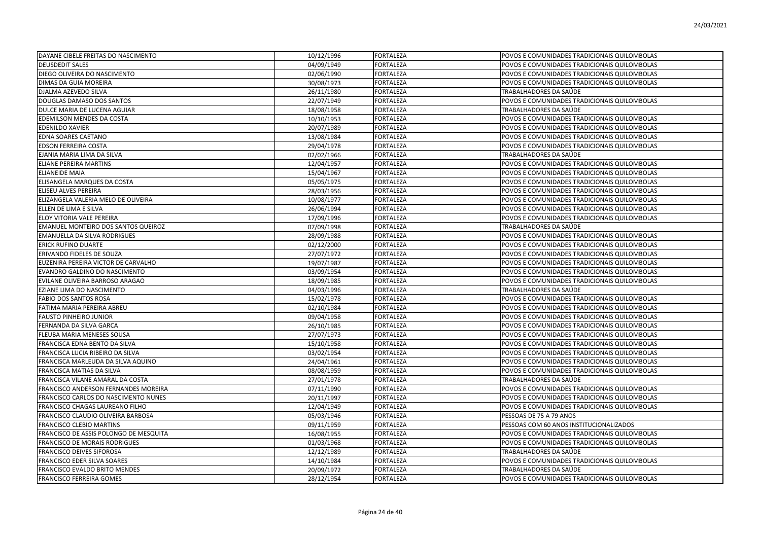| DAYANE CIBELE FREITAS DO NASCIMENTO    | 10/12/1996 | <b>FORTALEZA</b> | POVOS E COMUNIDADES TRADICIONAIS QUILOMBOLAS |
|----------------------------------------|------------|------------------|----------------------------------------------|
| <b>DEUSDEDIT SALES</b>                 | 04/09/1949 | FORTALEZA        | POVOS E COMUNIDADES TRADICIONAIS QUILOMBOLAS |
| DIEGO OLIVEIRA DO NASCIMENTO           | 02/06/1990 | FORTALEZA        | POVOS E COMUNIDADES TRADICIONAIS QUILOMBOLAS |
| <b>DIMAS DA GUIA MOREIRA</b>           | 30/08/1973 | FORTALEZA        | POVOS E COMUNIDADES TRADICIONAIS QUILOMBOLAS |
| DJALMA AZEVEDO SILVA                   | 26/11/1980 | <b>FORTALEZA</b> | TRABALHADORES DA SAÚDE                       |
| DOUGLAS DAMASO DOS SANTOS              | 22/07/1949 | <b>FORTALEZA</b> | POVOS E COMUNIDADES TRADICIONAIS QUILOMBOLAS |
| DULCE MARIA DE LUCENA AGUIAR           | 18/08/1958 | <b>FORTALEZA</b> | TRABALHADORES DA SAÚDE                       |
| <b>EDEMILSON MENDES DA COSTA</b>       | 10/10/1953 | <b>FORTALEZA</b> | POVOS E COMUNIDADES TRADICIONAIS QUILOMBOLAS |
| <b>EDENILDO XAVIER</b>                 | 20/07/1989 | <b>FORTALEZA</b> | POVOS E COMUNIDADES TRADICIONAIS QUILOMBOLAS |
| <b>EDNA SOARES CAETANO</b>             | 13/08/1984 | <b>FORTALEZA</b> | POVOS E COMUNIDADES TRADICIONAIS QUILOMBOLAS |
| <b>EDSON FERREIRA COSTA</b>            | 29/04/1978 | FORTALEZA        | POVOS E COMUNIDADES TRADICIONAIS QUILOMBOLAS |
| EJANIA MARIA LIMA DA SILVA             | 02/02/1966 | <b>FORTALEZA</b> | TRABALHADORES DA SAÚDE                       |
| <b>ELIANE PEREIRA MARTINS</b>          | 12/04/1957 | <b>FORTALEZA</b> | POVOS E COMUNIDADES TRADICIONAIS QUILOMBOLAS |
| <b>ELIANEIDE MAIA</b>                  | 15/04/1967 | <b>FORTALEZA</b> | POVOS E COMUNIDADES TRADICIONAIS QUILOMBOLAS |
| ELISANGELA MARQUES DA COSTA            | 05/05/1975 | <b>FORTALEZA</b> | POVOS E COMUNIDADES TRADICIONAIS QUILOMBOLAS |
| <b>ELISEU ALVES PEREIRA</b>            | 28/03/1956 | <b>FORTALEZA</b> | POVOS E COMUNIDADES TRADICIONAIS QUILOMBOLAS |
| ELIZANGELA VALERIA MELO DE OLIVEIRA    | 10/08/1977 | <b>FORTALEZA</b> | POVOS E COMUNIDADES TRADICIONAIS QUILOMBOLAS |
| ELLEN DE LIMA E SILVA                  | 26/06/1994 | FORTALEZA        | POVOS E COMUNIDADES TRADICIONAIS QUILOMBOLAS |
| ELOY VITORIA VALE PEREIRA              | 17/09/1996 | <b>FORTALEZA</b> | POVOS E COMUNIDADES TRADICIONAIS QUILOMBOLAS |
| EMANUEL MONTEIRO DOS SANTOS QUEIROZ    | 07/09/1998 | FORTALEZA        | TRABALHADORES DA SAÚDE                       |
| <b>EMANUELLA DA SILVA RODRIGUES</b>    | 28/09/1988 | <b>FORTALEZA</b> | POVOS E COMUNIDADES TRADICIONAIS QUILOMBOLAS |
| <b>ERICK RUFINO DUARTE</b>             | 02/12/2000 | <b>FORTALEZA</b> | POVOS E COMUNIDADES TRADICIONAIS QUILOMBOLAS |
| <b>ERIVANDO FIDELES DE SOUZA</b>       | 27/07/1972 | FORTALEZA        | POVOS E COMUNIDADES TRADICIONAIS QUILOMBOLAS |
| EUZENIRA PEREIRA VICTOR DE CARVALHO    | 19/07/1987 | <b>FORTALEZA</b> | POVOS E COMUNIDADES TRADICIONAIS QUILOMBOLAS |
| EVANDRO GALDINO DO NASCIMENTO          | 03/09/1954 | <b>FORTALEZA</b> | POVOS E COMUNIDADES TRADICIONAIS QUILOMBOLAS |
| EVILANE OLIVEIRA BARROSO ARAGAO        | 18/09/1985 | <b>FORTALEZA</b> | POVOS E COMUNIDADES TRADICIONAIS QUILOMBOLAS |
| EZIANE LIMA DO NASCIMENTO              | 04/03/1996 | <b>FORTALEZA</b> | TRABALHADORES DA SAÚDE                       |
| <b>FABIO DOS SANTOS ROSA</b>           | 15/02/1978 | <b>FORTALEZA</b> | POVOS E COMUNIDADES TRADICIONAIS QUILOMBOLAS |
| FATIMA MARIA PEREIRA ABREU             | 02/10/1984 | FORTALEZA        | POVOS E COMUNIDADES TRADICIONAIS QUILOMBOLAS |
| <b>FAUSTO PINHEIRO JUNIOR</b>          | 09/04/1958 | <b>FORTALEZA</b> | POVOS E COMUNIDADES TRADICIONAIS QUILOMBOLAS |
| FERNANDA DA SILVA GARCA                | 26/10/1985 | <b>FORTALEZA</b> | POVOS E COMUNIDADES TRADICIONAIS QUILOMBOLAS |
| FLEUBA MARIA MENESES SOUSA             | 27/07/1973 | FORTALEZA        | POVOS E COMUNIDADES TRADICIONAIS QUILOMBOLAS |
| FRANCISCA EDNA BENTO DA SILVA          | 15/10/1958 | <b>FORTALEZA</b> | POVOS E COMUNIDADES TRADICIONAIS QUILOMBOLAS |
| FRANCISCA LUCIA RIBEIRO DA SILVA       | 03/02/1954 | <b>FORTALEZA</b> | POVOS E COMUNIDADES TRADICIONAIS QUILOMBOLAS |
| FRANCISCA MARLEUDA DA SILVA AQUINO     | 24/04/1961 | <b>FORTALEZA</b> | POVOS E COMUNIDADES TRADICIONAIS QUILOMBOLAS |
| <b>FRANCISCA MATIAS DA SILVA</b>       | 08/08/1959 | <b>FORTALEZA</b> | POVOS E COMUNIDADES TRADICIONAIS QUILOMBOLAS |
| FRANCISCA VILANE AMARAL DA COSTA       | 27/01/1978 | FORTALEZA        | TRABALHADORES DA SAÚDE                       |
| FRANCISCO ANDERSON FERNANDES MOREIRA   | 07/11/1990 | FORTALEZA        | POVOS E COMUNIDADES TRADICIONAIS QUILOMBOLAS |
| FRANCISCO CARLOS DO NASCIMENTO NUNES   | 20/11/1997 | FORTALEZA        | POVOS E COMUNIDADES TRADICIONAIS QUILOMBOLAS |
| FRANCISCO CHAGAS LAUREANO FILHO        | 12/04/1949 | <b>FORTALEZA</b> | POVOS E COMUNIDADES TRADICIONAIS QUILOMBOLAS |
| FRANCISCO CLAUDIO OLIVEIRA BARBOSA     | 05/03/1946 | FORTALEZA        | PESSOAS DE 75 A 79 ANOS                      |
| <b>FRANCISCO CLEBIO MARTINS</b>        | 09/11/1959 | <b>FORTALEZA</b> | PESSOAS COM 60 ANOS INSTITUCIONALIZADOS      |
| FRANCISCO DE ASSIS POLONGO DE MESQUITA | 16/08/1955 | <b>FORTALEZA</b> | POVOS E COMUNIDADES TRADICIONAIS QUILOMBOLAS |
| <b>FRANCISCO DE MORAIS RODRIGUES</b>   | 01/03/1968 | <b>FORTALEZA</b> | POVOS E COMUNIDADES TRADICIONAIS QUILOMBOLAS |
| <b>FRANCISCO DEIVES SIFOROSA</b>       | 12/12/1989 | <b>FORTALEZA</b> | TRABALHADORES DA SAÚDE                       |
| <b>FRANCISCO EDER SILVA SOARES</b>     | 14/10/1984 | FORTALEZA        | POVOS E COMUNIDADES TRADICIONAIS QUILOMBOLAS |
| <b>FRANCISCO EVALDO BRITO MENDES</b>   | 20/09/1972 | FORTALEZA        | TRABALHADORES DA SAÚDE                       |
| <b>FRANCISCO FERREIRA GOMES</b>        | 28/12/1954 | <b>FORTALEZA</b> | POVOS E COMUNIDADES TRADICIONAIS QUILOMBOLAS |
|                                        |            |                  |                                              |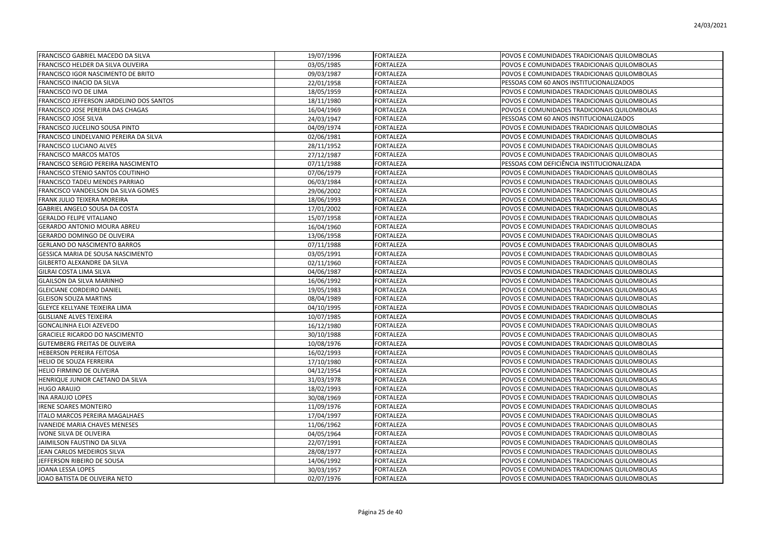| <b>FRANCISCO GABRIEL MACEDO DA SILVA</b>  | 19/07/1996 | <b>FORTALEZA</b> | POVOS E COMUNIDADES TRADICIONAIS QUILOMBOLAS |
|-------------------------------------------|------------|------------------|----------------------------------------------|
| <b>FRANCISCO HELDER DA SILVA OLIVEIRA</b> | 03/05/1985 | <b>FORTALEZA</b> | POVOS E COMUNIDADES TRADICIONAIS QUILOMBOLAS |
| FRANCISCO IGOR NASCIMENTO DE BRITO        | 09/03/1987 | FORTALEZA        | POVOS E COMUNIDADES TRADICIONAIS QUILOMBOLAS |
| FRANCISCO INACIO DA SILVA                 | 22/01/1958 | FORTALEZA        | PESSOAS COM 60 ANOS INSTITUCIONALIZADOS      |
| FRANCISCO IVO DE LIMA                     | 18/05/1959 | <b>FORTALEZA</b> | POVOS E COMUNIDADES TRADICIONAIS QUILOMBOLAS |
| FRANCISCO JEFFERSON JARDELINO DOS SANTOS  | 18/11/1980 | <b>FORTALEZA</b> | POVOS E COMUNIDADES TRADICIONAIS QUILOMBOLAS |
| <b>FRANCISCO JOSE PEREIRA DAS CHAGAS</b>  | 16/04/1969 | <b>FORTALEZA</b> | POVOS E COMUNIDADES TRADICIONAIS QUILOMBOLAS |
| FRANCISCO JOSE SILVA                      | 24/03/1947 | <b>FORTALEZA</b> | PESSOAS COM 60 ANOS INSTITUCIONALIZADOS      |
| FRANCISCO JUCELINO SOUSA PINTO            | 04/09/1974 | <b>FORTALEZA</b> | POVOS E COMUNIDADES TRADICIONAIS QUILOMBOLAS |
| FRANCISCO LINDELVANIO PEREIRA DA SILVA    | 02/06/1981 | <b>FORTALEZA</b> | POVOS E COMUNIDADES TRADICIONAIS QUILOMBOLAS |
| <b>FRANCISCO LUCIANO ALVES</b>            | 28/11/1952 | <b>FORTALEZA</b> | POVOS E COMUNIDADES TRADICIONAIS QUILOMBOLAS |
| <b>FRANCISCO MARCOS MATOS</b>             | 27/12/1987 | <b>FORTALEZA</b> | POVOS E COMUNIDADES TRADICIONAIS QUILOMBOLAS |
| FRANCISCO SERGIO PEREIRA NASCIMENTO       | 07/11/1988 | <b>FORTALEZA</b> | PESSOAS COM DEFICIÊNCIA INSTITUCIONALIZADA   |
| FRANCISCO STENIO SANTOS COUTINHO          | 07/06/1979 | <b>FORTALEZA</b> | POVOS E COMUNIDADES TRADICIONAIS QUILOMBOLAS |
| FRANCISCO TADEU MENDES PARRIAO            | 06/03/1984 | <b>FORTALEZA</b> | POVOS E COMUNIDADES TRADICIONAIS QUILOMBOLAS |
| FRANCISCO VANDEILSON DA SILVA GOMES       | 29/06/2002 | <b>FORTALEZA</b> | POVOS E COMUNIDADES TRADICIONAIS QUILOMBOLAS |
| FRANK JULIO TEIXERA MOREIRA               | 18/06/1993 | <b>FORTALEZA</b> | POVOS E COMUNIDADES TRADICIONAIS QUILOMBOLAS |
| GABRIEL ANGELO SOUSA DA COSTA             | 17/01/2002 | <b>FORTALEZA</b> | POVOS E COMUNIDADES TRADICIONAIS QUILOMBOLAS |
| <b>GERALDO FELIPE VITALIANO</b>           | 15/07/1958 | <b>FORTALEZA</b> | POVOS E COMUNIDADES TRADICIONAIS QUILOMBOLAS |
| GERARDO ANTONIO MOURA ABREU               | 16/04/1960 | FORTALEZA        | POVOS E COMUNIDADES TRADICIONAIS QUILOMBOLAS |
| GERARDO DOMINGO DE OLIVEIRA               | 13/06/1958 | <b>FORTALEZA</b> | POVOS E COMUNIDADES TRADICIONAIS QUILOMBOLAS |
| <b>GERLANO DO NASCIMENTO BARROS</b>       | 07/11/1988 | <b>FORTALEZA</b> | POVOS E COMUNIDADES TRADICIONAIS QUILOMBOLAS |
| GESSICA MARIA DE SOUSA NASCIMENTO         | 03/05/1991 | FORTALEZA        | POVOS E COMUNIDADES TRADICIONAIS QUILOMBOLAS |
| GILBERTO ALEXANDRE DA SILVA               | 02/11/1960 | <b>FORTALEZA</b> | POVOS E COMUNIDADES TRADICIONAIS QUILOMBOLAS |
| <b>GILRAI COSTA LIMA SILVA</b>            | 04/06/1987 | <b>FORTALEZA</b> | POVOS E COMUNIDADES TRADICIONAIS QUILOMBOLAS |
| <b>GLAILSON DA SILVA MARINHO</b>          | 16/06/1992 | <b>FORTALEZA</b> | POVOS E COMUNIDADES TRADICIONAIS QUILOMBOLAS |
| <b>GLEICIANE CORDEIRO DANIEL</b>          | 19/05/1983 | FORTALEZA        | POVOS E COMUNIDADES TRADICIONAIS QUILOMBOLAS |
| <b>GLEISON SOUZA MARTINS</b>              | 08/04/1989 | FORTALEZA        | POVOS E COMUNIDADES TRADICIONAIS QUILOMBOLAS |
| GLEYCE KELLYANE TEIXEIRA LIMA             | 04/10/1995 | FORTALEZA        | POVOS E COMUNIDADES TRADICIONAIS QUILOMBOLAS |
| <b>GLISLIANE ALVES TEIXEIRA</b>           | 10/07/1985 | <b>FORTALEZA</b> | POVOS E COMUNIDADES TRADICIONAIS QUILOMBOLAS |
| GONCALINHA ELOI AZEVEDO                   | 16/12/1980 | <b>FORTALEZA</b> | POVOS E COMUNIDADES TRADICIONAIS QUILOMBOLAS |
| <b>GRACIELE RICARDO DO NASCIMENTO</b>     | 30/10/1988 | <b>FORTALEZA</b> | POVOS E COMUNIDADES TRADICIONAIS QUILOMBOLAS |
| <b>GUTEMBERG FREITAS DE OLIVEIRA</b>      | 10/08/1976 | <b>FORTALEZA</b> | POVOS E COMUNIDADES TRADICIONAIS QUILOMBOLAS |
| <b>HEBERSON PEREIRA FEITOSA</b>           | 16/02/1993 | <b>FORTALEZA</b> | POVOS E COMUNIDADES TRADICIONAIS QUILOMBOLAS |
| HELIO DE SOUZA FERREIRA                   | 17/10/1980 | <b>FORTALEZA</b> | POVOS E COMUNIDADES TRADICIONAIS QUILOMBOLAS |
| HELIO FIRMINO DE OLIVEIRA                 | 04/12/1954 | FORTALEZA        | POVOS E COMUNIDADES TRADICIONAIS QUILOMBOLAS |
| HENRIQUE JUNIOR CAETANO DA SILVA          | 31/03/1978 | <b>FORTALEZA</b> | POVOS E COMUNIDADES TRADICIONAIS QUILOMBOLAS |
| <b>HUGO ARAUJO</b>                        | 18/02/1993 | <b>FORTALEZA</b> | POVOS E COMUNIDADES TRADICIONAIS QUILOMBOLAS |
| <b>INA ARAUJO LOPES</b>                   | 30/08/1969 | FORTALEZA        | POVOS E COMUNIDADES TRADICIONAIS QUILOMBOLAS |
| <b>IRENE SOARES MONTEIRO</b>              | 11/09/1976 | <b>FORTALEZA</b> | POVOS E COMUNIDADES TRADICIONAIS QUILOMBOLAS |
| <b>ITALO MARCOS PEREIRA MAGALHAES</b>     | 17/04/1997 | <b>FORTALEZA</b> | POVOS E COMUNIDADES TRADICIONAIS QUILOMBOLAS |
| <b>IVANEIDE MARIA CHAVES MENESES</b>      | 11/06/1962 | <b>FORTALEZA</b> | POVOS E COMUNIDADES TRADICIONAIS QUILOMBOLAS |
| IVONE SILVA DE OLIVEIRA                   | 04/05/1964 | FORTALEZA        | POVOS E COMUNIDADES TRADICIONAIS QUILOMBOLAS |
| JAIMILSON FAUSTINO DA SILVA               | 22/07/1991 | FORTALEZA        | POVOS E COMUNIDADES TRADICIONAIS QUILOMBOLAS |
| JEAN CARLOS MEDEIROS SILVA                | 28/08/1977 | <b>FORTALEZA</b> | POVOS E COMUNIDADES TRADICIONAIS QUILOMBOLAS |
| JEFFERSON RIBEIRO DE SOUSA                | 14/06/1992 | FORTALEZA        | POVOS E COMUNIDADES TRADICIONAIS QUILOMBOLAS |
| JOANA LESSA LOPES                         | 30/03/1957 | FORTALEZA        | POVOS E COMUNIDADES TRADICIONAIS QUILOMBOLAS |
| JOAO BATISTA DE OLIVEIRA NETO             | 02/07/1976 | <b>FORTALEZA</b> | POVOS E COMUNIDADES TRADICIONAIS QUILOMBOLAS |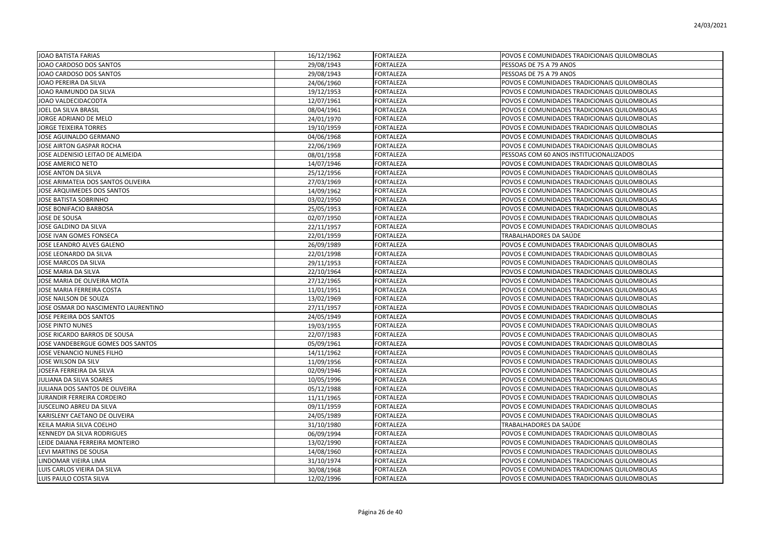| JOAO BATISTA FARIAS                 | 16/12/1962 | <b>FORTALEZA</b> | POVOS E COMUNIDADES TRADICIONAIS QUILOMBOLAS |
|-------------------------------------|------------|------------------|----------------------------------------------|
| JOAO CARDOSO DOS SANTOS             | 29/08/1943 | FORTALEZA        | PESSOAS DE 75 A 79 ANOS                      |
| JOAO CARDOSO DOS SANTOS             | 29/08/1943 | FORTALEZA        | PESSOAS DE 75 A 79 ANOS                      |
| JOAO PEREIRA DA SILVA               | 24/06/1960 | FORTALEZA        | POVOS E COMUNIDADES TRADICIONAIS QUILOMBOLAS |
| JOAO RAIMUNDO DA SILVA              | 19/12/1953 | FORTALEZA        | POVOS E COMUNIDADES TRADICIONAIS QUILOMBOLAS |
| JOAO VALDECIDACODTA                 | 12/07/1961 | FORTALEZA        | POVOS E COMUNIDADES TRADICIONAIS QUILOMBOLAS |
| JOEL DA SILVA BRASIL                | 08/04/1961 | FORTALEZA        | POVOS E COMUNIDADES TRADICIONAIS QUILOMBOLAS |
| JORGE ADRIANO DE MELO               | 24/01/1970 | FORTALEZA        | POVOS E COMUNIDADES TRADICIONAIS QUILOMBOLAS |
| <b>JORGE TEIXEIRA TORRES</b>        | 19/10/1959 | FORTALEZA        | POVOS E COMUNIDADES TRADICIONAIS QUILOMBOLAS |
| JOSE AGUINALDO GERMANO              | 04/06/1968 | FORTALEZA        | POVOS E COMUNIDADES TRADICIONAIS QUILOMBOLAS |
| JOSE AIRTON GASPAR ROCHA            | 22/06/1969 | FORTALEZA        | POVOS E COMUNIDADES TRADICIONAIS QUILOMBOLAS |
| JOSE ALDENISIO LEITAO DE ALMEIDA    | 08/01/1958 | FORTALEZA        | PESSOAS COM 60 ANOS INSTITUCIONALIZADOS      |
| JOSE AMERICO NETO                   | 14/07/1946 | <b>FORTALEZA</b> | POVOS E COMUNIDADES TRADICIONAIS QUILOMBOLAS |
| JOSE ANTON DA SILVA                 | 25/12/1956 | FORTALEZA        | POVOS E COMUNIDADES TRADICIONAIS QUILOMBOLAS |
| JOSE ARIMATEIA DOS SANTOS OLIVEIRA  | 27/03/1969 | FORTALEZA        | POVOS E COMUNIDADES TRADICIONAIS QUILOMBOLAS |
| JOSE ARQUIMEDES DOS SANTOS          | 14/09/1962 | FORTALEZA        | POVOS E COMUNIDADES TRADICIONAIS QUILOMBOLAS |
| <b>JOSE BATISTA SOBRINHO</b>        | 03/02/1950 | <b>FORTALEZA</b> | POVOS E COMUNIDADES TRADICIONAIS QUILOMBOLAS |
| JOSE BONIFACIO BARBOSA              | 25/05/1953 | FORTALEZA        | POVOS E COMUNIDADES TRADICIONAIS QUILOMBOLAS |
| JOSE DE SOUSA                       | 02/07/1950 | FORTALEZA        | POVOS E COMUNIDADES TRADICIONAIS QUILOMBOLAS |
| JOSE GALDINO DA SILVA               | 22/11/1957 | FORTALEZA        | POVOS E COMUNIDADES TRADICIONAIS QUILOMBOLAS |
| JOSE IVAN GOMES FONSECA             | 22/01/1959 | FORTALEZA        | TRABALHADORES DA SAÚDE                       |
| JOSE LEANDRO ALVES GALENO           | 26/09/1989 | FORTALEZA        | POVOS E COMUNIDADES TRADICIONAIS QUILOMBOLAS |
| JOSE LEONARDO DA SILVA              | 22/01/1998 | FORTALEZA        | POVOS E COMUNIDADES TRADICIONAIS QUILOMBOLAS |
| JOSE MARCOS DA SILVA                | 29/11/1953 | FORTALEZA        | POVOS E COMUNIDADES TRADICIONAIS QUILOMBOLAS |
| JOSE MARIA DA SILVA                 | 22/10/1964 | <b>FORTALEZA</b> | POVOS E COMUNIDADES TRADICIONAIS QUILOMBOLAS |
| JOSE MARIA DE OLIVEIRA MOTA         | 27/12/1965 | <b>FORTALEZA</b> | POVOS E COMUNIDADES TRADICIONAIS QUILOMBOLAS |
| JOSE MARIA FERREIRA COSTA           | 11/01/1951 | FORTALEZA        | POVOS E COMUNIDADES TRADICIONAIS QUILOMBOLAS |
| JOSE NAILSON DE SOUZA               | 13/02/1969 | FORTALEZA        | POVOS E COMUNIDADES TRADICIONAIS QUILOMBOLAS |
| JOSE OSMAR DO NASCIMENTO LAURENTINO | 27/11/1957 | FORTALEZA        | POVOS E COMUNIDADES TRADICIONAIS QUILOMBOLAS |
| JOSE PEREIRA DOS SANTOS             | 24/05/1949 | FORTALEZA        | POVOS E COMUNIDADES TRADICIONAIS QUILOMBOLAS |
| <b>JOSE PINTO NUNES</b>             | 19/03/1955 | <b>FORTALEZA</b> | POVOS E COMUNIDADES TRADICIONAIS QUILOMBOLAS |
| JOSE RICARDO BARROS DE SOUSA        | 22/07/1983 | FORTALEZA        | POVOS E COMUNIDADES TRADICIONAIS QUILOMBOLAS |
| JOSE VANDEBERGUE GOMES DOS SANTOS   | 05/09/1961 | FORTALEZA        | POVOS E COMUNIDADES TRADICIONAIS QUILOMBOLAS |
| JOSE VENANCIO NUNES FILHO           | 14/11/1962 | <b>FORTALEZA</b> | POVOS E COMUNIDADES TRADICIONAIS QUILOMBOLAS |
| JOSE WILSON DA SILV                 | 11/09/1956 | <b>FORTALEZA</b> | POVOS E COMUNIDADES TRADICIONAIS QUILOMBOLAS |
| JOSEFA FERREIRA DA SILVA            | 02/09/1946 | FORTALEZA        | POVOS E COMUNIDADES TRADICIONAIS QUILOMBOLAS |
| JULIANA DA SILVA SOARES             | 10/05/1996 | FORTALEZA        | POVOS E COMUNIDADES TRADICIONAIS QUILOMBOLAS |
| JULIANA DOS SANTOS DE OLIVEIRA      | 05/12/1988 | FORTALEZA        | POVOS E COMUNIDADES TRADICIONAIS QUILOMBOLAS |
| <b>JURANDIR FERREIRA CORDEIRO</b>   | 11/11/1965 | <b>FORTALEZA</b> | POVOS E COMUNIDADES TRADICIONAIS QUILOMBOLAS |
| JUSCELINO ABREU DA SILVA            | 09/11/1959 | FORTALEZA        | POVOS E COMUNIDADES TRADICIONAIS QUILOMBOLAS |
| KARISLENY CAETANO DE OLIVEIRA       | 24/05/1989 | FORTALEZA        | POVOS E COMUNIDADES TRADICIONAIS QUILOMBOLAS |
| KEILA MARIA SILVA COELHO            | 31/10/1980 | <b>FORTALEZA</b> | TRABALHADORES DA SAÚDE                       |
| <b>KENNEDY DA SILVA RODRIGUES</b>   | 06/09/1994 | <b>FORTALEZA</b> | POVOS E COMUNIDADES TRADICIONAIS QUILOMBOLAS |
| LEIDE DAIANA FERREIRA MONTEIRO      | 13/02/1990 | FORTALEZA        | POVOS E COMUNIDADES TRADICIONAIS QUILOMBOLAS |
| LEVI MARTINS DE SOUSA               | 14/08/1960 | FORTALEZA        | POVOS E COMUNIDADES TRADICIONAIS QUILOMBOLAS |
| LINDOMAR VIEIRA LIMA                | 31/10/1974 | FORTALEZA        | POVOS E COMUNIDADES TRADICIONAIS QUILOMBOLAS |
| LUIS CARLOS VIEIRA DA SILVA         | 30/08/1968 | FORTALEZA        | POVOS E COMUNIDADES TRADICIONAIS QUILOMBOLAS |
| LUIS PAULO COSTA SILVA              | 12/02/1996 | <b>FORTALEZA</b> | POVOS E COMUNIDADES TRADICIONAIS QUILOMBOLAS |
|                                     |            |                  |                                              |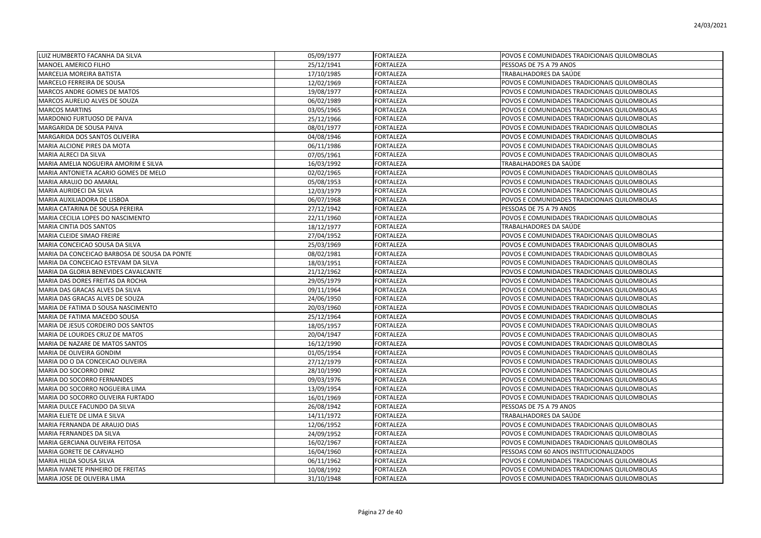| LUIZ HUMBERTO FACANHA DA SILVA               | 05/09/1977 | <b>FORTALEZA</b> | POVOS E COMUNIDADES TRADICIONAIS QUILOMBOLAS |
|----------------------------------------------|------------|------------------|----------------------------------------------|
| <b>MANOEL AMERICO FILHO</b>                  | 25/12/1941 | <b>FORTALEZA</b> | PESSOAS DE 75 A 79 ANOS                      |
| <b>MARCELIA MOREIRA BATISTA</b>              | 17/10/1985 | <b>FORTALEZA</b> | TRABALHADORES DA SAÚDE                       |
| MARCELO FERREIRA DE SOUSA                    | 12/02/1969 | FORTALEZA        | POVOS E COMUNIDADES TRADICIONAIS QUILOMBOLAS |
| MARCOS ANDRE GOMES DE MATOS                  | 19/08/1977 | <b>FORTALEZA</b> | POVOS E COMUNIDADES TRADICIONAIS QUILOMBOLAS |
| MARCOS AURELIO ALVES DE SOUZA                | 06/02/1989 | <b>FORTALEZA</b> | POVOS E COMUNIDADES TRADICIONAIS QUILOMBOLAS |
| <b>MARCOS MARTINS</b>                        | 03/05/1965 | <b>FORTALEZA</b> | POVOS E COMUNIDADES TRADICIONAIS QUILOMBOLAS |
| MARDONIO FURTUOSO DE PAIVA                   | 25/12/1966 | <b>FORTALEZA</b> | POVOS E COMUNIDADES TRADICIONAIS QUILOMBOLAS |
| MARGARIDA DE SOUSA PAIVA                     | 08/01/1977 | <b>FORTALEZA</b> | POVOS E COMUNIDADES TRADICIONAIS QUILOMBOLAS |
| MARGARIDA DOS SANTOS OLIVEIRA                | 04/08/1946 | <b>FORTALEZA</b> | POVOS E COMUNIDADES TRADICIONAIS QUILOMBOLAS |
| <b>MARIA ALCIONE PIRES DA MOTA</b>           | 06/11/1986 | <b>FORTALEZA</b> | POVOS E COMUNIDADES TRADICIONAIS QUILOMBOLAS |
| MARIA ALRECI DA SILVA                        | 07/05/1961 | FORTALEZA        | POVOS E COMUNIDADES TRADICIONAIS QUILOMBOLAS |
| MARIA AMELIA NOGUEIRA AMORIM E SILVA         | 16/03/1992 | FORTALEZA        | TRABALHADORES DA SAÚDE                       |
| MARIA ANTONIETA ACARIO GOMES DE MELO         | 02/02/1965 | <b>FORTALEZA</b> | POVOS E COMUNIDADES TRADICIONAIS QUILOMBOLAS |
| MARIA ARAUJO DO AMARAL                       | 05/08/1953 | FORTALEZA        | POVOS E COMUNIDADES TRADICIONAIS QUILOMBOLAS |
| MARIA AURIDECI DA SILVA                      | 12/03/1979 | <b>FORTALEZA</b> | POVOS E COMUNIDADES TRADICIONAIS QUILOMBOLAS |
| MARIA AUXILIADORA DE LISBOA                  | 06/07/1968 | <b>FORTALEZA</b> | POVOS E COMUNIDADES TRADICIONAIS QUILOMBOLAS |
| MARIA CATARINA DE SOUSA PEREIRA              | 27/12/1942 | <b>FORTALEZA</b> | PESSOAS DE 75 A 79 ANOS                      |
| MARIA CECILIA LOPES DO NASCIMENTO            | 22/11/1960 | <b>FORTALEZA</b> | POVOS E COMUNIDADES TRADICIONAIS QUILOMBOLAS |
| MARIA CINTIA DOS SANTOS                      | 18/12/1977 | FORTALEZA        | TRABALHADORES DA SAÚDE                       |
| MARIA CLEIDE SIMAO FREIRE                    | 27/04/1952 | <b>FORTALEZA</b> | POVOS E COMUNIDADES TRADICIONAIS QUILOMBOLAS |
| MARIA CONCEICAO SOUSA DA SILVA               | 25/03/1969 | <b>FORTALEZA</b> | POVOS E COMUNIDADES TRADICIONAIS QUILOMBOLAS |
| MARIA DA CONCEICAO BARBOSA DE SOUSA DA PONTE | 08/02/1981 | <b>FORTALEZA</b> | POVOS E COMUNIDADES TRADICIONAIS QUILOMBOLAS |
| MARIA DA CONCEICAO ESTEVAM DA SILVA          | 18/03/1951 | <b>FORTALEZA</b> | POVOS E COMUNIDADES TRADICIONAIS QUILOMBOLAS |
| MARIA DA GLORIA BENEVIDES CAVALCANTE         | 21/12/1962 | <b>FORTALEZA</b> | POVOS E COMUNIDADES TRADICIONAIS QUILOMBOLAS |
| MARIA DAS DORES FREITAS DA ROCHA             | 29/05/1979 | <b>FORTALEZA</b> | POVOS E COMUNIDADES TRADICIONAIS QUILOMBOLAS |
| MARIA DAS GRACAS ALVES DA SILVA              | 09/11/1964 | FORTALEZA        | POVOS E COMUNIDADES TRADICIONAIS QUILOMBOLAS |
| MARIA DAS GRACAS ALVES DE SOUZA              | 24/06/1950 | <b>FORTALEZA</b> | POVOS E COMUNIDADES TRADICIONAIS QUILOMBOLAS |
| MARIA DE FATIMA D SOUSA NASCIMENTO           | 20/03/1960 | FORTALEZA        | POVOS E COMUNIDADES TRADICIONAIS QUILOMBOLAS |
| MARIA DE FATIMA MACEDO SOUSA                 | 25/12/1964 | <b>FORTALEZA</b> | POVOS E COMUNIDADES TRADICIONAIS QUILOMBOLAS |
| MARIA DE JESUS CORDEIRO DOS SANTOS           | 18/05/1957 | <b>FORTALEZA</b> | POVOS E COMUNIDADES TRADICIONAIS QUILOMBOLAS |
| MARIA DE LOURDES CRUZ DE MATOS               | 20/04/1947 | <b>FORTALEZA</b> | POVOS E COMUNIDADES TRADICIONAIS QUILOMBOLAS |
| MARIA DE NAZARE DE MATOS SANTOS              | 16/12/1990 | <b>FORTALEZA</b> | POVOS E COMUNIDADES TRADICIONAIS QUILOMBOLAS |
| MARIA DE OLIVEIRA GONDIM                     | 01/05/1954 | <b>FORTALEZA</b> | POVOS E COMUNIDADES TRADICIONAIS QUILOMBOLAS |
| MARIA DO O DA CONCEICAO OLIVEIRA             | 27/12/1979 | <b>FORTALEZA</b> | POVOS E COMUNIDADES TRADICIONAIS QUILOMBOLAS |
| MARIA DO SOCORRO DINIZ                       | 28/10/1990 | FORTALEZA        | POVOS E COMUNIDADES TRADICIONAIS QUILOMBOLAS |
| MARIA DO SOCORRO FERNANDES                   | 09/03/1976 | <b>FORTALEZA</b> | POVOS E COMUNIDADES TRADICIONAIS QUILOMBOLAS |
| MARIA DO SOCORRO NOGUEIRA LIMA               | 13/09/1954 | <b>FORTALEZA</b> | POVOS E COMUNIDADES TRADICIONAIS QUILOMBOLAS |
| MARIA DO SOCORRO OLIVEIRA FURTADO            | 16/01/1969 | <b>FORTALEZA</b> | POVOS E COMUNIDADES TRADICIONAIS QUILOMBOLAS |
| MARIA DULCE FACUNDO DA SILVA                 | 26/08/1942 | <b>FORTALEZA</b> | PESSOAS DE 75 A 79 ANOS                      |
| MARIA ELIETE DE LIMA E SILVA                 | 14/11/1972 | <b>FORTALEZA</b> | TRABALHADORES DA SAÚDE                       |
| MARIA FERNANDA DE ARAUJO DIAS                | 12/06/1952 | <b>FORTALEZA</b> | POVOS E COMUNIDADES TRADICIONAIS QUILOMBOLAS |
| MARIA FERNANDES DA SILVA                     | 24/09/1952 | FORTALEZA        | POVOS E COMUNIDADES TRADICIONAIS QUILOMBOLAS |
| MARIA GERCIANA OLIVEIRA FEITOSA              | 16/02/1967 | FORTALEZA        | POVOS E COMUNIDADES TRADICIONAIS QUILOMBOLAS |
| MARIA GORETE DE CARVALHO                     | 16/04/1960 | FORTALEZA        | PESSOAS COM 60 ANOS INSTITUCIONALIZADOS      |
| MARIA HILDA SOUSA SILVA                      | 06/11/1962 | <b>FORTALEZA</b> | POVOS E COMUNIDADES TRADICIONAIS QUILOMBOLAS |
| MARIA IVANETE PINHEIRO DE FREITAS            | 10/08/1992 | <b>FORTALEZA</b> | POVOS E COMUNIDADES TRADICIONAIS QUILOMBOLAS |
| MARIA JOSE DE OLIVEIRA LIMA                  | 31/10/1948 | <b>FORTALEZA</b> | POVOS E COMUNIDADES TRADICIONAIS QUILOMBOLAS |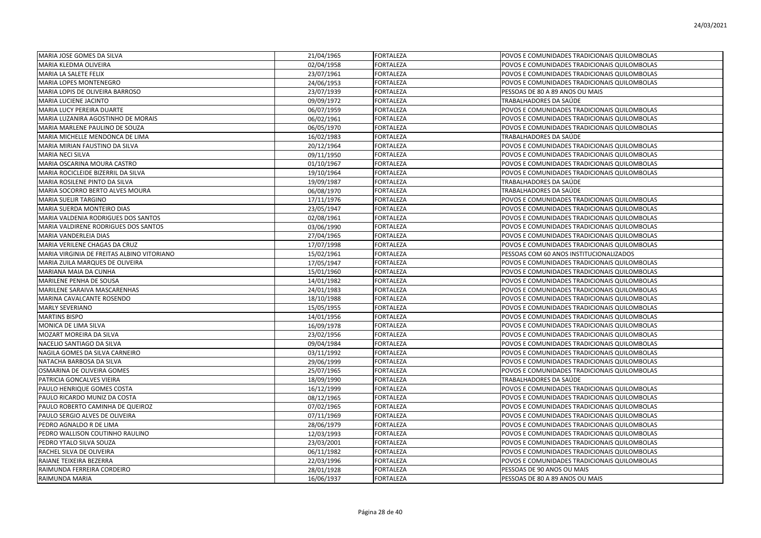| MARIA JOSE GOMES DA SILVA                  | 21/04/1965 | <b>FORTALEZA</b> | POVOS E COMUNIDADES TRADICIONAIS QUILOMBOLAS |
|--------------------------------------------|------------|------------------|----------------------------------------------|
| MARIA KLEDMA OLIVEIRA                      | 02/04/1958 | FORTALEZA        | POVOS E COMUNIDADES TRADICIONAIS QUILOMBOLAS |
| MARIA LA SALETE FELIX                      | 23/07/1961 | <b>FORTALEZA</b> | POVOS E COMUNIDADES TRADICIONAIS QUILOMBOLAS |
| MARIA LOPES MONTENEGRO                     | 24/06/1953 | <b>FORTALEZA</b> | POVOS E COMUNIDADES TRADICIONAIS QUILOMBOLAS |
| MARIA LOPIS DE OLIVEIRA BARROSO            | 23/07/1939 | <b>FORTALEZA</b> | PESSOAS DE 80 A 89 ANOS OU MAIS              |
| <b>MARIA LUCIENE JACINTO</b>               | 09/09/1972 | <b>FORTALEZA</b> | TRABALHADORES DA SAÚDE                       |
| MARIA LUCY PEREIRA DUARTE                  | 06/07/1959 | <b>FORTALEZA</b> | POVOS E COMUNIDADES TRADICIONAIS QUILOMBOLAS |
| MARIA LUZANIRA AGOSTINHO DE MORAIS         | 06/02/1961 | <b>FORTALEZA</b> | POVOS E COMUNIDADES TRADICIONAIS QUILOMBOLAS |
| MARIA MARLENE PAULINO DE SOUZA             | 06/05/1970 | <b>FORTALEZA</b> | POVOS E COMUNIDADES TRADICIONAIS QUILOMBOLAS |
| MARIA MICHELLE MENDONCA DE LIMA            | 16/02/1983 | FORTALEZA        | TRABALHADORES DA SAÚDE                       |
| MARIA MIRIAN FAUSTINO DA SILVA             | 20/12/1964 | FORTALEZA        | POVOS E COMUNIDADES TRADICIONAIS QUILOMBOLAS |
| <b>MARIA NECI SILVA</b>                    | 09/11/1950 | <b>FORTALEZA</b> | POVOS E COMUNIDADES TRADICIONAIS QUILOMBOLAS |
| MARIA OSCARINA MOURA CASTRO                | 01/10/1967 | <b>FORTALEZA</b> | POVOS E COMUNIDADES TRADICIONAIS QUILOMBOLAS |
| MARIA ROCICLEIDE BIZERRIL DA SILVA         | 19/10/1964 | FORTALEZA        | POVOS E COMUNIDADES TRADICIONAIS QUILOMBOLAS |
| MARIA ROSILENE PINTO DA SILVA              | 19/09/1987 | <b>FORTALEZA</b> | TRABALHADORES DA SAÚDE                       |
| MARIA SOCORRO BERTO ALVES MOURA            | 06/08/1970 | <b>FORTALEZA</b> | TRABALHADORES DA SAÚDE                       |
| <b>MARIA SUELIR TARGINO</b>                | 17/11/1976 | <b>FORTALEZA</b> | POVOS E COMUNIDADES TRADICIONAIS QUILOMBOLAS |
| MARIA SUERDA MONTEIRO DIAS                 | 23/05/1947 | <b>FORTALEZA</b> | POVOS E COMUNIDADES TRADICIONAIS QUILOMBOLAS |
| MARIA VALDENIA RODRIGUES DOS SANTOS        | 02/08/1961 | FORTALEZA        | POVOS E COMUNIDADES TRADICIONAIS QUILOMBOLAS |
| MARIA VALDIRENE RODRIGUES DOS SANTOS       | 03/06/1990 | FORTALEZA        | POVOS E COMUNIDADES TRADICIONAIS QUILOMBOLAS |
| MARIA VANDERLEIA DIAS                      | 27/04/1965 | <b>FORTALEZA</b> | POVOS E COMUNIDADES TRADICIONAIS QUILOMBOLAS |
| MARIA VERILENE CHAGAS DA CRUZ              | 17/07/1998 | <b>FORTALEZA</b> | POVOS E COMUNIDADES TRADICIONAIS QUILOMBOLAS |
| MARIA VIRGINIA DE FREITAS ALBINO VITORIANO | 15/02/1961 | FORTALEZA        | PESSOAS COM 60 ANOS INSTITUCIONALIZADOS      |
| MARIA ZUILA MARQUES DE OLIVEIRA            | 17/05/1947 | <b>FORTALEZA</b> | POVOS E COMUNIDADES TRADICIONAIS QUILOMBOLAS |
| MARIANA MAIA DA CUNHA                      | 15/01/1960 | <b>FORTALEZA</b> | POVOS E COMUNIDADES TRADICIONAIS QUILOMBOLAS |
| MARILENE PENHA DE SOUSA                    | 14/01/1982 | <b>FORTALEZA</b> | POVOS E COMUNIDADES TRADICIONAIS QUILOMBOLAS |
| MARILENE SARAIVA MASCARENHAS               | 24/01/1983 | <b>FORTALEZA</b> | POVOS E COMUNIDADES TRADICIONAIS QUILOMBOLAS |
| MARINA CAVALCANTE ROSENDO                  | 18/10/1988 | <b>FORTALEZA</b> | POVOS E COMUNIDADES TRADICIONAIS QUILOMBOLAS |
| <b>MARLY SEVERIANO</b>                     | 15/05/1955 | <b>FORTALEZA</b> | POVOS E COMUNIDADES TRADICIONAIS QUILOMBOLAS |
| <b>MARTINS BISPO</b>                       | 14/01/1956 | <b>FORTALEZA</b> | POVOS E COMUNIDADES TRADICIONAIS QUILOMBOLAS |
| MONICA DE LIMA SILVA                       | 16/09/1978 | <b>FORTALEZA</b> | POVOS E COMUNIDADES TRADICIONAIS QUILOMBOLAS |
| MOZART MOREIRA DA SILVA                    | 23/02/1956 | <b>FORTALEZA</b> | POVOS E COMUNIDADES TRADICIONAIS QUILOMBOLAS |
| NACELIO SANTIAGO DA SILVA                  | 09/04/1984 | <b>FORTALEZA</b> | POVOS E COMUNIDADES TRADICIONAIS QUILOMBOLAS |
| NAGILA GOMES DA SILVA CARNEIRO             | 03/11/1992 | <b>FORTALEZA</b> | POVOS E COMUNIDADES TRADICIONAIS QUILOMBOLAS |
| NATACHA BARBOSA DA SILVA                   | 29/06/1999 | <b>FORTALEZA</b> | POVOS E COMUNIDADES TRADICIONAIS QUILOMBOLAS |
| OSMARINA DE OLIVEIRA GOMES                 | 25/07/1965 | FORTALEZA        | POVOS E COMUNIDADES TRADICIONAIS QUILOMBOLAS |
| PATRICIA GONCALVES VIEIRA                  | 18/09/1990 | FORTALEZA        | TRABALHADORES DA SAÚDE                       |
| PAULO HENRIQUE GOMES COSTA                 | 16/12/1999 | <b>FORTALEZA</b> | POVOS E COMUNIDADES TRADICIONAIS QUILOMBOLAS |
| PAULO RICARDO MUNIZ DA COSTA               | 08/12/1965 | <b>FORTALEZA</b> | POVOS E COMUNIDADES TRADICIONAIS QUILOMBOLAS |
| PAULO ROBERTO CAMINHA DE QUEIROZ           | 07/02/1965 | <b>FORTALEZA</b> | POVOS E COMUNIDADES TRADICIONAIS QUILOMBOLAS |
| PAULO SERGIO ALVES DE OLIVEIRA             | 07/11/1969 | <b>FORTALEZA</b> | POVOS E COMUNIDADES TRADICIONAIS QUILOMBOLAS |
| PEDRO AGNALDO R DE LIMA                    | 28/06/1979 | <b>FORTALEZA</b> | POVOS E COMUNIDADES TRADICIONAIS QUILOMBOLAS |
| PEDRO WALLISON COUTINHO RAULINO            | 12/03/1993 | <b>FORTALEZA</b> | POVOS E COMUNIDADES TRADICIONAIS QUILOMBOLAS |
| PEDRO YTALO SILVA SOUZA                    | 23/03/2001 | <b>FORTALEZA</b> | POVOS E COMUNIDADES TRADICIONAIS QUILOMBOLAS |
| RACHEL SILVA DE OLIVEIRA                   | 06/11/1982 | FORTALEZA        | POVOS E COMUNIDADES TRADICIONAIS QUILOMBOLAS |
| RAIANE TEIXEIRA BEZERRA                    | 22/03/1996 | FORTALEZA        | POVOS E COMUNIDADES TRADICIONAIS QUILOMBOLAS |
| RAIMUNDA FERREIRA CORDEIRO                 | 28/01/1928 | FORTALEZA        | PESSOAS DE 90 ANOS OU MAIS                   |
| <b>RAIMUNDA MARIA</b>                      | 16/06/1937 | <b>FORTALEZA</b> | PESSOAS DE 80 A 89 ANOS OU MAIS              |
|                                            |            |                  |                                              |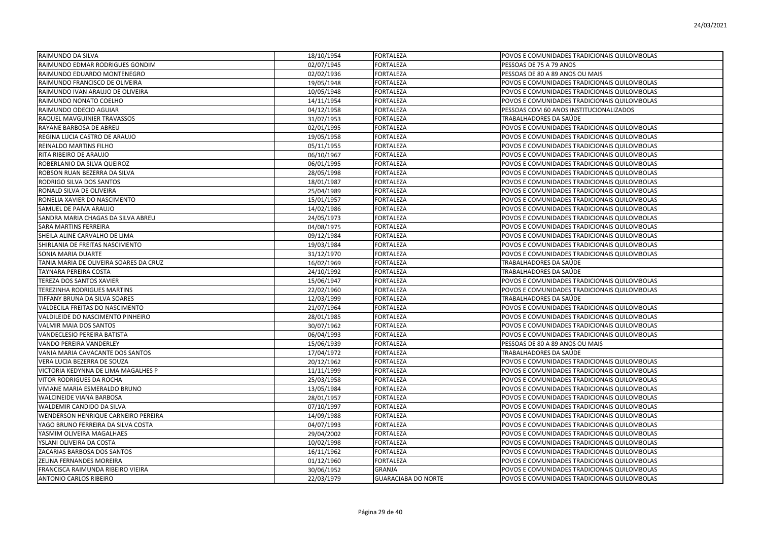| RAIMUNDO DA SILVA                      | 18/10/1954 | <b>FORTALEZA</b>           | POVOS E COMUNIDADES TRADICIONAIS QUILOMBOLAS |
|----------------------------------------|------------|----------------------------|----------------------------------------------|
| RAIMUNDO EDMAR RODRIGUES GONDIM        | 02/07/1945 | FORTALEZA                  | PESSOAS DE 75 A 79 ANOS                      |
| RAIMUNDO EDUARDO MONTENEGRO            | 02/02/1936 | <b>FORTALEZA</b>           | PESSOAS DE 80 A 89 ANOS OU MAIS              |
| RAIMUNDO FRANCISCO DE OLIVEIRA         | 19/05/1948 | <b>FORTALEZA</b>           | POVOS E COMUNIDADES TRADICIONAIS QUILOMBOLAS |
| RAIMUNDO IVAN ARAUJO DE OLIVEIRA       | 10/05/1948 | FORTALEZA                  | POVOS E COMUNIDADES TRADICIONAIS QUILOMBOLAS |
| RAIMUNDO NONATO COELHO                 | 14/11/1954 | <b>FORTALEZA</b>           | POVOS E COMUNIDADES TRADICIONAIS QUILOMBOLAS |
| RAIMUNDO ODECIO AGUIAR                 | 04/12/1958 | <b>FORTALEZA</b>           | PESSOAS COM 60 ANOS INSTITUCIONALIZADOS      |
| RAQUEL MAVGUINIER TRAVASSOS            | 31/07/1953 | <b>FORTALEZA</b>           | TRABALHADORES DA SAÚDE                       |
| RAYANE BARBOSA DE ABREU                | 02/01/1995 | <b>FORTALEZA</b>           | POVOS E COMUNIDADES TRADICIONAIS QUILOMBOLAS |
| REGINA LUCIA CASTRO DE ARAUJO          | 19/05/1958 | FORTALEZA                  | POVOS E COMUNIDADES TRADICIONAIS QUILOMBOLAS |
| REINALDO MARTINS FILHO                 | 05/11/1955 | FORTALEZA                  | POVOS E COMUNIDADES TRADICIONAIS QUILOMBOLAS |
| RITA RIBEIRO DE ARAUJO                 | 06/10/1967 | <b>FORTALEZA</b>           | POVOS E COMUNIDADES TRADICIONAIS QUILOMBOLAS |
| ROBERLANIO DA SILVA QUEIROZ            | 06/01/1995 | FORTALEZA                  | POVOS E COMUNIDADES TRADICIONAIS QUILOMBOLAS |
| ROBSON RUAN BEZERRA DA SILVA           | 28/05/1998 | <b>FORTALEZA</b>           | POVOS E COMUNIDADES TRADICIONAIS QUILOMBOLAS |
| RODRIGO SILVA DOS SANTOS               | 18/01/1987 | <b>FORTALEZA</b>           | POVOS E COMUNIDADES TRADICIONAIS QUILOMBOLAS |
| RONALD SILVA DE OLIVEIRA               | 25/04/1989 | <b>FORTALEZA</b>           | POVOS E COMUNIDADES TRADICIONAIS QUILOMBOLAS |
| RONELIA XAVIER DO NASCIMENTO           | 15/01/1957 | <b>FORTALEZA</b>           | POVOS E COMUNIDADES TRADICIONAIS QUILOMBOLAS |
| SAMUEL DE PAIVA ARAUJO                 | 14/02/1986 | <b>FORTALEZA</b>           | POVOS E COMUNIDADES TRADICIONAIS QUILOMBOLAS |
| SANDRA MARIA CHAGAS DA SILVA ABREU     | 24/05/1973 | FORTALEZA                  | POVOS E COMUNIDADES TRADICIONAIS QUILOMBOLAS |
| <b>SARA MARTINS FERREIRA</b>           | 04/08/1975 | <b>FORTALEZA</b>           | POVOS E COMUNIDADES TRADICIONAIS QUILOMBOLAS |
| SHEILA ALINE CARVALHO DE LIMA          | 09/12/1984 | <b>FORTALEZA</b>           | POVOS E COMUNIDADES TRADICIONAIS QUILOMBOLAS |
| SHIRLANIA DE FREITAS NASCIMENTO        | 19/03/1984 | FORTALEZA                  | POVOS E COMUNIDADES TRADICIONAIS QUILOMBOLAS |
| SONIA MARIA DUARTE                     | 31/12/1970 | <b>FORTALEZA</b>           | POVOS E COMUNIDADES TRADICIONAIS QUILOMBOLAS |
| TANIA MARIA DE OLIVEIRA SOARES DA CRUZ | 16/02/1969 | <b>FORTALEZA</b>           | TRABALHADORES DA SAÚDE                       |
| <b>TAYNARA PEREIRA COSTA</b>           | 24/10/1992 | <b>FORTALEZA</b>           | TRABALHADORES DA SAÚDE                       |
| TEREZA DOS SANTOS XAVIER               | 15/06/1947 | <b>FORTALEZA</b>           | POVOS E COMUNIDADES TRADICIONAIS QUILOMBOLAS |
| TEREZINHA RODRIGUES MARTINS            | 22/02/1960 | FORTALEZA                  | POVOS E COMUNIDADES TRADICIONAIS QUILOMBOLAS |
| TIFFANY BRUNA DA SILVA SOARES          | 12/03/1999 | <b>FORTALEZA</b>           | TRABALHADORES DA SAÚDE                       |
| VALDECILA FREITAS DO NASCIMENTO        | 21/07/1964 | <b>FORTALEZA</b>           | POVOS E COMUNIDADES TRADICIONAIS QUILOMBOLAS |
| VALDILEIDE DO NASCIMENTO PINHEIRO      | 28/01/1985 | FORTALEZA                  | POVOS E COMUNIDADES TRADICIONAIS QUILOMBOLAS |
| <b>VALMIR MAIA DOS SANTOS</b>          | 30/07/1962 | <b>FORTALEZA</b>           | POVOS E COMUNIDADES TRADICIONAIS QUILOMBOLAS |
| VANDECLESIO PEREIRA BATISTA            | 06/04/1993 | <b>FORTALEZA</b>           | POVOS E COMUNIDADES TRADICIONAIS QUILOMBOLAS |
| VANDO PEREIRA VANDERLEY                | 15/06/1939 | <b>FORTALEZA</b>           | PESSOAS DE 80 A 89 ANOS OU MAIS              |
| VANIA MARIA CAVACANTE DOS SANTOS       | 17/04/1972 | <b>FORTALEZA</b>           | TRABALHADORES DA SAÚDE                       |
| VERA LUCIA BEZERRA DE SOUZA            | 20/12/1962 | <b>FORTALEZA</b>           | POVOS E COMUNIDADES TRADICIONAIS QUILOMBOLAS |
| VICTORIA KEDYNNA DE LIMA MAGALHES P    | 11/11/1999 | FORTALEZA                  | POVOS E COMUNIDADES TRADICIONAIS QUILOMBOLAS |
| <b>VITOR RODRIGUES DA ROCHA</b>        | 25/03/1958 | <b>FORTALEZA</b>           | POVOS E COMUNIDADES TRADICIONAIS QUILOMBOLAS |
| VIVIANE MARIA ESMERALDO BRUNO          | 13/05/1984 | <b>FORTALEZA</b>           | POVOS E COMUNIDADES TRADICIONAIS QUILOMBOLAS |
| <b>WALCINEIDE VIANA BARBOSA</b>        | 28/01/1957 | FORTALEZA                  | POVOS E COMUNIDADES TRADICIONAIS QUILOMBOLAS |
| WALDEMIR CANDIDO DA SILVA              | 07/10/1997 | <b>FORTALEZA</b>           | POVOS E COMUNIDADES TRADICIONAIS QUILOMBOLAS |
| WENDERSON HENRIQUE CARNEIRO PEREIRA    | 14/09/1988 | <b>FORTALEZA</b>           | POVOS E COMUNIDADES TRADICIONAIS QUILOMBOLAS |
| YAGO BRUNO FERREIRA DA SILVA COSTA     | 04/07/1993 | <b>FORTALEZA</b>           | POVOS E COMUNIDADES TRADICIONAIS QUILOMBOLAS |
| YASMIM OLIVEIRA MAGALHAES              | 29/04/2002 | <b>FORTALEZA</b>           | POVOS E COMUNIDADES TRADICIONAIS QUILOMBOLAS |
| YSLANI OLIVEIRA DA COSTA               | 10/02/1998 | FORTALEZA                  | POVOS E COMUNIDADES TRADICIONAIS QUILOMBOLAS |
| ZACARIAS BARBOSA DOS SANTOS            | 16/11/1962 | <b>FORTALEZA</b>           | POVOS E COMUNIDADES TRADICIONAIS QUILOMBOLAS |
| ZELINA FERNANDES MOREIRA               | 01/12/1960 | FORTALEZA                  | POVOS E COMUNIDADES TRADICIONAIS QUILOMBOLAS |
| FRANCISCA RAIMUNDA RIBEIRO VIEIRA      | 30/06/1952 | GRANJA                     | POVOS E COMUNIDADES TRADICIONAIS QUILOMBOLAS |
| <b>ANTONIO CARLOS RIBEIRO</b>          | 22/03/1979 | <b>GUARACIABA DO NORTE</b> | POVOS E COMUNIDADES TRADICIONAIS QUILOMBOLAS |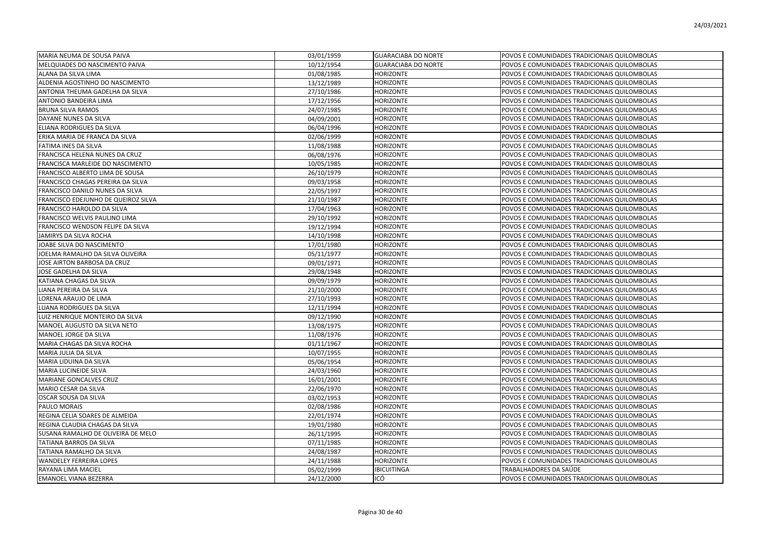| MARIA NEUMA DE SOUSA PAIVA          | 03/01/1959 | <b>GUARACIABA DO NORTE</b> | POVOS E COMUNIDADES TRADICIONAIS QUILOMBOLAS |
|-------------------------------------|------------|----------------------------|----------------------------------------------|
| MELQUIADES DO NASCIMENTO PAIVA      | 10/12/1954 | <b>GUARACIABA DO NORTE</b> | POVOS E COMUNIDADES TRADICIONAIS QUILOMBOLAS |
| ALANA DA SILVA LIMA                 | 01/08/1985 | HORIZONTE                  | POVOS E COMUNIDADES TRADICIONAIS QUILOMBOLAS |
| ALDENIA AGOSTINHO DO NASCIMENTO     | 13/12/1989 | <b>HORIZONTE</b>           | POVOS E COMUNIDADES TRADICIONAIS QUILOMBOLAS |
| ANTONIA THEUMA GADELHA DA SILVA     | 27/10/1986 | HORIZONTE                  | POVOS E COMUNIDADES TRADICIONAIS QUILOMBOLAS |
| ANTONIO BANDEIRA LIMA               | 17/12/1956 | HORIZONTE                  | POVOS E COMUNIDADES TRADICIONAIS QUILOMBOLAS |
| <b>BRUNA SILVA RAMOS</b>            | 24/07/1985 | <b>HORIZONTE</b>           | POVOS E COMUNIDADES TRADICIONAIS QUILOMBOLAS |
| DAYANE NUNES DA SILVA               | 04/09/2001 | HORIZONTE                  | POVOS E COMUNIDADES TRADICIONAIS QUILOMBOLAS |
| ELIANA RODRIGUES DA SILVA           | 06/04/1996 | HORIZONTE                  | POVOS E COMUNIDADES TRADICIONAIS QUILOMBOLAS |
| ERIKA MARIA DE FRANCA DA SILVA      | 02/06/1999 | HORIZONTE                  | POVOS E COMUNIDADES TRADICIONAIS QUILOMBOLAS |
| FATIMA INES DA SILVA                | 11/08/1988 | HORIZONTE                  | POVOS E COMUNIDADES TRADICIONAIS QUILOMBOLAS |
| FRANCISCA HELENA NUNES DA CRUZ      | 06/08/1976 | HORIZONTE                  | POVOS E COMUNIDADES TRADICIONAIS QUILOMBOLAS |
| FRANCISCA MARLEIDE DO NASCIMENTO    | 10/05/1985 | HORIZONTE                  | POVOS E COMUNIDADES TRADICIONAIS QUILOMBOLAS |
| FRANCISCO ALBERTO LIMA DE SOUSA     | 26/10/1979 | HORIZONTE                  | POVOS E COMUNIDADES TRADICIONAIS QUILOMBOLAS |
| FRANCISCO CHAGAS PEREIRA DA SILVA   | 09/03/1958 | HORIZONTE                  | POVOS E COMUNIDADES TRADICIONAIS QUILOMBOLAS |
| FRANCISCO DANILO NUNES DA SILVA     | 22/05/1997 | <b>HORIZONTE</b>           | POVOS E COMUNIDADES TRADICIONAIS QUILOMBOLAS |
| FRANCISCO EDEJUNHO DE QUEIROZ SILVA | 21/10/1987 | HORIZONTE                  | POVOS E COMUNIDADES TRADICIONAIS QUILOMBOLAS |
| FRANCISCO HAROLDO DA SILVA          | 17/04/1963 | <b>HORIZONTE</b>           | POVOS E COMUNIDADES TRADICIONAIS QUILOMBOLAS |
| FRANCISCO WELVIS PAULINO LIMA       | 29/10/1992 | HORIZONTE                  | POVOS E COMUNIDADES TRADICIONAIS QUILOMBOLAS |
| FRANCISCO WENDSON FELIPE DA SILVA   | 19/12/1994 | <b>HORIZONTE</b>           | POVOS E COMUNIDADES TRADICIONAIS QUILOMBOLAS |
| JAMIRYS DA SILVA ROCHA              | 14/10/1998 | HORIZONTE                  | POVOS E COMUNIDADES TRADICIONAIS QUILOMBOLAS |
| JOABE SILVA DO NASCIMENTO           | 17/01/1980 | <b>HORIZONTE</b>           | POVOS E COMUNIDADES TRADICIONAIS QUILOMBOLAS |
| JOELMA RAMALHO DA SILVA OLIVEIRA    | 05/11/1977 | HORIZONTE                  | POVOS E COMUNIDADES TRADICIONAIS QUILOMBOLAS |
| JOSE AIRTON BARBOSA DA CRUZ         | 09/01/1971 | <b>HORIZONTE</b>           | POVOS E COMUNIDADES TRADICIONAIS QUILOMBOLAS |
| JOSE GADELHA DA SILVA               | 29/08/1948 | HORIZONTE                  | POVOS E COMUNIDADES TRADICIONAIS QUILOMBOLAS |
| KATIANA CHAGAS DA SILVA             | 09/09/1979 | HORIZONTE                  | POVOS E COMUNIDADES TRADICIONAIS QUILOMBOLAS |
| LIANA PEREIRA DA SILVA              | 21/10/2000 | <b>HORIZONTE</b>           | POVOS E COMUNIDADES TRADICIONAIS QUILOMBOLAS |
| LORENA ARAUJO DE LIMA               | 27/10/1993 | HORIZONTE                  | POVOS E COMUNIDADES TRADICIONAIS QUILOMBOLAS |
| LUANA RODRIGUES DA SILVA            | 12/11/1994 | <b>HORIZONTE</b>           | POVOS E COMUNIDADES TRADICIONAIS QUILOMBOLAS |
| LUIZ HENRIQUE MONTEIRO DA SILVA     | 09/12/1990 | HORIZONTE                  | POVOS E COMUNIDADES TRADICIONAIS QUILOMBOLAS |
| MANOEL AUGUSTO DA SILVA NETO        | 13/08/1975 | <b>HORIZONTE</b>           | POVOS E COMUNIDADES TRADICIONAIS QUILOMBOLAS |
| MANOEL JORGE DA SILVA               | 11/08/1976 | HORIZONTE                  | POVOS E COMUNIDADES TRADICIONAIS QUILOMBOLAS |
| MARIA CHAGAS DA SILVA ROCHA         | 01/11/1967 | <b>HORIZONTE</b>           | POVOS E COMUNIDADES TRADICIONAIS QUILOMBOLAS |
| MARIA JULIA DA SILVA                | 10/07/1955 | HORIZONTE                  | POVOS E COMUNIDADES TRADICIONAIS QUILOMBOLAS |
| MARIA LIDUINA DA SILVA              | 05/06/1954 | HORIZONTE                  | POVOS E COMUNIDADES TRADICIONAIS QUILOMBOLAS |
| MARIA LUCINEIDE SILVA               | 24/03/1960 | <b>HORIZONTE</b>           | POVOS E COMUNIDADES TRADICIONAIS QUILOMBOLAS |
| MARIANE GONCALVES CRUZ              | 16/01/2001 | HORIZONTE                  | POVOS E COMUNIDADES TRADICIONAIS QUILOMBOLAS |
| MARIO CESAR DA SILVA                | 22/06/1970 | HORIZONTE                  | POVOS E COMUNIDADES TRADICIONAIS QUILOMBOLAS |
| OSCAR SOUSA DA SILVA                | 03/02/1953 | <b>HORIZONTE</b>           | POVOS E COMUNIDADES TRADICIONAIS QUILOMBOLAS |
| PAULO MORAIS                        | 02/08/1986 | HORIZONTE                  | POVOS E COMUNIDADES TRADICIONAIS QUILOMBOLAS |
| REGINA CELIA SOARES DE ALMEIDA      | 22/01/1974 | HORIZONTE                  | POVOS E COMUNIDADES TRADICIONAIS QUILOMBOLAS |
| REGINA CLAUDIA CHAGAS DA SILVA      | 19/01/1980 | <b>HORIZONTE</b>           | POVOS E COMUNIDADES TRADICIONAIS QUILOMBOLAS |
| SUSANA RAMALHO DE OLIVEIRA DE MELO  | 26/11/1995 | HORIZONTE                  | POVOS E COMUNIDADES TRADICIONAIS QUILOMBOLAS |
| TATIANA BARROS DA SILVA             | 07/11/1985 | HORIZONTE                  | POVOS E COMUNIDADES TRADICIONAIS QUILOMBOLAS |
| TATIANA RAMALHO DA SILVA            | 24/08/1987 | HORIZONTE                  | POVOS E COMUNIDADES TRADICIONAIS QUILOMBOLAS |
| <b>WANDELEY FERREIRA LOPES</b>      | 24/11/1988 | HORIZONTE                  | POVOS E COMUNIDADES TRADICIONAIS QUILOMBOLAS |
| RAYANA LIMA MACIEL                  | 05/02/1999 | <b>IBICUITINGA</b>         | TRABALHADORES DA SAÚDE                       |
| <b>EMANOEL VIANA BEZERRA</b>        | 24/12/2000 | ICÓ                        | POVOS E COMUNIDADES TRADICIONAIS QUILOMBOLAS |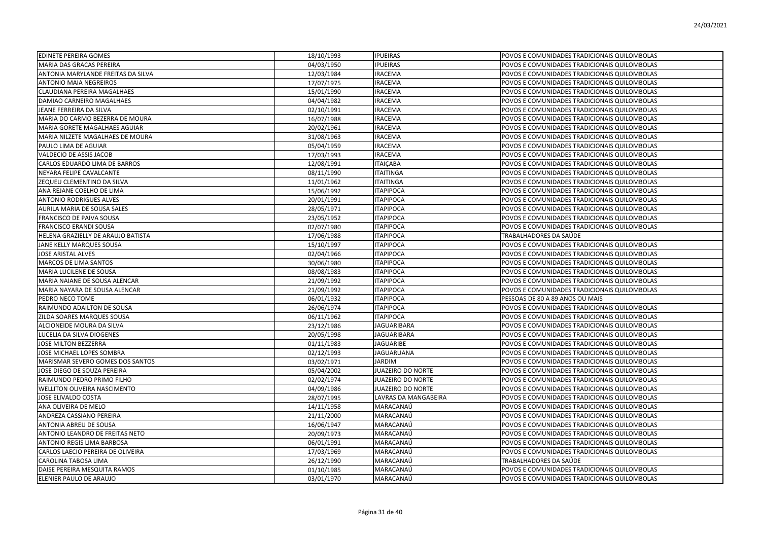| <b>EDINETE PEREIRA GOMES</b>        | 18/10/1993 | <b>IPUEIRAS</b>          | POVOS E COMUNIDADES TRADICIONAIS QUILOMBOLAS |
|-------------------------------------|------------|--------------------------|----------------------------------------------|
| MARIA DAS GRACAS PEREIRA            | 04/03/1950 | <b>IPUEIRAS</b>          | POVOS E COMUNIDADES TRADICIONAIS QUILOMBOLAS |
| ANTONIA MARYLANDE FREITAS DA SILVA  | 12/03/1984 | <b>IRACEMA</b>           | POVOS E COMUNIDADES TRADICIONAIS QUILOMBOLAS |
| <b>ANTONIO MAIA NEGREIROS</b>       | 17/07/1975 | <b>IRACEMA</b>           | POVOS E COMUNIDADES TRADICIONAIS QUILOMBOLAS |
| CLAUDIANA PEREIRA MAGALHAES         | 15/01/1990 | <b>IRACEMA</b>           | POVOS E COMUNIDADES TRADICIONAIS QUILOMBOLAS |
| DAMIAO CARNEIRO MAGALHAES           | 04/04/1982 | <b>IRACEMA</b>           | POVOS E COMUNIDADES TRADICIONAIS QUILOMBOLAS |
| JEANE FERREIRA DA SILVA             | 02/10/1991 | <b>IRACEMA</b>           | POVOS E COMUNIDADES TRADICIONAIS QUILOMBOLAS |
| MARIA DO CARMO BEZERRA DE MOURA     | 16/07/1988 | <b>IRACEMA</b>           | POVOS E COMUNIDADES TRADICIONAIS QUILOMBOLAS |
| MARIA GORETE MAGALHAES AGUIAR       | 20/02/1961 | <b>IRACEMA</b>           | POVOS E COMUNIDADES TRADICIONAIS QUILOMBOLAS |
| MARIA NILZETE MAGALHAES DE MOURA    | 31/08/1963 | <b>IRACEMA</b>           | POVOS E COMUNIDADES TRADICIONAIS QUILOMBOLAS |
| PAULO LIMA DE AGUIAR                | 05/04/1959 | <b>IRACEMA</b>           | POVOS E COMUNIDADES TRADICIONAIS QUILOMBOLAS |
| VALDECIO DE ASSIS JACOB             | 17/03/1993 | <b>IRACEMA</b>           | POVOS E COMUNIDADES TRADICIONAIS QUILOMBOLAS |
| CARLOS EDUARDO LIMA DE BARROS       | 12/08/1991 | <b>ITAICABA</b>          | POVOS E COMUNIDADES TRADICIONAIS QUILOMBOLAS |
| NEYARA FELIPE CAVALCANTE            | 08/11/1990 | <b>ITAITINGA</b>         | POVOS E COMUNIDADES TRADICIONAIS QUILOMBOLAS |
| ZEQUEU CLEMENTINO DA SILVA          | 11/01/1962 | <b>ITAITINGA</b>         | POVOS E COMUNIDADES TRADICIONAIS QUILOMBOLAS |
| ANA REJANE COELHO DE LIMA           | 15/06/1992 | <b>ITAPIPOCA</b>         | POVOS E COMUNIDADES TRADICIONAIS QUILOMBOLAS |
| <b>ANTONIO RODRIGUES ALVES</b>      | 20/01/1991 | <b>ITAPIPOCA</b>         | POVOS E COMUNIDADES TRADICIONAIS QUILOMBOLAS |
| AURILA MARIA DE SOUSA SALES         | 28/05/1971 | <b>ITAPIPOCA</b>         | POVOS E COMUNIDADES TRADICIONAIS QUILOMBOLAS |
| FRANCISCO DE PAIVA SOUSA            | 23/05/1952 | <b>ITAPIPOCA</b>         | POVOS E COMUNIDADES TRADICIONAIS QUILOMBOLAS |
| <b>FRANCISCO ERANDI SOUSA</b>       | 02/07/1980 | <b>ITAPIPOCA</b>         | POVOS E COMUNIDADES TRADICIONAIS QUILOMBOLAS |
| HELENA GRAZIELLY DE ARAUJO BATISTA  | 17/06/1988 | <b>ITAPIPOCA</b>         | TRABALHADORES DA SAÚDE                       |
| JANE KELLY MARQUES SOUSA            | 15/10/1997 | <b>ITAPIPOCA</b>         | POVOS E COMUNIDADES TRADICIONAIS QUILOMBOLAS |
| JOSE ARISTAL ALVES                  | 02/04/1966 | <b>ITAPIPOCA</b>         | POVOS E COMUNIDADES TRADICIONAIS QUILOMBOLAS |
| MARCOS DE LIMA SANTOS               | 30/06/1980 | <b>ITAPIPOCA</b>         | POVOS E COMUNIDADES TRADICIONAIS QUILOMBOLAS |
| MARIA LUCILENE DE SOUSA             | 08/08/1983 | <b>ITAPIPOCA</b>         | POVOS E COMUNIDADES TRADICIONAIS QUILOMBOLAS |
| MARIA NAIANE DE SOUSA ALENCAR       | 21/09/1992 | <b>ITAPIPOCA</b>         | POVOS E COMUNIDADES TRADICIONAIS QUILOMBOLAS |
| MARIA NAYARA DE SOUSA ALENCAR       | 21/09/1992 | <b>ITAPIPOCA</b>         | POVOS E COMUNIDADES TRADICIONAIS QUILOMBOLAS |
| PEDRO NECO TOME                     | 06/01/1932 | <b>ITAPIPOCA</b>         | PESSOAS DE 80 A 89 ANOS OU MAIS              |
| RAIMUNDO ADAILTON DE SOUSA          | 26/06/1974 | <b>ITAPIPOCA</b>         | POVOS E COMUNIDADES TRADICIONAIS QUILOMBOLAS |
| ZILDA SOARES MARQUES SOUSA          | 06/11/1962 | <b>ITAPIPOCA</b>         | POVOS E COMUNIDADES TRADICIONAIS QUILOMBOLAS |
| ALCIONEIDE MOURA DA SILVA           | 23/12/1986 | <b>JAGUARIBARA</b>       | POVOS E COMUNIDADES TRADICIONAIS QUILOMBOLAS |
| LUCELIA DA SILVA DIOGENES           | 20/05/1998 | <b>JAGUARIBARA</b>       | POVOS E COMUNIDADES TRADICIONAIS QUILOMBOLAS |
| JOSE MILTON BEZZERRA                | 01/11/1983 | <b>JAGUARIBE</b>         | POVOS E COMUNIDADES TRADICIONAIS QUILOMBOLAS |
| JOSE MICHAEL LOPES SOMBRA           | 02/12/1993 | <b>JAGUARUANA</b>        | POVOS E COMUNIDADES TRADICIONAIS QUILOMBOLAS |
| MARISMAR SEVERO GOMES DOS SANTOS    | 03/02/1971 | JARDIM                   | POVOS E COMUNIDADES TRADICIONAIS QUILOMBOLAS |
| JOSE DIEGO DE SOUZA PEREIRA         | 05/04/2002 | <b>JUAZEIRO DO NORTE</b> | POVOS E COMUNIDADES TRADICIONAIS QUILOMBOLAS |
| RAIMUNDO PEDRO PRIMO FILHO          | 02/02/1974 | JUAZEIRO DO NORTE        | POVOS E COMUNIDADES TRADICIONAIS QUILOMBOLAS |
| <b>WELLITON OLIVEIRA NASCIMENTO</b> | 04/09/1986 | <b>JUAZEIRO DO NORTE</b> | POVOS E COMUNIDADES TRADICIONAIS QUILOMBOLAS |
| JOSE ELIVALDO COSTA                 | 28/07/1995 | LAVRAS DA MANGABEIRA     | POVOS E COMUNIDADES TRADICIONAIS QUILOMBOLAS |
| ANA OLIVEIRA DE MELO                | 14/11/1958 | MARACANAÚ                | POVOS E COMUNIDADES TRADICIONAIS QUILOMBOLAS |
| ANDREZA CASSIANO PEREIRA            | 21/11/2000 | MARACANAÚ                | POVOS E COMUNIDADES TRADICIONAIS QUILOMBOLAS |
| ANTONIA ABREU DE SOUSA              | 16/06/1947 | MARACANAÚ                | POVOS E COMUNIDADES TRADICIONAIS QUILOMBOLAS |
| ANTONIO LEANDRO DE FREITAS NETO     | 20/09/1973 | MARACANAÚ                | POVOS E COMUNIDADES TRADICIONAIS QUILOMBOLAS |
| ANTONIO REGIS LIMA BARBOSA          | 06/01/1991 | MARACANAÚ                | POVOS E COMUNIDADES TRADICIONAIS QUILOMBOLAS |
| CARLOS LAECIO PEREIRA DE OLIVEIRA   | 17/03/1969 | MARACANAÚ                | POVOS E COMUNIDADES TRADICIONAIS QUILOMBOLAS |
| CAROLINA TABOSA LIMA                | 26/12/1990 | MARACANAÚ                | TRABALHADORES DA SAÚDE                       |
| DAISE PEREIRA MESQUITA RAMOS        | 01/10/1985 | MARACANAÚ                | POVOS E COMUNIDADES TRADICIONAIS QUILOMBOLAS |
| ELENIER PAULO DE ARAUJO             | 03/01/1970 | MARACANAÚ                | POVOS E COMUNIDADES TRADICIONAIS QUILOMBOLAS |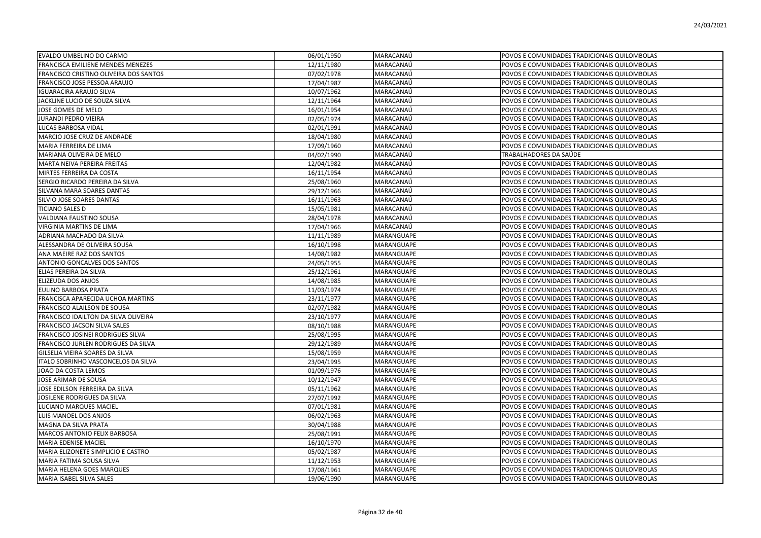| EVALDO UMBELINO DO CARMO               | 06/01/1950 | MARACANAÚ         | POVOS E COMUNIDADES TRADICIONAIS QUILOMBOLAS |
|----------------------------------------|------------|-------------------|----------------------------------------------|
| FRANCISCA EMILIENE MENDES MENEZES      | 12/11/1980 | MARACANAÚ         | POVOS E COMUNIDADES TRADICIONAIS QUILOMBOLAS |
| FRANCISCO CRISTINO OLIVEIRA DOS SANTOS | 07/02/1978 | MARACANAÚ         | POVOS E COMUNIDADES TRADICIONAIS QUILOMBOLAS |
| FRANCISCO JOSE PESSOA ARAUJO           | 17/04/1987 | MARACANAÚ         | POVOS E COMUNIDADES TRADICIONAIS QUILOMBOLAS |
| <b>IGUARACIRA ARAUJO SILVA</b>         | 10/07/1962 | MARACANAÚ         | POVOS E COMUNIDADES TRADICIONAIS QUILOMBOLAS |
| JACKLINE LUCIO DE SOUZA SILVA          | 12/11/1964 | MARACANAÚ         | POVOS E COMUNIDADES TRADICIONAIS QUILOMBOLAS |
| JOSE GOMES DE MELO                     | 16/01/1954 | MARACANAÚ         | POVOS E COMUNIDADES TRADICIONAIS QUILOMBOLAS |
| JURANDI PEDRO VIEIRA                   | 02/05/1974 | MARACANAÚ         | POVOS E COMUNIDADES TRADICIONAIS QUILOMBOLAS |
| LUCAS BARBOSA VIDAL                    | 02/01/1991 | MARACANAÚ         | POVOS E COMUNIDADES TRADICIONAIS QUILOMBOLAS |
| MARCIO JOSE CRUZ DE ANDRADE            | 18/04/1980 | MARACANAÚ         | POVOS E COMUNIDADES TRADICIONAIS QUILOMBOLAS |
| MARIA FERREIRA DE LIMA                 | 17/09/1960 | MARACANAÚ         | POVOS E COMUNIDADES TRADICIONAIS QUILOMBOLAS |
| MARIANA OLIVEIRA DE MELO               | 04/02/1990 | MARACANAÚ         | TRABALHADORES DA SAÚDE                       |
| MARTA NEIVA PEREIRA FREITAS            | 12/04/1982 | MARACANAÚ         | POVOS E COMUNIDADES TRADICIONAIS QUILOMBOLAS |
| MIRTES FERREIRA DA COSTA               | 16/11/1954 | MARACANAÚ         | POVOS E COMUNIDADES TRADICIONAIS QUILOMBOLAS |
| SERGIO RICARDO PEREIRA DA SILVA        | 25/08/1960 | MARACANAÚ         | POVOS E COMUNIDADES TRADICIONAIS QUILOMBOLAS |
| SILVANA MARA SOARES DANTAS             | 29/12/1966 | MARACANAÚ         | POVOS E COMUNIDADES TRADICIONAIS QUILOMBOLAS |
| SILVIO JOSE SOARES DANTAS              | 16/11/1963 | MARACANAÚ         | POVOS E COMUNIDADES TRADICIONAIS QUILOMBOLAS |
| <b>TICIANO SALES D</b>                 | 15/05/1981 | MARACANAÚ         | POVOS E COMUNIDADES TRADICIONAIS QUILOMBOLAS |
| VALDIANA FAUSTINO SOUSA                | 28/04/1978 | MARACANAÚ         | POVOS E COMUNIDADES TRADICIONAIS QUILOMBOLAS |
| VIRGINIA MARTINS DE LIMA               | 17/04/1966 | MARACANAÚ         | POVOS E COMUNIDADES TRADICIONAIS QUILOMBOLAS |
| ADRIANA MACHADO DA SILVA               | 11/11/1989 | MARANGUAPE        | POVOS E COMUNIDADES TRADICIONAIS QUILOMBOLAS |
| ALESSANDRA DE OLIVEIRA SOUSA           | 16/10/1998 | MARANGUAPE        | POVOS E COMUNIDADES TRADICIONAIS QUILOMBOLAS |
| ANA MAEIRE RAZ DOS SANTOS              | 14/08/1982 | MARANGUAPE        | POVOS E COMUNIDADES TRADICIONAIS QUILOMBOLAS |
| ANTONIO GONCALVES DOS SANTOS           | 24/05/1955 | MARANGUAPE        | POVOS E COMUNIDADES TRADICIONAIS QUILOMBOLAS |
| ELIAS PEREIRA DA SILVA                 | 25/12/1961 | MARANGUAPE        | POVOS E COMUNIDADES TRADICIONAIS QUILOMBOLAS |
| ELIZEUDA DOS ANJOS                     | 14/08/1985 | MARANGUAPE        | POVOS E COMUNIDADES TRADICIONAIS QUILOMBOLAS |
| EULINO BARBOSA PRATA                   | 11/03/1974 | MARANGUAPE        | POVOS E COMUNIDADES TRADICIONAIS QUILOMBOLAS |
| FRANCISCA APARECIDA UCHOA MARTINS      | 23/11/1977 | MARANGUAPE        | POVOS E COMUNIDADES TRADICIONAIS QUILOMBOLAS |
| FRANCISCO ALAILSON DE SOUSA            | 02/07/1982 | MARANGUAPE        | POVOS E COMUNIDADES TRADICIONAIS QUILOMBOLAS |
| FRANCISCO IDAILTON DA SILVA OLIVEIRA   | 23/10/1977 | MARANGUAPE        | POVOS E COMUNIDADES TRADICIONAIS QUILOMBOLAS |
| FRANCISCO JACSON SILVA SALES           | 08/10/1988 | MARANGUAPE        | POVOS E COMUNIDADES TRADICIONAIS QUILOMBOLAS |
| FRANCISCO JOSINEI RODRIGUES SILVA      | 25/08/1995 | MARANGUAPE        | POVOS E COMUNIDADES TRADICIONAIS QUILOMBOLAS |
| FRANCISCO JURLEN RODRIGUES DA SILVA    | 29/12/1989 | MARANGUAPE        | POVOS E COMUNIDADES TRADICIONAIS QUILOMBOLAS |
| GILSELIA VIEIRA SOARES DA SILVA        | 15/08/1959 | MARANGUAPE        | POVOS E COMUNIDADES TRADICIONAIS QUILOMBOLAS |
| ITALO SOBRINHO VASCONCELOS DA SILVA    | 23/04/1995 | MARANGUAPE        | POVOS E COMUNIDADES TRADICIONAIS QUILOMBOLAS |
| JOAO DA COSTA LEMOS                    | 01/09/1976 | MARANGUAPE        | POVOS E COMUNIDADES TRADICIONAIS QUILOMBOLAS |
| JOSE ARIMAR DE SOUSA                   | 10/12/1947 | MARANGUAPE        | POVOS E COMUNIDADES TRADICIONAIS QUILOMBOLAS |
| JOSE EDILSON FERREIRA DA SILVA         | 05/11/1962 | MARANGUAPE        | POVOS E COMUNIDADES TRADICIONAIS QUILOMBOLAS |
| JOSILENE RODRIGUES DA SILVA            | 27/07/1992 | MARANGUAPE        | POVOS E COMUNIDADES TRADICIONAIS QUILOMBOLAS |
| LUCIANO MARQUES MACIEL                 | 07/01/1981 | MARANGUAPE        | POVOS E COMUNIDADES TRADICIONAIS QUILOMBOLAS |
| LUIS MANOEL DOS ANJOS                  | 06/02/1963 | MARANGUAPE        | POVOS E COMUNIDADES TRADICIONAIS QUILOMBOLAS |
| MAGNA DA SILVA PRATA                   | 30/04/1988 | MARANGUAPE        | POVOS E COMUNIDADES TRADICIONAIS QUILOMBOLAS |
| MARCOS ANTONIO FELIX BARBOSA           | 25/08/1991 | MARANGUAPE        | POVOS E COMUNIDADES TRADICIONAIS QUILOMBOLAS |
| MARIA EDENISE MACIEL                   | 16/10/1970 | MARANGUAPE        | POVOS E COMUNIDADES TRADICIONAIS QUILOMBOLAS |
| MARIA ELIZONETE SIMPLICIO E CASTRO     | 05/02/1987 | MARANGUAPE        | POVOS E COMUNIDADES TRADICIONAIS QUILOMBOLAS |
| MARIA FATIMA SOUSA SILVA               | 11/12/1953 | MARANGUAPE        | POVOS E COMUNIDADES TRADICIONAIS QUILOMBOLAS |
| MARIA HELENA GOES MARQUES              | 17/08/1961 | MARANGUAPE        | POVOS E COMUNIDADES TRADICIONAIS QUILOMBOLAS |
| MARIA ISABEL SILVA SALES               | 19/06/1990 | <b>MARANGUAPE</b> | POVOS E COMUNIDADES TRADICIONAIS QUILOMBOLAS |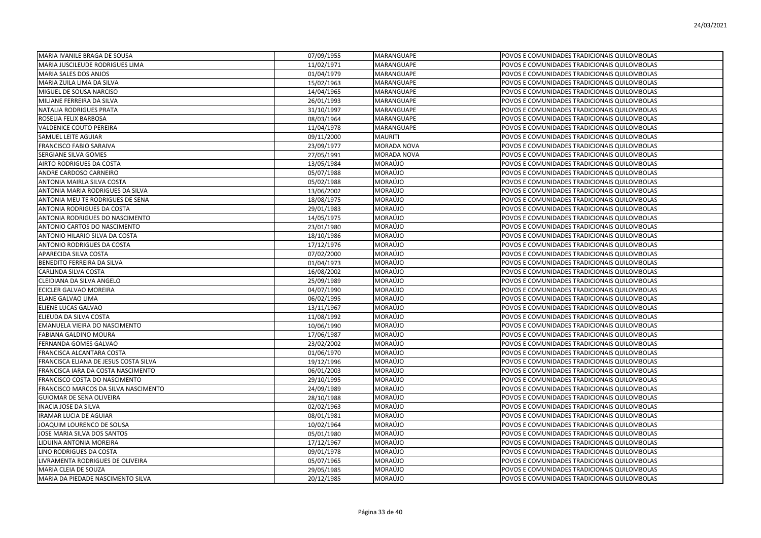| MARIA IVANILE BRAGA DE SOUSA          | 07/09/1955 | MARANGUAPE  | POVOS E COMUNIDADES TRADICIONAIS QUILOMBOLAS |
|---------------------------------------|------------|-------------|----------------------------------------------|
| MARIA JUSCILEUDE RODRIGUES LIMA       | 11/02/1971 | MARANGUAPE  | POVOS E COMUNIDADES TRADICIONAIS QUILOMBOLAS |
| MARIA SALES DOS ANJOS                 | 01/04/1979 | MARANGUAPE  | POVOS E COMUNIDADES TRADICIONAIS QUILOMBOLAS |
| MARIA ZUILA LIMA DA SILVA             | 15/02/1963 | MARANGUAPE  | POVOS E COMUNIDADES TRADICIONAIS QUILOMBOLAS |
| MIGUEL DE SOUSA NARCISO               | 14/04/1965 | MARANGUAPE  | POVOS E COMUNIDADES TRADICIONAIS QUILOMBOLAS |
| MILIANE FERREIRA DA SILVA             | 26/01/1993 | MARANGUAPE  | POVOS E COMUNIDADES TRADICIONAIS QUILOMBOLAS |
| NATALIA RODRIGUES PRATA               | 31/10/1997 | MARANGUAPE  | POVOS E COMUNIDADES TRADICIONAIS QUILOMBOLAS |
| ROSELIA FELIX BARBOSA                 | 08/03/1964 | MARANGUAPE  | POVOS E COMUNIDADES TRADICIONAIS QUILOMBOLAS |
| VALDENICE COUTO PEREIRA               | 11/04/1978 | MARANGUAPE  | POVOS E COMUNIDADES TRADICIONAIS QUILOMBOLAS |
| SAMUEL LEITE AGUIAR                   | 09/11/2000 | MAURITI     | POVOS E COMUNIDADES TRADICIONAIS QUILOMBOLAS |
| FRANCISCO FABIO SARAIVA               | 23/09/1977 | MORADA NOVA | POVOS E COMUNIDADES TRADICIONAIS QUILOMBOLAS |
| SERGIANE SILVA GOMES                  | 27/05/1991 | MORADA NOVA | POVOS E COMUNIDADES TRADICIONAIS QUILOMBOLAS |
| AIRTO RODRIGUES DA COSTA              | 13/05/1984 | MORAÚJO     | POVOS E COMUNIDADES TRADICIONAIS QUILOMBOLAS |
| ANDRE CARDOSO CARNEIRO                | 05/07/1988 | MORAÚJO     | POVOS E COMUNIDADES TRADICIONAIS QUILOMBOLAS |
| ANTONIA MAIRLA SILVA COSTA            | 05/02/1988 | MORAÚJO     | POVOS E COMUNIDADES TRADICIONAIS QUILOMBOLAS |
| ANTONIA MARIA RODRIGUES DA SILVA      | 13/06/2002 | MORAÚJO     | POVOS E COMUNIDADES TRADICIONAIS QUILOMBOLAS |
| ANTONIA MEU TE RODRIGUES DE SENA      | 18/08/1975 | MORAÚJO     | POVOS E COMUNIDADES TRADICIONAIS QUILOMBOLAS |
| ANTONIA RODRIGUES DA COSTA            | 29/01/1983 | MORAÚJO     | POVOS E COMUNIDADES TRADICIONAIS QUILOMBOLAS |
| ANTONIA RODRIGUES DO NASCIMENTO       | 14/05/1975 | MORAÚJO     | POVOS E COMUNIDADES TRADICIONAIS QUILOMBOLAS |
| ANTONIO CARTOS DO NASCIMENTO          | 23/01/1980 | MORAÚJO     | POVOS E COMUNIDADES TRADICIONAIS QUILOMBOLAS |
| ANTONIO HILARIO SILVA DA COSTA        | 18/10/1986 | MORAÚJO     | POVOS E COMUNIDADES TRADICIONAIS QUILOMBOLAS |
| ANTONIO RODRIGUES DA COSTA            | 17/12/1976 | MORAÚJO     | POVOS E COMUNIDADES TRADICIONAIS QUILOMBOLAS |
| APARECIDA SILVA COSTA                 | 07/02/2000 | MORAÚJO     | POVOS E COMUNIDADES TRADICIONAIS QUILOMBOLAS |
| BENEDITO FERREIRA DA SILVA            | 01/04/1973 | MORAÚJO     | POVOS E COMUNIDADES TRADICIONAIS QUILOMBOLAS |
| CARLINDA SILVA COSTA                  | 16/08/2002 | MORAÚJO     | POVOS E COMUNIDADES TRADICIONAIS QUILOMBOLAS |
| CLEIDIANA DA SILVA ANGELO             | 25/09/1989 | MORAÚJO     | POVOS E COMUNIDADES TRADICIONAIS QUILOMBOLAS |
| ECICLER GALVAO MOREIRA                | 04/07/1990 | MORAÚJO     | POVOS E COMUNIDADES TRADICIONAIS QUILOMBOLAS |
| ELANE GALVAO LIMA                     | 06/02/1995 | MORAÚJO     | POVOS E COMUNIDADES TRADICIONAIS QUILOMBOLAS |
| ELIENE LUCAS GALVAO                   | 13/11/1967 | MORAÚJO     | POVOS E COMUNIDADES TRADICIONAIS QUILOMBOLAS |
| ELIEUDA DA SILVA COSTA                | 11/08/1992 | MORAÚJO     | POVOS E COMUNIDADES TRADICIONAIS QUILOMBOLAS |
| EMANUELA VIEIRA DO NASCIMENTO         | 10/06/1990 | MORAÚJO     | POVOS E COMUNIDADES TRADICIONAIS QUILOMBOLAS |
| FABIANA GALDINO MOURA                 | 17/06/1987 | MORAÚJO     | POVOS E COMUNIDADES TRADICIONAIS QUILOMBOLAS |
| FERNANDA GOMES GALVAO                 | 23/02/2002 | MORAÚJO     | POVOS E COMUNIDADES TRADICIONAIS QUILOMBOLAS |
| <b>FRANCISCA ALCANTARA COSTA</b>      | 01/06/1970 | MORAÚJO     | POVOS E COMUNIDADES TRADICIONAIS QUILOMBOLAS |
| FRANCISCA ELIANA DE JESUS COSTA SILVA | 19/12/1996 | MORAÚJO     | POVOS E COMUNIDADES TRADICIONAIS QUILOMBOLAS |
| FRANCISCA IARA DA COSTA NASCIMENTO    | 06/01/2003 | MORAÚJO     | POVOS E COMUNIDADES TRADICIONAIS QUILOMBOLAS |
| FRANCISCO COSTA DO NASCIMENTO         | 29/10/1995 | MORAÚJO     | POVOS E COMUNIDADES TRADICIONAIS QUILOMBOLAS |
| FRANCISCO MARCOS DA SILVA NASCIMENTO  | 24/09/1989 | MORAÚJO     | POVOS E COMUNIDADES TRADICIONAIS QUILOMBOLAS |
| GUIOMAR DE SENA OLIVEIRA              | 28/10/1988 | MORAÚJO     | POVOS E COMUNIDADES TRADICIONAIS QUILOMBOLAS |
| INACIA JOSE DA SILVA                  | 02/02/1963 | MORAÚJO     | POVOS E COMUNIDADES TRADICIONAIS QUILOMBOLAS |
| IRAMAR LUCIA DE AGUIAR                | 08/01/1981 | MORAÚJO     | POVOS E COMUNIDADES TRADICIONAIS QUILOMBOLAS |
| JOAQUIM LOURENCO DE SOUSA             | 10/02/1964 | MORAÚJO     | POVOS E COMUNIDADES TRADICIONAIS QUILOMBOLAS |
| JOSE MARIA SILVA DOS SANTOS           | 05/01/1980 | MORAÚJO     | POVOS E COMUNIDADES TRADICIONAIS QUILOMBOLAS |
| LIDUINA ANTONIA MOREIRA               | 17/12/1967 | MORAÚJO     | POVOS E COMUNIDADES TRADICIONAIS QUILOMBOLAS |
| LINO RODRIGUES DA COSTA               | 09/01/1978 | MORAÚJO     | POVOS E COMUNIDADES TRADICIONAIS QUILOMBOLAS |
| LIVRAMENTA RODRIGUES DE OLIVEIRA      | 05/07/1965 | MORAÚJO     | POVOS E COMUNIDADES TRADICIONAIS QUILOMBOLAS |
| MARIA CLEIA DE SOUZA                  | 29/05/1985 | MORAÚJO     | POVOS E COMUNIDADES TRADICIONAIS QUILOMBOLAS |
| MARIA DA PIEDADE NASCIMENTO SILVA     | 20/12/1985 | MORAÚJO     | POVOS E COMUNIDADES TRADICIONAIS QUILOMBOLAS |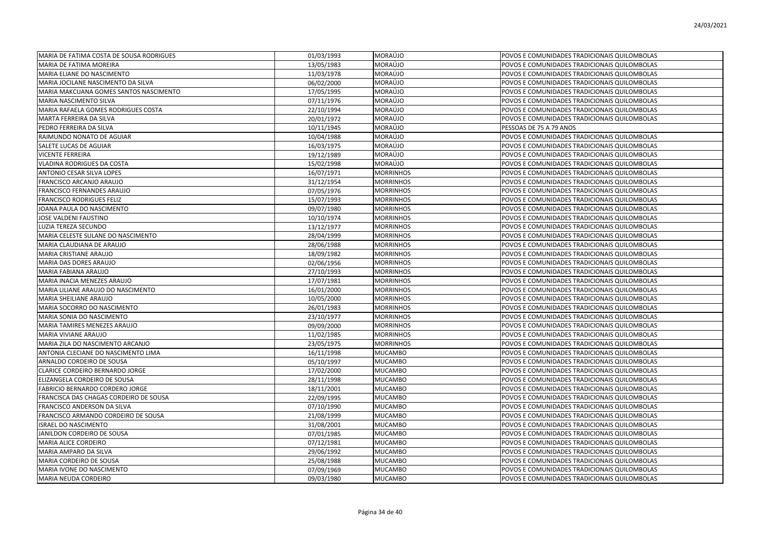| MARIA DE FATIMA COSTA DE SOUSA RODRIGUES | 01/03/1993 | MORAÚJO          | POVOS E COMUNIDADES TRADICIONAIS QUILOMBOLAS |
|------------------------------------------|------------|------------------|----------------------------------------------|
| MARIA DE FATIMA MOREIRA                  | 13/05/1983 | MORAÚJO          | POVOS E COMUNIDADES TRADICIONAIS QUILOMBOLAS |
| MARIA ELIANE DO NASCIMENTO               | 11/03/1978 | MORAÚJO          | POVOS E COMUNIDADES TRADICIONAIS QUILOMBOLAS |
| MARIA JOCILANE NASCIMENTO DA SILVA       | 06/02/2000 | MORAÚJO          | POVOS E COMUNIDADES TRADICIONAIS QUILOMBOLAS |
| MARIA MAKCUANA GOMES SANTOS NASCIMENTO   | 17/05/1995 | MORAÚJO          | POVOS E COMUNIDADES TRADICIONAIS QUILOMBOLAS |
| MARIA NASCIMENTO SILVA                   | 07/11/1976 | MORAÚJO          | POVOS E COMUNIDADES TRADICIONAIS QUILOMBOLAS |
| MARIA RAFAELA GOMES RODRIGUES COSTA      | 22/10/1994 | MORAÚJO          | POVOS E COMUNIDADES TRADICIONAIS QUILOMBOLAS |
| MARTA FERREIRA DA SILVA                  | 20/01/1972 | MORAÚJO          | POVOS E COMUNIDADES TRADICIONAIS QUILOMBOLAS |
| PEDRO FERREIRA DA SILVA                  | 10/11/1945 | MORAÚJO          | PESSOAS DE 75 A 79 ANOS                      |
| RAIMUNDO NONATO DE AGUIAR                | 10/04/1988 | MORAÚJO          | POVOS E COMUNIDADES TRADICIONAIS QUILOMBOLAS |
| SALETE LUCAS DE AGUIAR                   | 16/03/1975 | MORAÚJO          | POVOS E COMUNIDADES TRADICIONAIS QUILOMBOLAS |
| <b>VICENTE FERREIRA</b>                  | 19/12/1989 | MORAÚJO          | POVOS E COMUNIDADES TRADICIONAIS QUILOMBOLAS |
| <b>VLADINA RODRIGUES DA COSTA</b>        | 15/02/1998 | MORAÚJO          | POVOS E COMUNIDADES TRADICIONAIS QUILOMBOLAS |
| <b>ANTONIO CESAR SILVA LOPES</b>         | 16/07/1971 | <b>MORRINHOS</b> | POVOS E COMUNIDADES TRADICIONAIS QUILOMBOLAS |
| FRANCISCO ARCANJO ARAUJO                 | 31/12/1954 | <b>MORRINHOS</b> | POVOS E COMUNIDADES TRADICIONAIS QUILOMBOLAS |
| FRANCISCO FERNANDES ARAUJO               | 07/05/1976 | <b>MORRINHOS</b> | POVOS E COMUNIDADES TRADICIONAIS QUILOMBOLAS |
| <b>FRANCISCO RODRIGUES FELIZ</b>         | 15/07/1993 | <b>MORRINHOS</b> | POVOS E COMUNIDADES TRADICIONAIS QUILOMBOLAS |
| JOANA PAULA DO NASCIMENTO                | 09/07/1980 | <b>MORRINHOS</b> | POVOS E COMUNIDADES TRADICIONAIS QUILOMBOLAS |
| JOSE VALDENI FAUSTINO                    | 10/10/1974 | <b>MORRINHOS</b> | POVOS E COMUNIDADES TRADICIONAIS QUILOMBOLAS |
| LUZIA TEREZA SECUNDO                     | 13/12/1977 | <b>MORRINHOS</b> | POVOS E COMUNIDADES TRADICIONAIS QUILOMBOLAS |
| MARIA CELESTE SULANE DO NASCIMENTO       | 28/04/1999 | <b>MORRINHOS</b> | POVOS E COMUNIDADES TRADICIONAIS QUILOMBOLAS |
| MARIA CLAUDIANA DE ARAUJO                | 28/06/1988 | <b>MORRINHOS</b> | POVOS E COMUNIDADES TRADICIONAIS QUILOMBOLAS |
| <b>MARIA CRISTIANE ARAUJO</b>            | 18/09/1982 | <b>MORRINHOS</b> | POVOS E COMUNIDADES TRADICIONAIS QUILOMBOLAS |
| MARIA DAS DORES ARAUJO                   | 02/06/1956 | <b>MORRINHOS</b> | POVOS E COMUNIDADES TRADICIONAIS QUILOMBOLAS |
| MARIA FABIANA ARAUJO                     | 27/10/1993 | <b>MORRINHOS</b> | POVOS E COMUNIDADES TRADICIONAIS QUILOMBOLAS |
| MARIA INACIA MENEZES ARAUJO              | 17/07/1981 | <b>MORRINHOS</b> | POVOS E COMUNIDADES TRADICIONAIS QUILOMBOLAS |
| MARIA LILIANE ARAUJO DO NASCIMENTO       | 16/01/2000 | <b>MORRINHOS</b> | POVOS E COMUNIDADES TRADICIONAIS QUILOMBOLAS |
| MARIA SHEILIANE ARAUJO                   | 10/05/2000 | <b>MORRINHOS</b> | POVOS E COMUNIDADES TRADICIONAIS QUILOMBOLAS |
| MARIA SOCORRO DO NASCIMENTO              | 26/01/1983 | <b>MORRINHOS</b> | POVOS E COMUNIDADES TRADICIONAIS QUILOMBOLAS |
| MARIA SONIA DO NASCIMENTO                | 23/10/1977 | <b>MORRINHOS</b> | POVOS E COMUNIDADES TRADICIONAIS QUILOMBOLAS |
| MARIA TAMIRES MENEZES ARAUJO             | 09/09/2000 | <b>MORRINHOS</b> | POVOS E COMUNIDADES TRADICIONAIS QUILOMBOLAS |
| MARIA VIVIANE ARAUJO                     | 11/02/1985 | <b>MORRINHOS</b> | POVOS E COMUNIDADES TRADICIONAIS QUILOMBOLAS |
| MARIA ZILA DO NASCIMENTO ARCANJO         | 23/05/1975 | <b>MORRINHOS</b> | POVOS E COMUNIDADES TRADICIONAIS QUILOMBOLAS |
| ANTONIA CLECIANE DO NASCIMENTO LIMA      | 16/11/1998 | <b>MUCAMBO</b>   | POVOS E COMUNIDADES TRADICIONAIS QUILOMBOLAS |
| ARNALDO CORDEIRO DE SOUSA                | 05/10/1997 | <b>MUCAMBO</b>   | POVOS E COMUNIDADES TRADICIONAIS QUILOMBOLAS |
| CLARICE CORDEIRO BERNARDO JORGE          | 17/02/2000 | <b>MUCAMBO</b>   | POVOS E COMUNIDADES TRADICIONAIS QUILOMBOLAS |
| ELIZANGELA CORDEIRO DE SOUSA             | 28/11/1998 | <b>MUCAMBO</b>   | POVOS E COMUNIDADES TRADICIONAIS QUILOMBOLAS |
| FABRICIO BERNARDO CORDERO JORGE          | 18/11/2001 | <b>MUCAMBO</b>   | POVOS E COMUNIDADES TRADICIONAIS QUILOMBOLAS |
| FRANCISCA DAS CHAGAS CORDEIRO DE SOUSA   | 22/09/1995 | <b>MUCAMBO</b>   | POVOS E COMUNIDADES TRADICIONAIS QUILOMBOLAS |
| FRANCISCO ANDERSON DA SILVA              | 07/10/1990 | <b>MUCAMBO</b>   | POVOS E COMUNIDADES TRADICIONAIS QUILOMBOLAS |
| FRANCISCO ARMANDO CORDEIRO DE SOUSA      | 21/08/1999 | <b>MUCAMBO</b>   | POVOS E COMUNIDADES TRADICIONAIS QUILOMBOLAS |
| <b>ISRAEL DO NASCIMENTO</b>              | 31/08/2001 | <b>MUCAMBO</b>   | POVOS E COMUNIDADES TRADICIONAIS QUILOMBOLAS |
| JANILDON CORDEIRO DE SOUSA               | 07/01/1985 | <b>MUCAMBO</b>   | POVOS E COMUNIDADES TRADICIONAIS QUILOMBOLAS |
| MARIA ALICE CORDEIRO                     | 07/12/1981 | <b>MUCAMBO</b>   | POVOS E COMUNIDADES TRADICIONAIS QUILOMBOLAS |
| MARIA AMPARO DA SILVA                    | 29/06/1992 | <b>MUCAMBO</b>   | POVOS E COMUNIDADES TRADICIONAIS QUILOMBOLAS |
| MARIA CORDEIRO DE SOUSA                  | 25/08/1988 | <b>MUCAMBO</b>   | POVOS E COMUNIDADES TRADICIONAIS QUILOMBOLAS |
| MARIA IVONE DO NASCIMENTO                | 07/09/1969 | <b>MUCAMBO</b>   | POVOS E COMUNIDADES TRADICIONAIS QUILOMBOLAS |
| MARIA NEUDA CORDEIRO                     | 09/03/1980 | <b>MUCAMBO</b>   | POVOS E COMUNIDADES TRADICIONAIS QUILOMBOLAS |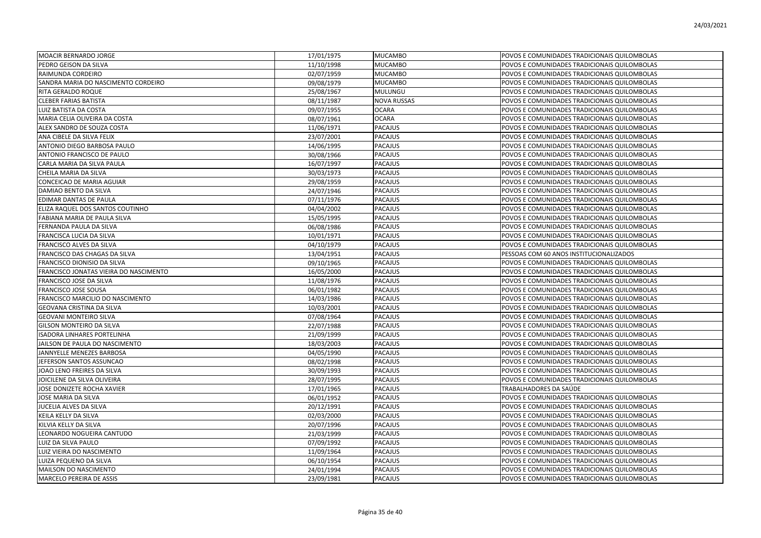| <b>MOACIR BERNARDO JORGE</b>           | 17/01/1975 | <b>MUCAMBO</b>     | POVOS E COMUNIDADES TRADICIONAIS QUILOMBOLAS |
|----------------------------------------|------------|--------------------|----------------------------------------------|
| PEDRO GEISON DA SILVA                  | 11/10/1998 | <b>MUCAMBO</b>     | POVOS E COMUNIDADES TRADICIONAIS QUILOMBOLAS |
| RAIMUNDA CORDEIRO                      | 02/07/1959 | <b>MUCAMBO</b>     | POVOS E COMUNIDADES TRADICIONAIS QUILOMBOLAS |
| SANDRA MARIA DO NASCIMENTO CORDEIRO    | 09/08/1979 | <b>MUCAMBO</b>     | POVOS E COMUNIDADES TRADICIONAIS QUILOMBOLAS |
| RITA GERALDO ROQUE                     | 25/08/1967 | MULUNGU            | POVOS E COMUNIDADES TRADICIONAIS QUILOMBOLAS |
| <b>CLEBER FARIAS BATISTA</b>           | 08/11/1987 | <b>NOVA RUSSAS</b> | POVOS E COMUNIDADES TRADICIONAIS QUILOMBOLAS |
| LUIZ BATISTA DA COSTA                  | 09/07/1955 | <b>OCARA</b>       | POVOS E COMUNIDADES TRADICIONAIS QUILOMBOLAS |
| MARIA CELIA OLIVEIRA DA COSTA          | 08/07/1961 | <b>OCARA</b>       | POVOS E COMUNIDADES TRADICIONAIS QUILOMBOLAS |
| ALEX SANDRO DE SOUZA COSTA             | 11/06/1971 | <b>PACAJUS</b>     | POVOS E COMUNIDADES TRADICIONAIS QUILOMBOLAS |
| ANA CIBELE DA SILVA FELIX              | 23/07/2001 | <b>PACAJUS</b>     | POVOS E COMUNIDADES TRADICIONAIS QUILOMBOLAS |
| ANTONIO DIEGO BARBOSA PAULO            | 14/06/1995 | PACAJUS            | POVOS E COMUNIDADES TRADICIONAIS QUILOMBOLAS |
| ANTONIO FRANCISCO DE PAULO             | 30/08/1966 | PACAJUS            | POVOS E COMUNIDADES TRADICIONAIS QUILOMBOLAS |
| CARLA MARIA DA SILVA PAULA             | 16/07/1997 | <b>PACAJUS</b>     | POVOS E COMUNIDADES TRADICIONAIS QUILOMBOLAS |
| CHEILA MARIA DA SILVA                  | 30/03/1973 | PACAJUS            | POVOS E COMUNIDADES TRADICIONAIS QUILOMBOLAS |
| CONCEICAO DE MARIA AGUIAR              | 29/08/1959 | PACAJUS            | POVOS E COMUNIDADES TRADICIONAIS QUILOMBOLAS |
| DAMIAO BENTO DA SILVA                  | 24/07/1946 | <b>PACAJUS</b>     | POVOS E COMUNIDADES TRADICIONAIS QUILOMBOLAS |
| EDIMAR DANTAS DE PAULA                 | 07/11/1976 | <b>PACAJUS</b>     | POVOS E COMUNIDADES TRADICIONAIS QUILOMBOLAS |
| ELIZA RAQUEL DOS SANTOS COUTINHO       | 04/04/2002 | <b>PACAJUS</b>     | POVOS E COMUNIDADES TRADICIONAIS QUILOMBOLAS |
| FABIANA MARIA DE PAULA SILVA           | 15/05/1995 | <b>PACAJUS</b>     | POVOS E COMUNIDADES TRADICIONAIS QUILOMBOLAS |
| FERNANDA PAULA DA SILVA                | 06/08/1986 | PACAJUS            | POVOS E COMUNIDADES TRADICIONAIS QUILOMBOLAS |
| FRANCISCA LUCIA DA SILVA               | 10/01/1971 | <b>PACAJUS</b>     | POVOS E COMUNIDADES TRADICIONAIS QUILOMBOLAS |
| FRANCISCO ALVES DA SILVA               | 04/10/1979 | <b>PACAJUS</b>     | POVOS E COMUNIDADES TRADICIONAIS QUILOMBOLAS |
| FRANCISCO DAS CHAGAS DA SILVA          | 13/04/1951 | PACAJUS            | PESSOAS COM 60 ANOS INSTITUCIONALIZADOS      |
| FRANCISCO DIONISIO DA SILVA            | 09/10/1965 | <b>PACAJUS</b>     | POVOS E COMUNIDADES TRADICIONAIS QUILOMBOLAS |
| FRANCISCO JONATAS VIEIRA DO NASCIMENTO | 16/05/2000 | <b>PACAJUS</b>     | POVOS E COMUNIDADES TRADICIONAIS QUILOMBOLAS |
| <b>FRANCISCO JOSE DA SILVA</b>         | 11/08/1976 | <b>PACAJUS</b>     | POVOS E COMUNIDADES TRADICIONAIS QUILOMBOLAS |
| <b>FRANCISCO JOSE SOUSA</b>            | 06/01/1982 | <b>PACAJUS</b>     | POVOS E COMUNIDADES TRADICIONAIS QUILOMBOLAS |
| FRANCISCO MARCILIO DO NASCIMENTO       | 14/03/1986 | PACAJUS            | POVOS E COMUNIDADES TRADICIONAIS QUILOMBOLAS |
| GEOVANA CRISTINA DA SILVA              | 10/03/2001 | <b>PACAJUS</b>     | POVOS E COMUNIDADES TRADICIONAIS QUILOMBOLAS |
| <b>GEOVANI MONTEIRO SILVA</b>          | 07/08/1964 | PACAJUS            | POVOS E COMUNIDADES TRADICIONAIS QUILOMBOLAS |
| GILSON MONTEIRO DA SILVA               | 22/07/1988 | <b>PACAJUS</b>     | POVOS E COMUNIDADES TRADICIONAIS QUILOMBOLAS |
| <b>ISADORA LINHARES PORTELINHA</b>     | 21/09/1999 | <b>PACAJUS</b>     | POVOS E COMUNIDADES TRADICIONAIS QUILOMBOLAS |
| JAILSON DE PAULA DO NASCIMENTO         | 18/03/2003 | <b>PACAJUS</b>     | POVOS E COMUNIDADES TRADICIONAIS QUILOMBOLAS |
| JANNYELLE MENEZES BARBOSA              | 04/05/1990 | <b>PACAJUS</b>     | POVOS E COMUNIDADES TRADICIONAIS QUILOMBOLAS |
| JEFERSON SANTOS ASSUNCAO               | 08/02/1998 | <b>PACAJUS</b>     | POVOS E COMUNIDADES TRADICIONAIS QUILOMBOLAS |
| JOAO LENO FREIRES DA SILVA             | 30/09/1993 | PACAJUS            | POVOS E COMUNIDADES TRADICIONAIS QUILOMBOLAS |
| JOICILENE DA SILVA OLIVEIRA            | 28/07/1995 | <b>PACAJUS</b>     | POVOS E COMUNIDADES TRADICIONAIS QUILOMBOLAS |
| JOSE DONIZETE ROCHA XAVIER             | 17/01/1965 | <b>PACAJUS</b>     | TRABALHADORES DA SAÚDE                       |
| JOSE MARIA DA SILVA                    | 06/01/1952 | PACAJUS            | POVOS E COMUNIDADES TRADICIONAIS QUILOMBOLAS |
| JUCELIA ALVES DA SILVA                 | 20/12/1991 | <b>PACAJUS</b>     | POVOS E COMUNIDADES TRADICIONAIS QUILOMBOLAS |
| KEILA KELLY DA SILVA                   | 02/03/2000 | <b>PACAJUS</b>     | POVOS E COMUNIDADES TRADICIONAIS QUILOMBOLAS |
| KILVIA KELLY DA SILVA                  | 20/07/1996 | <b>PACAJUS</b>     | POVOS E COMUNIDADES TRADICIONAIS QUILOMBOLAS |
| LEONARDO NOGUEIRA CANTUDO              | 21/03/1999 | <b>PACAJUS</b>     | POVOS E COMUNIDADES TRADICIONAIS QUILOMBOLAS |
| LUIZ DA SILVA PAULO                    | 07/09/1992 | PACAJUS            | POVOS E COMUNIDADES TRADICIONAIS QUILOMBOLAS |
| LUIZ VIEIRA DO NASCIMENTO              | 11/09/1964 | PACAJUS            | POVOS E COMUNIDADES TRADICIONAIS QUILOMBOLAS |
| LUIZA PEQUENO DA SILVA                 | 06/10/1954 | PACAJUS            | POVOS E COMUNIDADES TRADICIONAIS QUILOMBOLAS |
| MAILSON DO NASCIMENTO                  | 24/01/1994 | PACAJUS            | POVOS E COMUNIDADES TRADICIONAIS QUILOMBOLAS |
| <b>MARCELO PEREIRA DE ASSIS</b>        | 23/09/1981 | <b>PACAJUS</b>     | POVOS E COMUNIDADES TRADICIONAIS QUILOMBOLAS |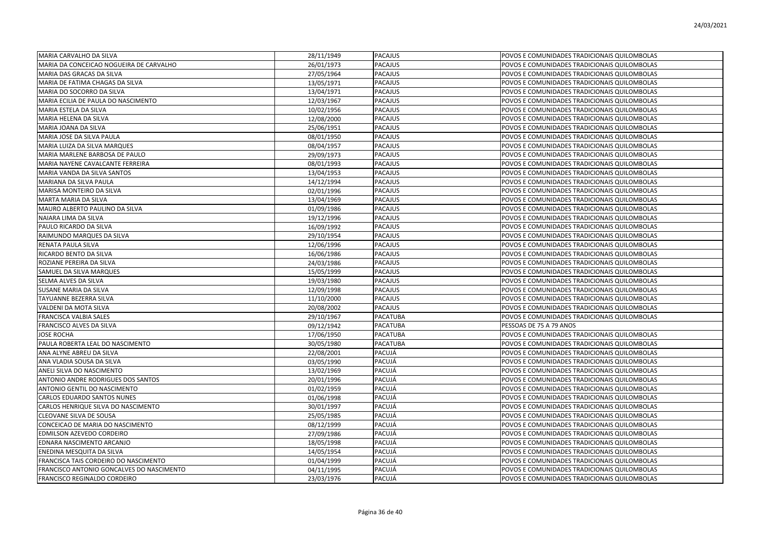| MARIA CARVALHO DA SILVA                   | 28/11/1949 | <b>PACAJUS</b>  | POVOS E COMUNIDADES TRADICIONAIS QUILOMBOLAS |
|-------------------------------------------|------------|-----------------|----------------------------------------------|
| MARIA DA CONCEICAO NOGUEIRA DE CARVALHO   | 26/01/1973 | PACAJUS         | POVOS E COMUNIDADES TRADICIONAIS QUILOMBOLAS |
| MARIA DAS GRACAS DA SILVA                 | 27/05/1964 | <b>PACAJUS</b>  | POVOS E COMUNIDADES TRADICIONAIS QUILOMBOLAS |
| MARIA DE FATIMA CHAGAS DA SILVA           | 13/05/1971 | <b>PACAJUS</b>  | POVOS E COMUNIDADES TRADICIONAIS QUILOMBOLAS |
| MARIA DO SOCORRO DA SILVA                 | 13/04/1971 | <b>PACAJUS</b>  | POVOS E COMUNIDADES TRADICIONAIS QUILOMBOLAS |
| MARIA ECILIA DE PAULA DO NASCIMENTO       | 12/03/1967 | <b>PACAJUS</b>  | POVOS E COMUNIDADES TRADICIONAIS QUILOMBOLAS |
| MARIA ESTELA DA SILVA                     | 10/02/1956 | PACAJUS         | POVOS E COMUNIDADES TRADICIONAIS QUILOMBOLAS |
| MARIA HELENA DA SILVA                     | 12/08/2000 | <b>PACAJUS</b>  | POVOS E COMUNIDADES TRADICIONAIS QUILOMBOLAS |
| MARIA JOANA DA SILVA                      | 25/06/1951 | PACAJUS         | POVOS E COMUNIDADES TRADICIONAIS QUILOMBOLAS |
| MARIA JOSE DA SILVA PAULA                 | 08/01/1950 | <b>PACAJUS</b>  | POVOS E COMUNIDADES TRADICIONAIS QUILOMBOLAS |
| MARIA LUIZA DA SILVA MARQUES              | 08/04/1957 | PACAJUS         | POVOS E COMUNIDADES TRADICIONAIS QUILOMBOLAS |
| MARIA MARLENE BARBOSA DE PAULO            | 29/09/1973 | PACAJUS         | POVOS E COMUNIDADES TRADICIONAIS QUILOMBOLAS |
| MARIA NAYENE CAVALCANTE FERREIRA          | 08/01/1993 | <b>PACAJUS</b>  | POVOS E COMUNIDADES TRADICIONAIS QUILOMBOLAS |
| MARIA VANDA DA SILVA SANTOS               | 13/04/1953 | PACAJUS         | POVOS E COMUNIDADES TRADICIONAIS QUILOMBOLAS |
| MARIANA DA SILVA PAULA                    | 14/12/1994 | PACAJUS         | POVOS E COMUNIDADES TRADICIONAIS QUILOMBOLAS |
| MARISA MONTEIRO DA SILVA                  | 02/01/1996 | <b>PACAJUS</b>  | POVOS E COMUNIDADES TRADICIONAIS QUILOMBOLAS |
| MARTA MARIA DA SILVA                      | 13/04/1969 | <b>PACAJUS</b>  | POVOS E COMUNIDADES TRADICIONAIS QUILOMBOLAS |
| MAURO ALBERTO PAULINO DA SILVA            | 01/09/1986 | <b>PACAJUS</b>  | POVOS E COMUNIDADES TRADICIONAIS QUILOMBOLAS |
| NAIARA LIMA DA SILVA                      | 19/12/1996 | <b>PACAJUS</b>  | POVOS E COMUNIDADES TRADICIONAIS QUILOMBOLAS |
| PAULO RICARDO DA SILVA                    | 16/09/1992 | PACAJUS         | POVOS E COMUNIDADES TRADICIONAIS QUILOMBOLAS |
| RAIMUNDO MARQUES DA SILVA                 | 29/10/1954 | <b>PACAJUS</b>  | POVOS E COMUNIDADES TRADICIONAIS QUILOMBOLAS |
| RENATA PAULA SILVA                        | 12/06/1996 | <b>PACAJUS</b>  | POVOS E COMUNIDADES TRADICIONAIS QUILOMBOLAS |
| RICARDO BENTO DA SILVA                    | 16/06/1986 | PACAJUS         | POVOS E COMUNIDADES TRADICIONAIS QUILOMBOLAS |
| ROZIANE PEREIRA DA SILVA                  | 24/03/1986 | <b>PACAJUS</b>  | POVOS E COMUNIDADES TRADICIONAIS QUILOMBOLAS |
| SAMUEL DA SILVA MARQUES                   | 15/05/1999 | <b>PACAJUS</b>  | POVOS E COMUNIDADES TRADICIONAIS QUILOMBOLAS |
| SELMA ALVES DA SILVA                      | 19/03/1980 | <b>PACAJUS</b>  | POVOS E COMUNIDADES TRADICIONAIS QUILOMBOLAS |
| SUSANE MARIA DA SILVA                     | 12/09/1998 | <b>PACAJUS</b>  | POVOS E COMUNIDADES TRADICIONAIS QUILOMBOLAS |
| TAYUANNE BEZERRA SILVA                    | 11/10/2000 | PACAJUS         | POVOS E COMUNIDADES TRADICIONAIS QUILOMBOLAS |
| VALDENI DA MOTA SILVA                     | 20/08/2002 | <b>PACAJUS</b>  | POVOS E COMUNIDADES TRADICIONAIS QUILOMBOLAS |
| FRANCISCA VALBIA SALES                    | 29/10/1967 | PACATUBA        | POVOS E COMUNIDADES TRADICIONAIS QUILOMBOLAS |
| FRANCISCO ALVES DA SILVA                  | 09/12/1942 | PACATUBA        | PESSOAS DE 75 A 79 ANOS                      |
| <b>JOSE ROCHA</b>                         | 17/06/1950 | PACATUBA        | POVOS E COMUNIDADES TRADICIONAIS QUILOMBOLAS |
| PAULA ROBERTA LEAL DO NASCIMENTO          | 30/05/1980 | <b>PACATUBA</b> | POVOS E COMUNIDADES TRADICIONAIS QUILOMBOLAS |
| ANA ALYNE ABREU DA SILVA                  | 22/08/2001 | PACUJÁ          | POVOS E COMUNIDADES TRADICIONAIS QUILOMBOLAS |
| ANA VLADIA SOUSA DA SILVA                 | 03/05/1990 | PACUJÁ          | POVOS E COMUNIDADES TRADICIONAIS QUILOMBOLAS |
| ANELI SILVA DO NASCIMENTO                 | 13/02/1969 | PACUJÁ          | POVOS E COMUNIDADES TRADICIONAIS QUILOMBOLAS |
| ANTONIO ANDRE RODRIGUES DOS SANTOS        | 20/01/1996 | PACUJÁ          | POVOS E COMUNIDADES TRADICIONAIS QUILOMBOLAS |
| ANTONIO GENTIL DO NASCIMENTO              | 01/02/1959 | PACUJÁ          | POVOS E COMUNIDADES TRADICIONAIS QUILOMBOLAS |
| CARLOS EDUARDO SANTOS NUNES               | 01/06/1998 | PACUJÁ          | POVOS E COMUNIDADES TRADICIONAIS QUILOMBOLAS |
| CARLOS HENRIQUE SILVA DO NASCIMENTO       | 30/01/1997 | PACUJÁ          | POVOS E COMUNIDADES TRADICIONAIS QUILOMBOLAS |
| CLEOVANE SILVA DE SOUSA                   | 25/05/1985 | PACUJÁ          | POVOS E COMUNIDADES TRADICIONAIS QUILOMBOLAS |
| CONCEICAO DE MARIA DO NASCIMENTO          | 08/12/1999 | PACUJÁ          | POVOS E COMUNIDADES TRADICIONAIS QUILOMBOLAS |
| EDMILSON AZEVEDO CORDEIRO                 | 27/09/1986 | PACUJÁ          | POVOS E COMUNIDADES TRADICIONAIS QUILOMBOLAS |
| EDNARA NASCIMENTO ARCANJO                 | 18/05/1998 | PACUJÁ          | POVOS E COMUNIDADES TRADICIONAIS QUILOMBOLAS |
| ENEDINA MESQUITA DA SILVA                 | 14/05/1954 | PACUJÁ          | POVOS E COMUNIDADES TRADICIONAIS QUILOMBOLAS |
| FRANCISCA TAIS CORDEIRO DO NASCIMENTO     | 01/04/1999 | PACUJÁ          | POVOS E COMUNIDADES TRADICIONAIS QUILOMBOLAS |
| FRANCISCO ANTONIO GONCALVES DO NASCIMENTO | 04/11/1995 | PACUJÁ          | POVOS E COMUNIDADES TRADICIONAIS QUILOMBOLAS |
| FRANCISCO REGINALDO CORDEIRO              | 23/03/1976 | PACUJÁ          | POVOS E COMUNIDADES TRADICIONAIS QUILOMBOLAS |
|                                           |            |                 |                                              |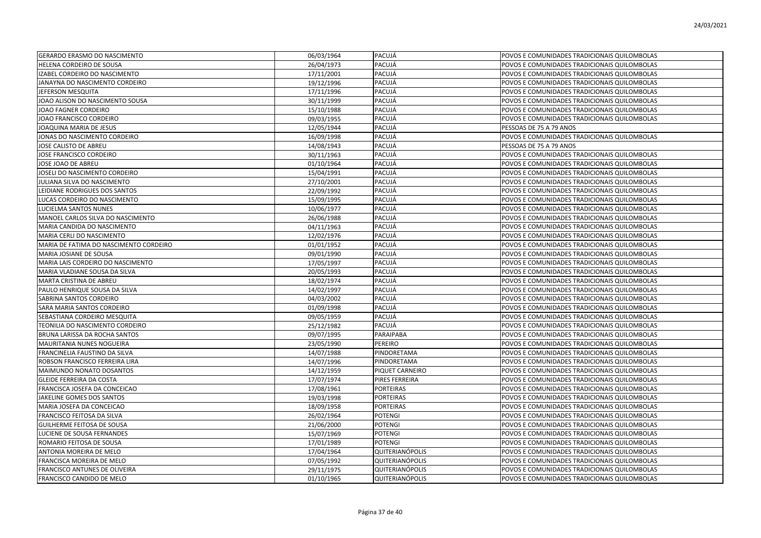| <b>GERARDO ERASMO DO NASCIMENTO</b>    | 06/03/1964 | PACUJÁ                 | POVOS E COMUNIDADES TRADICIONAIS QUILOMBOLAS |
|----------------------------------------|------------|------------------------|----------------------------------------------|
| HELENA CORDEIRO DE SOUSA               | 26/04/1973 | PACUJÁ                 | POVOS E COMUNIDADES TRADICIONAIS QUILOMBOLAS |
| IZABEL CORDEIRO DO NASCIMENTO          | 17/11/2001 | PACUJÁ                 | POVOS E COMUNIDADES TRADICIONAIS QUILOMBOLAS |
| JANAYNA DO NASCIMENTO CORDEIRO         | 19/12/1996 | PACUJÁ                 | POVOS E COMUNIDADES TRADICIONAIS QUILOMBOLAS |
| JEFERSON MESQUITA                      | 17/11/1996 | PACUJÁ                 | POVOS E COMUNIDADES TRADICIONAIS QUILOMBOLAS |
| JOAO ALISON DO NASCIMENTO SOUSA        | 30/11/1999 | PACUJÁ                 | POVOS E COMUNIDADES TRADICIONAIS QUILOMBOLAS |
| JOAO FAGNER CORDEIRO                   | 15/10/1988 | PACUJÁ                 | POVOS E COMUNIDADES TRADICIONAIS QUILOMBOLAS |
| JOAO FRANCISCO CORDEIRO                | 09/03/1955 | PACUJÁ                 | POVOS E COMUNIDADES TRADICIONAIS QUILOMBOLAS |
| JOAQUINA MARIA DE JESUS                | 12/05/1944 | PACUJÁ                 | PESSOAS DE 75 A 79 ANOS                      |
| JONAS DO NASCIMENTO CORDEIRO           | 16/09/1998 | PACUJÁ                 | POVOS E COMUNIDADES TRADICIONAIS QUILOMBOLAS |
| JOSE CALISTO DE ABREU                  | 14/08/1943 | PACUJÁ                 | PESSOAS DE 75 A 79 ANOS                      |
| JOSE FRANCISCO CORDEIRO                | 30/11/1963 | PACUJÁ                 | POVOS E COMUNIDADES TRADICIONAIS QUILOMBOLAS |
| JOSE JOAO DE ABREU                     | 01/10/1964 | PACUJÁ                 | POVOS E COMUNIDADES TRADICIONAIS QUILOMBOLAS |
| JOSELI DO NASCIMENTO CORDEIRO          | 15/04/1991 | PACUJÁ                 | POVOS E COMUNIDADES TRADICIONAIS QUILOMBOLAS |
| JULIANA SILVA DO NASCIMENTO            | 27/10/2001 | PACUJÁ                 | POVOS E COMUNIDADES TRADICIONAIS QUILOMBOLAS |
| LEIDIANE RODRIGUES DOS SANTOS          | 22/09/1992 | PACUJÁ                 | POVOS E COMUNIDADES TRADICIONAIS QUILOMBOLAS |
| LUCAS CORDEIRO DO NASCIMENTO           | 15/09/1995 | PACUJÁ                 | POVOS E COMUNIDADES TRADICIONAIS QUILOMBOLAS |
| LUCIELMA SANTOS NUNES                  | 10/06/1977 | PACUJÁ                 | POVOS E COMUNIDADES TRADICIONAIS QUILOMBOLAS |
| MANOEL CARLOS SILVA DO NASCIMENTO      | 26/06/1988 | PACUJÁ                 | POVOS E COMUNIDADES TRADICIONAIS QUILOMBOLAS |
| MARIA CANDIDA DO NASCIMENTO            | 04/11/1963 | PACUJÁ                 | POVOS E COMUNIDADES TRADICIONAIS QUILOMBOLAS |
| MARIA CERLI DO NASCIMENTO              | 12/02/1976 | PACUJÁ                 | POVOS E COMUNIDADES TRADICIONAIS QUILOMBOLAS |
| MARIA DE FATIMA DO NASCIMENTO CORDEIRO | 01/01/1952 | PACUJÁ                 | POVOS E COMUNIDADES TRADICIONAIS QUILOMBOLAS |
| MARIA JOSIANE DE SOUSA                 | 09/01/1990 | PACUJÁ                 | POVOS E COMUNIDADES TRADICIONAIS QUILOMBOLAS |
| MARIA LAIS CORDEIRO DO NASCIMENTO      | 17/05/1997 | PACUJÁ                 | POVOS E COMUNIDADES TRADICIONAIS QUILOMBOLAS |
| MARIA VLADIANE SOUSA DA SILVA          | 20/05/1993 | PACUJÁ                 | POVOS E COMUNIDADES TRADICIONAIS QUILOMBOLAS |
| MARTA CRISTINA DE ABREU                | 18/02/1974 | PACUJÁ                 | POVOS E COMUNIDADES TRADICIONAIS QUILOMBOLAS |
| PAULO HENRIQUE SOUSA DA SILVA          | 14/02/1997 | PACUJÁ                 | POVOS E COMUNIDADES TRADICIONAIS QUILOMBOLAS |
| SABRINA SANTOS CORDEIRO                | 04/03/2002 | PACUJÁ                 | POVOS E COMUNIDADES TRADICIONAIS QUILOMBOLAS |
| SARA MARIA SANTOS CORDEIRO             | 01/09/1998 | PACUJÁ                 | POVOS E COMUNIDADES TRADICIONAIS QUILOMBOLAS |
| SEBASTIANA CORDEIRO MESQUITA           | 09/05/1959 | PACUJÁ                 | POVOS E COMUNIDADES TRADICIONAIS QUILOMBOLAS |
| TEONILIA DO NASCIMENTO CORDEIRO        | 25/12/1982 | PACUJÁ                 | POVOS E COMUNIDADES TRADICIONAIS QUILOMBOLAS |
| BRUNA LARISSA DA ROCHA SANTOS          | 09/07/1995 | PARAIPABA              | POVOS E COMUNIDADES TRADICIONAIS QUILOMBOLAS |
| MAURITANIA NUNES NOGUEIRA              | 23/05/1990 | PEREIRO                | POVOS E COMUNIDADES TRADICIONAIS QUILOMBOLAS |
| FRANCINELIA FAUSTINO DA SILVA          | 14/07/1988 | PINDORETAMA            | POVOS E COMUNIDADES TRADICIONAIS QUILOMBOLAS |
| ROBSON FRANCISCO FERREIRA LIRA         | 14/07/1996 | PINDORETAMA            | POVOS E COMUNIDADES TRADICIONAIS QUILOMBOLAS |
| MAIMUNDO NONATO DOSANTOS               | 14/12/1959 | PIQUET CARNEIRO        | POVOS E COMUNIDADES TRADICIONAIS QUILOMBOLAS |
| <b>GLEIDE FERREIRA DA COSTA</b>        | 17/07/1974 | PIRES FERREIRA         | POVOS E COMUNIDADES TRADICIONAIS QUILOMBOLAS |
| FRANCISCA JOSEFA DA CONCEICAO          | 17/08/1961 | PORTEIRAS              | POVOS E COMUNIDADES TRADICIONAIS QUILOMBOLAS |
| JAKELINE GOMES DOS SANTOS              | 19/03/1998 | PORTEIRAS              | POVOS E COMUNIDADES TRADICIONAIS QUILOMBOLAS |
| MARIA JOSEFA DA CONCEICAO              | 18/09/1958 | PORTEIRAS              | POVOS E COMUNIDADES TRADICIONAIS QUILOMBOLAS |
| FRANCISCO FEITOSA DA SILVA             | 26/02/1964 | POTENGI                | POVOS E COMUNIDADES TRADICIONAIS QUILOMBOLAS |
| <b>GUILHERME FEITOSA DE SOUSA</b>      | 21/06/2000 | POTENGI                | POVOS E COMUNIDADES TRADICIONAIS QUILOMBOLAS |
| LUCIENE DE SOUSA FERNANDES             | 15/07/1969 | POTENGI                | POVOS E COMUNIDADES TRADICIONAIS QUILOMBOLAS |
| ROMARIO FEITOSA DE SOUSA               | 17/01/1989 | POTENGI                | POVOS E COMUNIDADES TRADICIONAIS QUILOMBOLAS |
| ANTONIA MOREIRA DE MELO                | 17/04/1964 | QUITERIANÓPOLIS        | POVOS E COMUNIDADES TRADICIONAIS QUILOMBOLAS |
| FRANCISCA MOREIRA DE MELO              | 07/05/1992 | QUITERIANÓPOLIS        | POVOS E COMUNIDADES TRADICIONAIS QUILOMBOLAS |
| FRANCISCO ANTUNES DE OLIVEIRA          | 29/11/1975 | <b>QUITERIANÓPOLIS</b> | POVOS E COMUNIDADES TRADICIONAIS QUILOMBOLAS |
| FRANCISCO CANDIDO DE MELO              | 01/10/1965 | <b>QUITERIANÓPOLIS</b> | POVOS E COMUNIDADES TRADICIONAIS QUILOMBOLAS |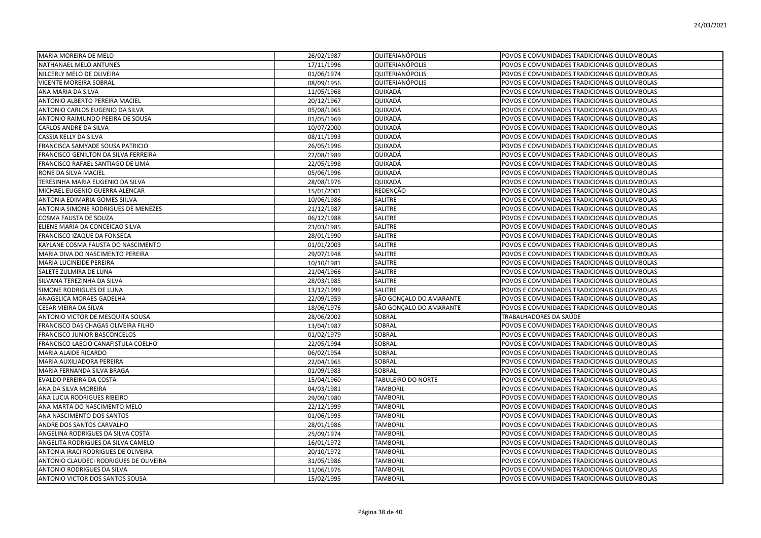| MARIA MOREIRA DE MELO                  | 26/02/1987 | <b>QUITERIANÓPOLIS</b>  | POVOS E COMUNIDADES TRADICIONAIS QUILOMBOLAS |
|----------------------------------------|------------|-------------------------|----------------------------------------------|
| NATHANAEL MELO ANTUNES                 | 17/11/1996 | QUITERIANÓPOLIS         | POVOS E COMUNIDADES TRADICIONAIS QUILOMBOLAS |
| NILCERLY MELO DE OLIVEIRA              | 01/06/1974 | QUITERIANÓPOLIS         | POVOS E COMUNIDADES TRADICIONAIS QUILOMBOLAS |
| <b>VICENTE MOREIRA SOBRAL</b>          | 08/09/1956 | QUITERIANÓPOLIS         | POVOS E COMUNIDADES TRADICIONAIS QUILOMBOLAS |
| ANA MARIA DA SILVA                     | 11/05/1968 | QUIXADÁ                 | POVOS E COMUNIDADES TRADICIONAIS QUILOMBOLAS |
| ANTONIO ALBERTO PEREIRA MACIEL         | 20/12/1967 | QUIXADÁ                 | POVOS E COMUNIDADES TRADICIONAIS QUILOMBOLAS |
| ANTONIO CARLOS EUGENIO DA SILVA        | 05/08/1965 | QUIXADÁ                 | POVOS E COMUNIDADES TRADICIONAIS QUILOMBOLAS |
| ANTONIO RAIMUNDO PEEIRA DE SOUSA       | 01/05/1969 | QUIXADÁ                 | POVOS E COMUNIDADES TRADICIONAIS QUILOMBOLAS |
| CARLOS ANDRE DA SILVA                  | 10/07/2000 | QUIXADÁ                 | POVOS E COMUNIDADES TRADICIONAIS QUILOMBOLAS |
| CASSIA KELLY DA SILVA                  | 08/11/1993 | QUIXADÁ                 | POVOS E COMUNIDADES TRADICIONAIS QUILOMBOLAS |
| FRANCISCA SAMYADE SOUSA PATRICIO       | 26/05/1996 | QUIXADÁ                 | POVOS E COMUNIDADES TRADICIONAIS QUILOMBOLAS |
| FRANCISCO GENILTON DA SILVA FERREIRA   | 22/08/1989 | QUIXADÁ                 | POVOS E COMUNIDADES TRADICIONAIS QUILOMBOLAS |
| FRANCISCO RAFAEL SANTIAGO DE LIMA      | 22/05/1998 | QUIXADÁ                 | POVOS E COMUNIDADES TRADICIONAIS QUILOMBOLAS |
| RONE DA SILVA MACIEL                   | 05/06/1996 | QUIXADÁ                 | POVOS E COMUNIDADES TRADICIONAIS QUILOMBOLAS |
| TERESINHA MARIA EUGENIO DA SILVA       | 28/08/1976 | QUIXADÁ                 | POVOS E COMUNIDADES TRADICIONAIS QUILOMBOLAS |
| MICHAEL EUGENIO GUERRA ALENCAR         | 15/01/2001 | REDENÇÃO                | POVOS E COMUNIDADES TRADICIONAIS QUILOMBOLAS |
| ANTONIA EDIMARIA GOMES SIILVA          | 10/06/1986 | SALITRE                 | POVOS E COMUNIDADES TRADICIONAIS QUILOMBOLAS |
| ANTONIA SIMONE RODRIGUES DE MENEZES    | 21/12/1987 | SALITRE                 | POVOS E COMUNIDADES TRADICIONAIS QUILOMBOLAS |
| COSMA FAUSTA DE SOUZA                  | 06/12/1988 | SALITRE                 | POVOS E COMUNIDADES TRADICIONAIS QUILOMBOLAS |
| ELIENE MARIA DA CONCEICAO SILVA        | 23/03/1985 | SALITRE                 | POVOS E COMUNIDADES TRADICIONAIS QUILOMBOLAS |
| FRANCISCO IZAQUE DA FONSECA            | 28/01/1990 | SALITRE                 | POVOS E COMUNIDADES TRADICIONAIS QUILOMBOLAS |
| KAYLANE COSMA FAUSTA DO NASCIMENTO     | 01/01/2003 | SALITRE                 | POVOS E COMUNIDADES TRADICIONAIS QUILOMBOLAS |
| MARIA DIVA DO NASCIMENTO PEREIRA       | 29/07/1948 | SALITRE                 | POVOS E COMUNIDADES TRADICIONAIS QUILOMBOLAS |
| MARIA LUCINEIDE PEREIRA                | 10/10/1981 | SALITRE                 | POVOS E COMUNIDADES TRADICIONAIS QUILOMBOLAS |
| SALETE ZULMIRA DE LUNA                 | 21/04/1966 | SALITRE                 | POVOS E COMUNIDADES TRADICIONAIS QUILOMBOLAS |
| SILVANA TEREZINHA DA SILVA             | 28/03/1985 | SALITRE                 | POVOS E COMUNIDADES TRADICIONAIS QUILOMBOLAS |
| SIMONE RODRIGUES DE LUNA               | 13/12/1999 | SALITRE                 | POVOS E COMUNIDADES TRADICIONAIS QUILOMBOLAS |
| ANAGELICA MORAES GADELHA               | 22/09/1959 | SÃO GONCALO DO AMARANTE | POVOS E COMUNIDADES TRADICIONAIS QUILOMBOLAS |
| CESAR VIEIRA DA SILVA                  | 18/06/1976 | SÃO GONCALO DO AMARANTE | POVOS E COMUNIDADES TRADICIONAIS QUILOMBOLAS |
| ANTONIO VICTOR DE MESQUITA SOUSA       | 28/06/2002 | SOBRAL                  | TRABALHADORES DA SAÚDE                       |
| FRANCISCO DAS CHAGAS OLIVEIRA FILHO    | 13/04/1987 | SOBRAL                  | POVOS E COMUNIDADES TRADICIONAIS QUILOMBOLAS |
| <b>FRANCISCO JUNIOR BASCONCELOS</b>    | 01/02/1979 | SOBRAL                  | POVOS E COMUNIDADES TRADICIONAIS QUILOMBOLAS |
| FRANCISCO LAECIO CANAFISTULA COELHO    | 22/05/1994 | SOBRAL                  | POVOS E COMUNIDADES TRADICIONAIS QUILOMBOLAS |
| <b>MARIA ALAIDE RICARDO</b>            | 06/02/1954 | SOBRAL                  | POVOS E COMUNIDADES TRADICIONAIS QUILOMBOLAS |
| MARIA AUXILIADORA PEREIRA              | 22/04/1965 | SOBRAL                  | POVOS E COMUNIDADES TRADICIONAIS QUILOMBOLAS |
| MARIA FERNANDA SILVA BRAGA             | 01/09/1983 | SOBRAL                  | POVOS E COMUNIDADES TRADICIONAIS QUILOMBOLAS |
| EVALDO PEREIRA DA COSTA                | 15/04/1960 | TABULEIRO DO NORTE      | POVOS E COMUNIDADES TRADICIONAIS QUILOMBOLAS |
| ANA DA SILVA MOREIRA                   | 04/03/1981 | <b>TAMBORIL</b>         | POVOS E COMUNIDADES TRADICIONAIS QUILOMBOLAS |
| ANA LUCIA RODRIGUES RIBEIRO            | 29/09/1980 | <b>TAMBORIL</b>         | POVOS E COMUNIDADES TRADICIONAIS QUILOMBOLAS |
| ANA MARTA DO NASCIMENTO MELO           | 22/12/1999 | <b>TAMBORIL</b>         | POVOS E COMUNIDADES TRADICIONAIS QUILOMBOLAS |
| ANA NASCIMENTO DOS SANTOS              | 01/06/1995 | <b>TAMBORIL</b>         | POVOS E COMUNIDADES TRADICIONAIS QUILOMBOLAS |
| ANDRE DOS SANTOS CARVALHO              | 28/01/1986 | <b>TAMBORIL</b>         | POVOS E COMUNIDADES TRADICIONAIS QUILOMBOLAS |
| ANGELINA RODRIGUES DA SILVA COSTA      | 25/09/1974 | <b>TAMBORIL</b>         | POVOS E COMUNIDADES TRADICIONAIS QUILOMBOLAS |
| ANGELITA RODRIGUES DA SILVA CAMELO     | 16/01/1972 | <b>TAMBORIL</b>         | POVOS E COMUNIDADES TRADICIONAIS QUILOMBOLAS |
| ANTONIA IRACI RODRIGUES DE OLIVEIRA    | 20/10/1972 | <b>TAMBORIL</b>         | POVOS E COMUNIDADES TRADICIONAIS QUILOMBOLAS |
| ANTONIO CLAUDECI RODRIGUES DE OLIVEIRA | 31/05/1986 | <b>TAMBORIL</b>         | POVOS E COMUNIDADES TRADICIONAIS QUILOMBOLAS |
| ANTONIO RODRIGUES DA SILVA             | 11/06/1976 | <b>TAMBORIL</b>         | POVOS E COMUNIDADES TRADICIONAIS QUILOMBOLAS |
| <b>ANTONIO VICTOR DOS SANTOS SOUSA</b> | 15/02/1995 | <b>TAMBORIL</b>         | POVOS E COMUNIDADES TRADICIONAIS QUILOMBOLAS |
|                                        |            |                         |                                              |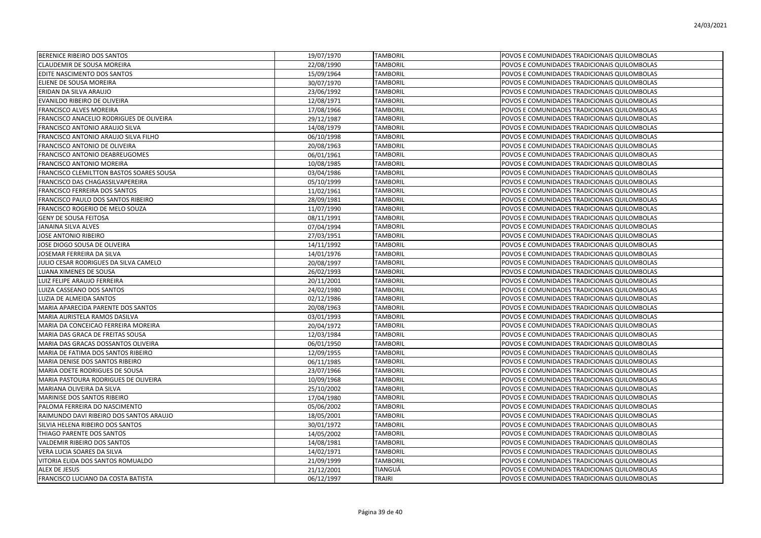| BERENICE RIBEIRO DOS SANTOS               | 19/07/1970 | <b>TAMBORIL</b> | POVOS E COMUNIDADES TRADICIONAIS QUILOMBOLAS |
|-------------------------------------------|------------|-----------------|----------------------------------------------|
| CLAUDEMIR DE SOUSA MOREIRA                | 22/08/1990 | <b>TAMBORIL</b> | POVOS E COMUNIDADES TRADICIONAIS QUILOMBOLAS |
| EDITE NASCIMENTO DOS SANTOS               | 15/09/1964 | <b>TAMBORIL</b> | POVOS E COMUNIDADES TRADICIONAIS QUILOMBOLAS |
| ELIENE DE SOUSA MOREIRA                   | 30/07/1970 | <b>TAMBORIL</b> | POVOS E COMUNIDADES TRADICIONAIS QUILOMBOLAS |
| ERIDAN DA SILVA ARAUJO                    | 23/06/1992 | <b>TAMBORIL</b> | POVOS E COMUNIDADES TRADICIONAIS QUILOMBOLAS |
| EVANILDO RIBEIRO DE OLIVEIRA              | 12/08/1971 | <b>TAMBORIL</b> | POVOS E COMUNIDADES TRADICIONAIS QUILOMBOLAS |
| FRANCISCO ALVES MOREIRA                   | 17/08/1966 | <b>TAMBORIL</b> | POVOS E COMUNIDADES TRADICIONAIS QUILOMBOLAS |
| FRANCISCO ANACELIO RODRIGUES DE OLIVEIRA  | 29/12/1987 | <b>TAMBORIL</b> | POVOS E COMUNIDADES TRADICIONAIS QUILOMBOLAS |
| FRANCISCO ANTONIO ARAUJO SILVA            | 14/08/1979 | <b>TAMBORIL</b> | POVOS E COMUNIDADES TRADICIONAIS QUILOMBOLAS |
| FRANCISCO ANTONIO ARAUJO SILVA FILHO      | 06/10/1998 | <b>TAMBORIL</b> | POVOS E COMUNIDADES TRADICIONAIS QUILOMBOLAS |
| FRANCISCO ANTONIO DE OLIVEIRA             | 20/08/1963 | <b>TAMBORIL</b> | POVOS E COMUNIDADES TRADICIONAIS QUILOMBOLAS |
| FRANCISCO ANTONIO DEABREUGOMES            | 06/01/1961 | <b>TAMBORIL</b> | POVOS E COMUNIDADES TRADICIONAIS QUILOMBOLAS |
| FRANCISCO ANTONIO MOREIRA                 | 10/08/1985 | TAMBORIL        | POVOS E COMUNIDADES TRADICIONAIS QUILOMBOLAS |
| FRANCISCO CLEMILTTON BASTOS SOARES SOUSA  | 03/04/1986 | <b>TAMBORIL</b> | POVOS E COMUNIDADES TRADICIONAIS QUILOMBOLAS |
| FRANCISCO DAS CHAGASSILVAPEREIRA          | 05/10/1999 | <b>TAMBORIL</b> | POVOS E COMUNIDADES TRADICIONAIS QUILOMBOLAS |
| FRANCISCO FERREIRA DOS SANTOS             | 11/02/1961 | <b>TAMBORIL</b> | POVOS E COMUNIDADES TRADICIONAIS QUILOMBOLAS |
| FRANCISCO PAULO DOS SANTOS RIBEIRO        | 28/09/1981 | <b>TAMBORIL</b> | POVOS E COMUNIDADES TRADICIONAIS QUILOMBOLAS |
| FRANCISCO ROGERIO DE MELO SOUZA           | 11/07/1990 | <b>TAMBORIL</b> | POVOS E COMUNIDADES TRADICIONAIS QUILOMBOLAS |
| <b>GENY DE SOUSA FEITOSA</b>              | 08/11/1991 | <b>TAMBORIL</b> | POVOS E COMUNIDADES TRADICIONAIS QUILOMBOLAS |
| <b>JANAINA SILVA ALVES</b>                | 07/04/1994 | <b>TAMBORIL</b> | POVOS E COMUNIDADES TRADICIONAIS QUILOMBOLAS |
| JOSE ANTONIO RIBEIRO                      | 27/03/1951 | <b>TAMBORIL</b> | POVOS E COMUNIDADES TRADICIONAIS QUILOMBOLAS |
| JOSE DIOGO SOUSA DE OLIVEIRA              | 14/11/1992 | <b>TAMBORIL</b> | POVOS E COMUNIDADES TRADICIONAIS QUILOMBOLAS |
| JOSEMAR FERREIRA DA SILVA                 | 14/01/1976 | <b>TAMBORIL</b> | POVOS E COMUNIDADES TRADICIONAIS QUILOMBOLAS |
| JULIO CESAR RODRIGUES DA SILVA CAMELO     | 20/08/1997 | <b>TAMBORIL</b> | POVOS E COMUNIDADES TRADICIONAIS QUILOMBOLAS |
| LUANA XIMENES DE SOUSA                    | 26/02/1993 | <b>TAMBORIL</b> | POVOS E COMUNIDADES TRADICIONAIS QUILOMBOLAS |
| LUIZ FELIPE ARAUJO FERREIRA               | 20/11/2001 | <b>TAMBORIL</b> | POVOS E COMUNIDADES TRADICIONAIS QUILOMBOLAS |
| LUIZA CASSEANO DOS SANTOS                 | 24/02/1980 | <b>TAMBORIL</b> | POVOS E COMUNIDADES TRADICIONAIS QUILOMBOLAS |
| LUZIA DE ALMEIDA SANTOS                   | 02/12/1986 | <b>TAMBORIL</b> | POVOS E COMUNIDADES TRADICIONAIS QUILOMBOLAS |
| MARIA APARECIDA PARENTE DOS SANTOS        | 20/08/1963 | <b>TAMBORIL</b> | POVOS E COMUNIDADES TRADICIONAIS QUILOMBOLAS |
| MARIA AURISTELA RAMOS DASILVA             | 03/01/1993 | <b>TAMBORIL</b> | POVOS E COMUNIDADES TRADICIONAIS QUILOMBOLAS |
| MARIA DA CONCEICAO FERREIRA MOREIRA       | 20/04/1972 | <b>TAMBORIL</b> | POVOS E COMUNIDADES TRADICIONAIS QUILOMBOLAS |
| MARIA DAS GRACA DE FREITAS SOUSA          | 12/03/1984 | <b>TAMBORIL</b> | POVOS E COMUNIDADES TRADICIONAIS QUILOMBOLAS |
| MARIA DAS GRACAS DOSSANTOS OLIVEIRA       | 06/01/1950 | <b>TAMBORIL</b> | POVOS E COMUNIDADES TRADICIONAIS QUILOMBOLAS |
| MARIA DE FATIMA DOS SANTOS RIBEIRO        | 12/09/1955 | <b>TAMBORIL</b> | POVOS E COMUNIDADES TRADICIONAIS QUILOMBOLAS |
| MARIA DENISE DOS SANTOS RIBEIRO           | 06/11/1985 | <b>TAMBORIL</b> | POVOS E COMUNIDADES TRADICIONAIS QUILOMBOLAS |
| MARIA ODETE RODRIGUES DE SOUSA            | 23/07/1966 | <b>TAMBORIL</b> | POVOS E COMUNIDADES TRADICIONAIS QUILOMBOLAS |
| MARIA PASTOURA RODRIGUES DE OLIVEIRA      | 10/09/1968 | <b>TAMBORIL</b> | POVOS E COMUNIDADES TRADICIONAIS QUILOMBOLAS |
| MARIANA OLIVEIRA DA SILVA                 | 25/10/2002 | <b>TAMBORIL</b> | POVOS E COMUNIDADES TRADICIONAIS QUILOMBOLAS |
| MARINISE DOS SANTOS RIBEIRO               | 17/04/1980 | <b>TAMBORIL</b> | POVOS E COMUNIDADES TRADICIONAIS QUILOMBOLAS |
| PALOMA FERREIRA DO NASCIMENTO             | 05/06/2002 | <b>TAMBORIL</b> | POVOS E COMUNIDADES TRADICIONAIS QUILOMBOLAS |
| RAIMUNDO DAVI RIBEIRO DOS SANTOS ARAUJO   | 18/05/2001 | <b>TAMBORIL</b> | POVOS E COMUNIDADES TRADICIONAIS QUILOMBOLAS |
| SILVIA HELENA RIBEIRO DOS SANTOS          | 30/01/1972 | <b>TAMBORIL</b> | POVOS E COMUNIDADES TRADICIONAIS QUILOMBOLAS |
| THIAGO PARENTE DOS SANTOS                 | 14/05/2002 | <b>TAMBORIL</b> | POVOS E COMUNIDADES TRADICIONAIS QUILOMBOLAS |
| VALDEMIR RIBEIRO DOS SANTOS               | 14/08/1981 | <b>TAMBORIL</b> | POVOS E COMUNIDADES TRADICIONAIS QUILOMBOLAS |
| VERA LUCIA SOARES DA SILVA                | 14/02/1971 | <b>TAMBORIL</b> | POVOS E COMUNIDADES TRADICIONAIS QUILOMBOLAS |
| VITORIA ELIDA DOS SANTOS ROMUALDO         | 21/09/1999 | <b>TAMBORIL</b> | POVOS E COMUNIDADES TRADICIONAIS QUILOMBOLAS |
| ALEX DE JESUS                             | 21/12/2001 | TIANGUÁ         | POVOS E COMUNIDADES TRADICIONAIS QUILOMBOLAS |
| <b>FRANCISCO LUCIANO DA COSTA BATISTA</b> | 06/12/1997 | <b>TRAIRI</b>   | POVOS E COMUNIDADES TRADICIONAIS QUILOMBOLAS |